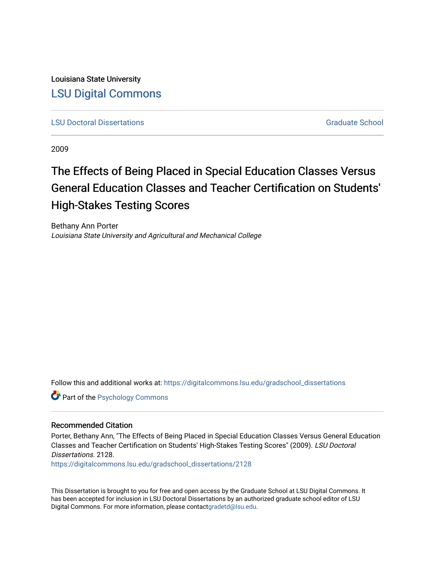Louisiana State University [LSU Digital Commons](https://digitalcommons.lsu.edu/)

**[LSU Doctoral Dissertations](https://digitalcommons.lsu.edu/gradschool_dissertations)** [Graduate School](https://digitalcommons.lsu.edu/gradschool) Control of the Graduate School Control of the Graduate School Control of the Graduate School Control of the Graduate School Control of the Graduate School Control of the Graduat

2009

# The Effects of Being Placed in Special Education Classes Versus General Education Classes and Teacher Certification on Students' High-Stakes Testing Scores

Bethany Ann Porter Louisiana State University and Agricultural and Mechanical College

Follow this and additional works at: [https://digitalcommons.lsu.edu/gradschool\\_dissertations](https://digitalcommons.lsu.edu/gradschool_dissertations?utm_source=digitalcommons.lsu.edu%2Fgradschool_dissertations%2F2128&utm_medium=PDF&utm_campaign=PDFCoverPages)

**Part of the Psychology Commons** 

#### Recommended Citation

Porter, Bethany Ann, "The Effects of Being Placed in Special Education Classes Versus General Education Classes and Teacher Certification on Students' High-Stakes Testing Scores" (2009). LSU Doctoral Dissertations. 2128.

[https://digitalcommons.lsu.edu/gradschool\\_dissertations/2128](https://digitalcommons.lsu.edu/gradschool_dissertations/2128?utm_source=digitalcommons.lsu.edu%2Fgradschool_dissertations%2F2128&utm_medium=PDF&utm_campaign=PDFCoverPages)

This Dissertation is brought to you for free and open access by the Graduate School at LSU Digital Commons. It has been accepted for inclusion in LSU Doctoral Dissertations by an authorized graduate school editor of LSU Digital Commons. For more information, please contac[tgradetd@lsu.edu.](mailto:gradetd@lsu.edu)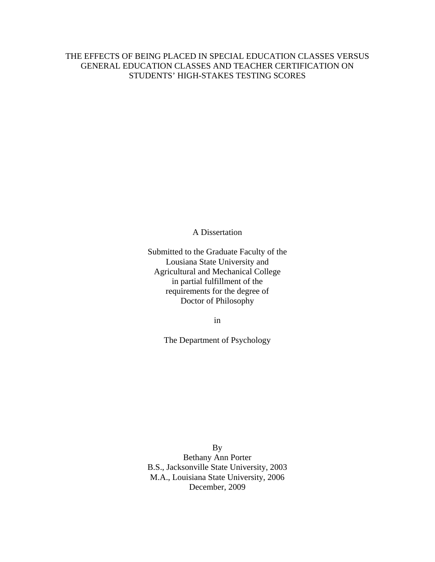### THE EFFECTS OF BEING PLACED IN SPECIAL EDUCATION CLASSES VERSUS GENERAL EDUCATION CLASSES AND TEACHER CERTIFICATION ON STUDENTS' HIGH-STAKES TESTING SCORES

A Dissertation

Submitted to the Graduate Faculty of the Lousiana State University and Agricultural and Mechanical College in partial fulfillment of the requirements for the degree of Doctor of Philosophy

in

The Department of Psychology

By Bethany Ann Porter B.S., Jacksonville State University, 2003 M.A., Louisiana State University, 2006 December, 2009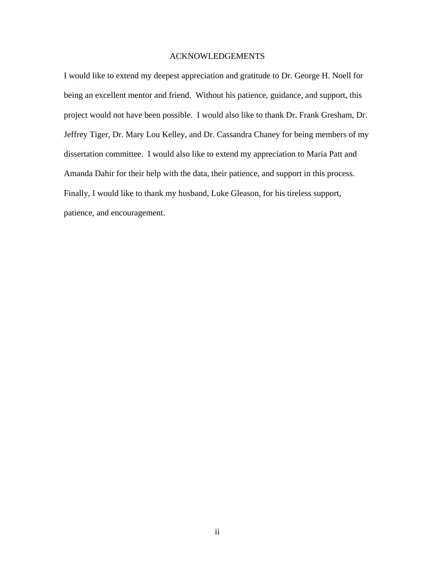#### ACKNOWLEDGEMENTS

I would like to extend my deepest appreciation and gratitude to Dr. George H. Noell for being an excellent mentor and friend. Without his patience, guidance, and support, this project would not have been possible. I would also like to thank Dr. Frank Gresham, Dr. Jeffrey Tiger, Dr. Mary Lou Kelley, and Dr. Cassandra Chaney for being members of my dissertation committee. I would also like to extend my appreciation to Maria Patt and Amanda Dahir for their help with the data, their patience, and support in this process. Finally, I would like to thank my husband, Luke Gleason, for his tireless support, patience, and encouragement.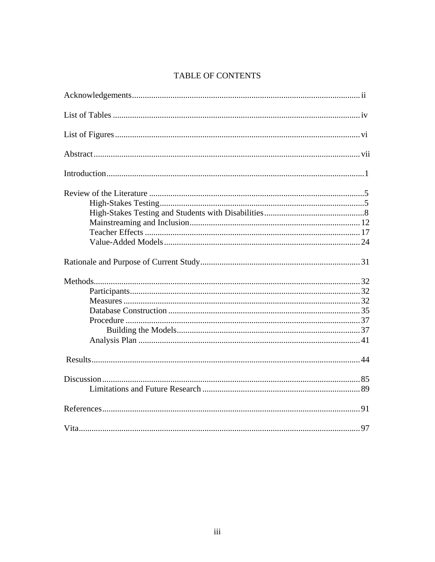## TABLE OF CONTENTS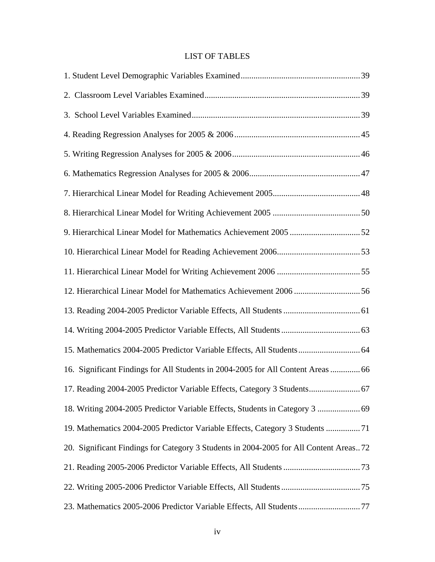## LIST OF TABLES

| 15. Mathematics 2004-2005 Predictor Variable Effects, All Students 64                 |
|---------------------------------------------------------------------------------------|
| 16. Significant Findings for All Students in 2004-2005 for All Content Areas  66      |
| 17. Reading 2004-2005 Predictor Variable Effects, Category 3 Students 67              |
| 18. Writing 2004-2005 Predictor Variable Effects, Students in Category 3  69          |
|                                                                                       |
| 20. Significant Findings for Category 3 Students in 2004-2005 for All Content Areas72 |
|                                                                                       |
|                                                                                       |
| 23. Mathematics 2005-2006 Predictor Variable Effects, All Students  77                |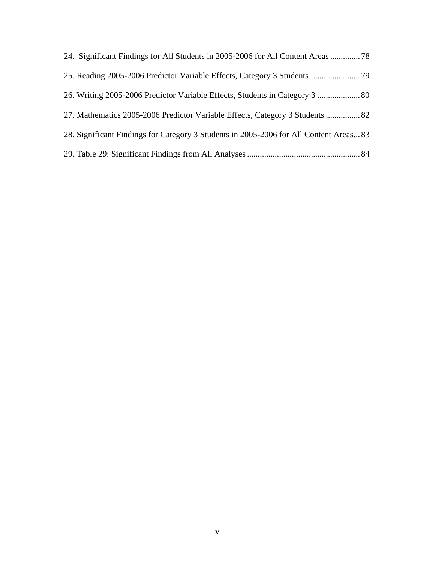| 26. Writing 2005-2006 Predictor Variable Effects, Students in Category 3  80           |  |
|----------------------------------------------------------------------------------------|--|
| 27. Mathematics 2005-2006 Predictor Variable Effects, Category 3 Students  82          |  |
| 28. Significant Findings for Category 3 Students in 2005-2006 for All Content Areas 83 |  |
|                                                                                        |  |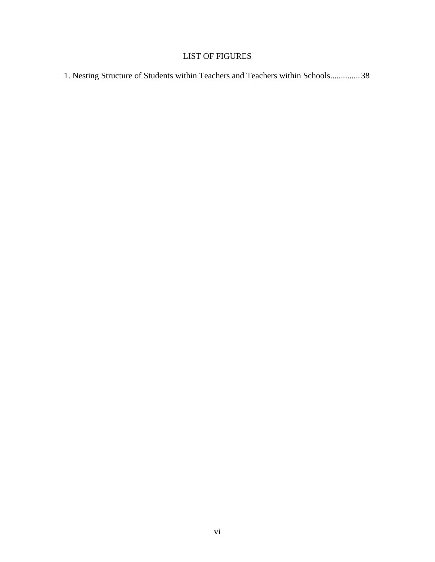## LIST OF FIGURES

1. Nesting Structure of Students within Teachers and Teachers within Schools .............. 38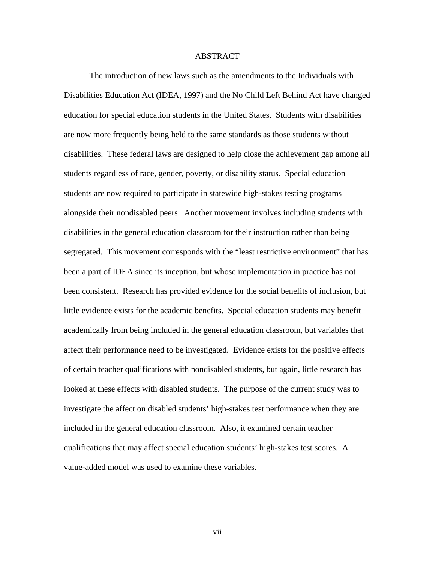#### ABSTRACT

 The introduction of new laws such as the amendments to the Individuals with Disabilities Education Act (IDEA, 1997) and the No Child Left Behind Act have changed education for special education students in the United States. Students with disabilities are now more frequently being held to the same standards as those students without disabilities. These federal laws are designed to help close the achievement gap among all students regardless of race, gender, poverty, or disability status. Special education students are now required to participate in statewide high-stakes testing programs alongside their nondisabled peers. Another movement involves including students with disabilities in the general education classroom for their instruction rather than being segregated. This movement corresponds with the "least restrictive environment" that has been a part of IDEA since its inception, but whose implementation in practice has not been consistent. Research has provided evidence for the social benefits of inclusion, but little evidence exists for the academic benefits. Special education students may benefit academically from being included in the general education classroom, but variables that affect their performance need to be investigated. Evidence exists for the positive effects of certain teacher qualifications with nondisabled students, but again, little research has looked at these effects with disabled students. The purpose of the current study was to investigate the affect on disabled students' high-stakes test performance when they are included in the general education classroom. Also, it examined certain teacher qualifications that may affect special education students' high-stakes test scores. A value-added model was used to examine these variables.

vii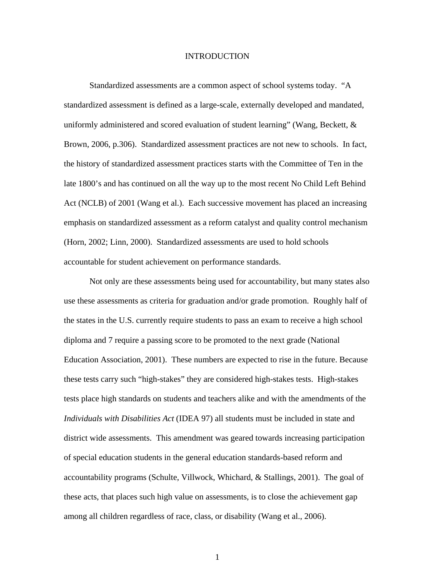#### INTRODUCTION

Standardized assessments are a common aspect of school systems today. "A standardized assessment is defined as a large-scale, externally developed and mandated, uniformly administered and scored evaluation of student learning" (Wang, Beckett, & Brown, 2006, p.306). Standardized assessment practices are not new to schools. In fact, the history of standardized assessment practices starts with the Committee of Ten in the late 1800's and has continued on all the way up to the most recent No Child Left Behind Act (NCLB) of 2001 (Wang et al.). Each successive movement has placed an increasing emphasis on standardized assessment as a reform catalyst and quality control mechanism (Horn, 2002; Linn, 2000). Standardized assessments are used to hold schools accountable for student achievement on performance standards.

 Not only are these assessments being used for accountability, but many states also use these assessments as criteria for graduation and/or grade promotion. Roughly half of the states in the U.S. currently require students to pass an exam to receive a high school diploma and 7 require a passing score to be promoted to the next grade (National Education Association, 2001). These numbers are expected to rise in the future. Because these tests carry such "high-stakes" they are considered high-stakes tests. High-stakes tests place high standards on students and teachers alike and with the amendments of the *Individuals with Disabilities Act* (IDEA 97) all students must be included in state and district wide assessments. This amendment was geared towards increasing participation of special education students in the general education standards-based reform and accountability programs (Schulte, Villwock, Whichard, & Stallings, 2001). The goal of these acts, that places such high value on assessments, is to close the achievement gap among all children regardless of race, class, or disability (Wang et al., 2006).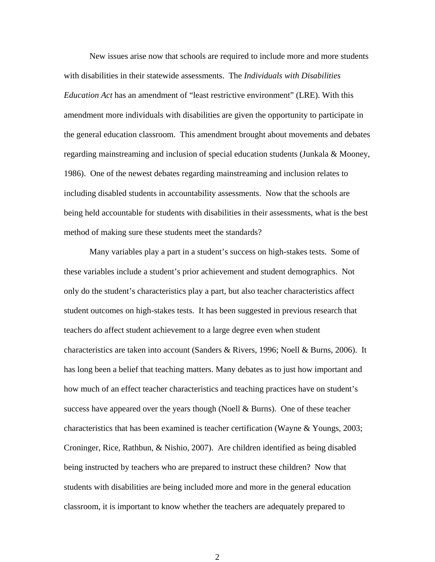New issues arise now that schools are required to include more and more students with disabilities in their statewide assessments. The *Individuals with Disabilities Education Act* has an amendment of "least restrictive environment" (LRE). With this amendment more individuals with disabilities are given the opportunity to participate in the general education classroom. This amendment brought about movements and debates regarding mainstreaming and inclusion of special education students (Junkala & Mooney, 1986). One of the newest debates regarding mainstreaming and inclusion relates to including disabled students in accountability assessments. Now that the schools are being held accountable for students with disabilities in their assessments, what is the best method of making sure these students meet the standards?

 Many variables play a part in a student's success on high-stakes tests. Some of these variables include a student's prior achievement and student demographics. Not only do the student's characteristics play a part, but also teacher characteristics affect student outcomes on high-stakes tests. It has been suggested in previous research that teachers do affect student achievement to a large degree even when student characteristics are taken into account (Sanders & Rivers, 1996; Noell & Burns, 2006). It has long been a belief that teaching matters. Many debates as to just how important and how much of an effect teacher characteristics and teaching practices have on student's success have appeared over the years though (Noell  $\&$  Burns). One of these teacher characteristics that has been examined is teacher certification (Wayne & Youngs, 2003; Croninger, Rice, Rathbun, & Nishio, 2007). Are children identified as being disabled being instructed by teachers who are prepared to instruct these children? Now that students with disabilities are being included more and more in the general education classroom, it is important to know whether the teachers are adequately prepared to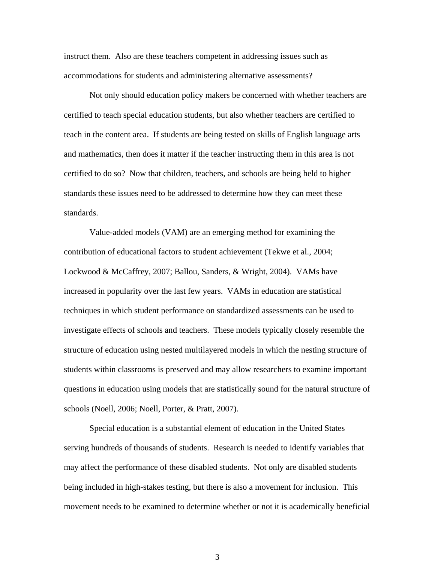instruct them. Also are these teachers competent in addressing issues such as accommodations for students and administering alternative assessments?

 Not only should education policy makers be concerned with whether teachers are certified to teach special education students, but also whether teachers are certified to teach in the content area. If students are being tested on skills of English language arts and mathematics, then does it matter if the teacher instructing them in this area is not certified to do so? Now that children, teachers, and schools are being held to higher standards these issues need to be addressed to determine how they can meet these standards.

 Value-added models (VAM) are an emerging method for examining the contribution of educational factors to student achievement (Tekwe et al., 2004; Lockwood & McCaffrey, 2007; Ballou, Sanders, & Wright, 2004). VAMs have increased in popularity over the last few years. VAMs in education are statistical techniques in which student performance on standardized assessments can be used to investigate effects of schools and teachers. These models typically closely resemble the structure of education using nested multilayered models in which the nesting structure of students within classrooms is preserved and may allow researchers to examine important questions in education using models that are statistically sound for the natural structure of schools (Noell, 2006; Noell, Porter, & Pratt, 2007).

Special education is a substantial element of education in the United States serving hundreds of thousands of students. Research is needed to identify variables that may affect the performance of these disabled students. Not only are disabled students being included in high-stakes testing, but there is also a movement for inclusion. This movement needs to be examined to determine whether or not it is academically beneficial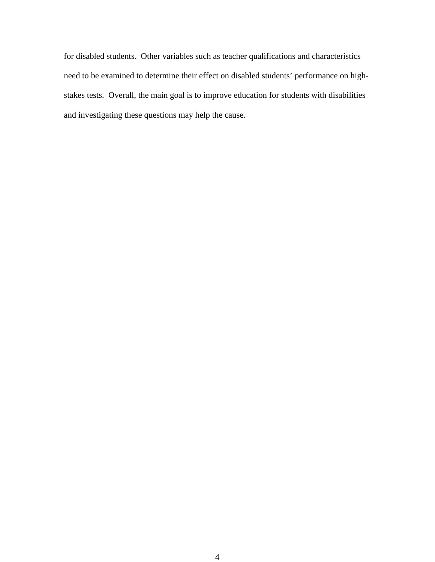for disabled students. Other variables such as teacher qualifications and characteristics need to be examined to determine their effect on disabled students' performance on highstakes tests. Overall, the main goal is to improve education for students with disabilities and investigating these questions may help the cause.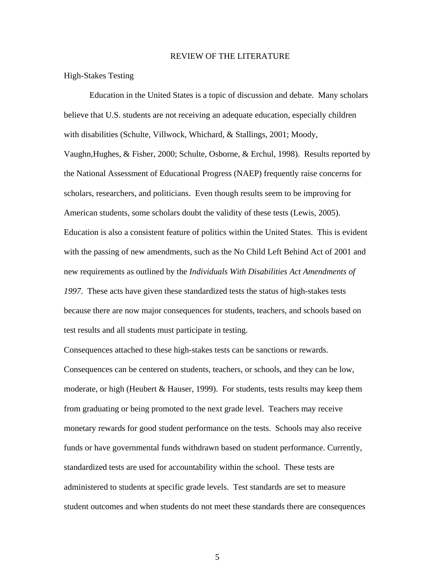#### REVIEW OF THE LITERATURE

#### High-Stakes Testing

 Education in the United States is a topic of discussion and debate. Many scholars believe that U.S. students are not receiving an adequate education, especially children with disabilities (Schulte, Villwock, Whichard, & Stallings, 2001; Moody, Vaughn,Hughes, & Fisher, 2000; Schulte, Osborne, & Erchul, 1998). Results reported by the National Assessment of Educational Progress (NAEP) frequently raise concerns for scholars, researchers, and politicians. Even though results seem to be improving for American students, some scholars doubt the validity of these tests (Lewis, 2005). Education is also a consistent feature of politics within the United States. This is evident with the passing of new amendments, such as the No Child Left Behind Act of 2001 and new requirements as outlined by the *Individuals With Disabilities Act Amendments of 1997*. These acts have given these standardized tests the status of high-stakes tests because there are now major consequences for students, teachers, and schools based on test results and all students must participate in testing.

Consequences attached to these high-stakes tests can be sanctions or rewards. Consequences can be centered on students, teachers, or schools, and they can be low, moderate, or high (Heubert & Hauser, 1999). For students, tests results may keep them from graduating or being promoted to the next grade level. Teachers may receive monetary rewards for good student performance on the tests. Schools may also receive funds or have governmental funds withdrawn based on student performance. Currently, standardized tests are used for accountability within the school. These tests are administered to students at specific grade levels. Test standards are set to measure student outcomes and when students do not meet these standards there are consequences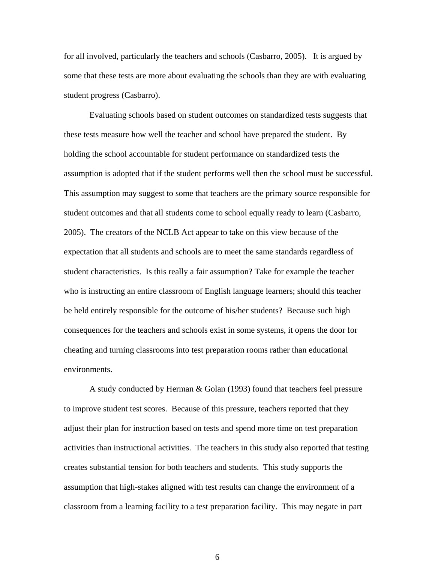for all involved, particularly the teachers and schools (Casbarro, 2005). It is argued by some that these tests are more about evaluating the schools than they are with evaluating student progress (Casbarro).

 Evaluating schools based on student outcomes on standardized tests suggests that these tests measure how well the teacher and school have prepared the student. By holding the school accountable for student performance on standardized tests the assumption is adopted that if the student performs well then the school must be successful. This assumption may suggest to some that teachers are the primary source responsible for student outcomes and that all students come to school equally ready to learn (Casbarro, 2005). The creators of the NCLB Act appear to take on this view because of the expectation that all students and schools are to meet the same standards regardless of student characteristics. Is this really a fair assumption? Take for example the teacher who is instructing an entire classroom of English language learners; should this teacher be held entirely responsible for the outcome of his/her students? Because such high consequences for the teachers and schools exist in some systems, it opens the door for cheating and turning classrooms into test preparation rooms rather than educational environments.

 A study conducted by Herman & Golan (1993) found that teachers feel pressure to improve student test scores. Because of this pressure, teachers reported that they adjust their plan for instruction based on tests and spend more time on test preparation activities than instructional activities. The teachers in this study also reported that testing creates substantial tension for both teachers and students. This study supports the assumption that high-stakes aligned with test results can change the environment of a classroom from a learning facility to a test preparation facility. This may negate in part

 $\sim$  6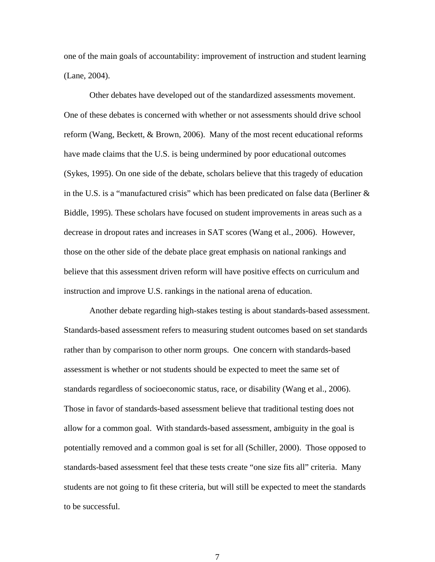one of the main goals of accountability: improvement of instruction and student learning (Lane, 2004).

 Other debates have developed out of the standardized assessments movement. One of these debates is concerned with whether or not assessments should drive school reform (Wang, Beckett, & Brown, 2006). Many of the most recent educational reforms have made claims that the U.S. is being undermined by poor educational outcomes (Sykes, 1995). On one side of the debate, scholars believe that this tragedy of education in the U.S. is a "manufactured crisis" which has been predicated on false data (Berliner  $\&$ Biddle, 1995). These scholars have focused on student improvements in areas such as a decrease in dropout rates and increases in SAT scores (Wang et al., 2006). However, those on the other side of the debate place great emphasis on national rankings and believe that this assessment driven reform will have positive effects on curriculum and instruction and improve U.S. rankings in the national arena of education.

 Another debate regarding high-stakes testing is about standards-based assessment. Standards-based assessment refers to measuring student outcomes based on set standards rather than by comparison to other norm groups. One concern with standards-based assessment is whether or not students should be expected to meet the same set of standards regardless of socioeconomic status, race, or disability (Wang et al., 2006). Those in favor of standards-based assessment believe that traditional testing does not allow for a common goal. With standards-based assessment, ambiguity in the goal is potentially removed and a common goal is set for all (Schiller, 2000). Those opposed to standards-based assessment feel that these tests create "one size fits all" criteria. Many students are not going to fit these criteria, but will still be expected to meet the standards to be successful.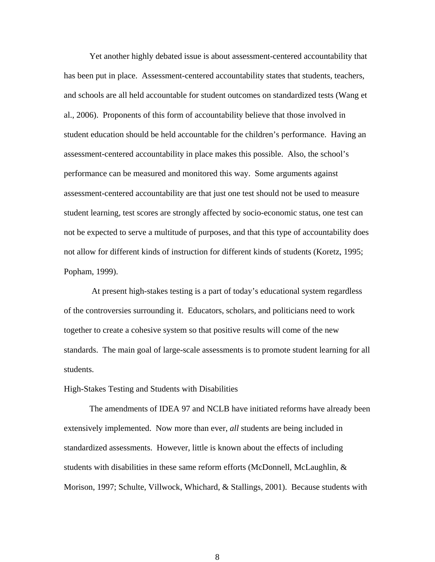Yet another highly debated issue is about assessment-centered accountability that has been put in place. Assessment-centered accountability states that students, teachers, and schools are all held accountable for student outcomes on standardized tests (Wang et al., 2006). Proponents of this form of accountability believe that those involved in student education should be held accountable for the children's performance. Having an assessment-centered accountability in place makes this possible. Also, the school's performance can be measured and monitored this way. Some arguments against assessment-centered accountability are that just one test should not be used to measure student learning, test scores are strongly affected by socio-economic status, one test can not be expected to serve a multitude of purposes, and that this type of accountability does not allow for different kinds of instruction for different kinds of students (Koretz, 1995; Popham, 1999).

 At present high-stakes testing is a part of today's educational system regardless of the controversies surrounding it. Educators, scholars, and politicians need to work together to create a cohesive system so that positive results will come of the new standards. The main goal of large-scale assessments is to promote student learning for all students.

#### High-Stakes Testing and Students with Disabilities

The amendments of IDEA 97 and NCLB have initiated reforms have already been extensively implemented. Now more than ever, *all* students are being included in standardized assessments. However, little is known about the effects of including students with disabilities in these same reform efforts (McDonnell, McLaughlin, & Morison, 1997; Schulte, Villwock, Whichard, & Stallings, 2001). Because students with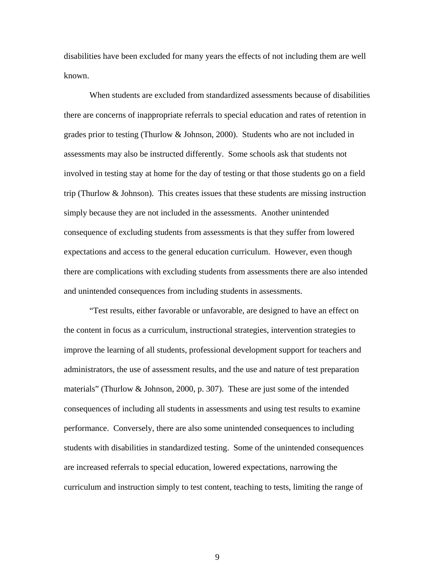disabilities have been excluded for many years the effects of not including them are well known.

When students are excluded from standardized assessments because of disabilities there are concerns of inappropriate referrals to special education and rates of retention in grades prior to testing (Thurlow & Johnson, 2000). Students who are not included in assessments may also be instructed differently. Some schools ask that students not involved in testing stay at home for the day of testing or that those students go on a field trip (Thurlow  $\&$  Johnson). This creates issues that these students are missing instruction simply because they are not included in the assessments. Another unintended consequence of excluding students from assessments is that they suffer from lowered expectations and access to the general education curriculum. However, even though there are complications with excluding students from assessments there are also intended and unintended consequences from including students in assessments.

"Test results, either favorable or unfavorable, are designed to have an effect on the content in focus as a curriculum, instructional strategies, intervention strategies to improve the learning of all students, professional development support for teachers and administrators, the use of assessment results, and the use and nature of test preparation materials" (Thurlow & Johnson, 2000, p. 307). These are just some of the intended consequences of including all students in assessments and using test results to examine performance. Conversely, there are also some unintended consequences to including students with disabilities in standardized testing. Some of the unintended consequences are increased referrals to special education, lowered expectations, narrowing the curriculum and instruction simply to test content, teaching to tests, limiting the range of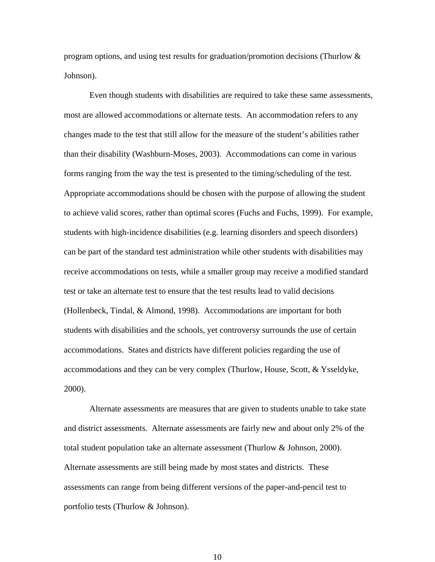program options, and using test results for graduation/promotion decisions (Thurlow & Johnson).

Even though students with disabilities are required to take these same assessments, most are allowed accommodations or alternate tests. An accommodation refers to any changes made to the test that still allow for the measure of the student's abilities rather than their disability (Washburn-Moses, 2003). Accommodations can come in various forms ranging from the way the test is presented to the timing/scheduling of the test. Appropriate accommodations should be chosen with the purpose of allowing the student to achieve valid scores, rather than optimal scores (Fuchs and Fuchs, 1999). For example, students with high-incidence disabilities (e.g. learning disorders and speech disorders) can be part of the standard test administration while other students with disabilities may receive accommodations on tests, while a smaller group may receive a modified standard test or take an alternate test to ensure that the test results lead to valid decisions (Hollenbeck, Tindal, & Almond, 1998). Accommodations are important for both students with disabilities and the schools, yet controversy surrounds the use of certain accommodations. States and districts have different policies regarding the use of accommodations and they can be very complex (Thurlow, House, Scott, & Ysseldyke, 2000).

Alternate assessments are measures that are given to students unable to take state and district assessments. Alternate assessments are fairly new and about only 2% of the total student population take an alternate assessment (Thurlow & Johnson, 2000). Alternate assessments are still being made by most states and districts. These assessments can range from being different versions of the paper-and-pencil test to portfolio tests (Thurlow & Johnson).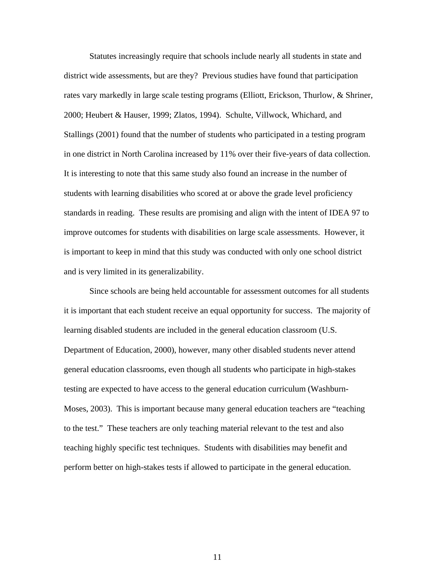Statutes increasingly require that schools include nearly all students in state and district wide assessments, but are they? Previous studies have found that participation rates vary markedly in large scale testing programs (Elliott, Erickson, Thurlow, & Shriner, 2000; Heubert & Hauser, 1999; Zlatos, 1994). Schulte, Villwock, Whichard, and Stallings (2001) found that the number of students who participated in a testing program in one district in North Carolina increased by 11% over their five-years of data collection. It is interesting to note that this same study also found an increase in the number of students with learning disabilities who scored at or above the grade level proficiency standards in reading. These results are promising and align with the intent of IDEA 97 to improve outcomes for students with disabilities on large scale assessments. However, it is important to keep in mind that this study was conducted with only one school district and is very limited in its generalizability.

Since schools are being held accountable for assessment outcomes for all students it is important that each student receive an equal opportunity for success. The majority of learning disabled students are included in the general education classroom (U.S. Department of Education, 2000), however, many other disabled students never attend general education classrooms, even though all students who participate in high-stakes testing are expected to have access to the general education curriculum (Washburn-Moses, 2003). This is important because many general education teachers are "teaching to the test." These teachers are only teaching material relevant to the test and also teaching highly specific test techniques. Students with disabilities may benefit and perform better on high-stakes tests if allowed to participate in the general education.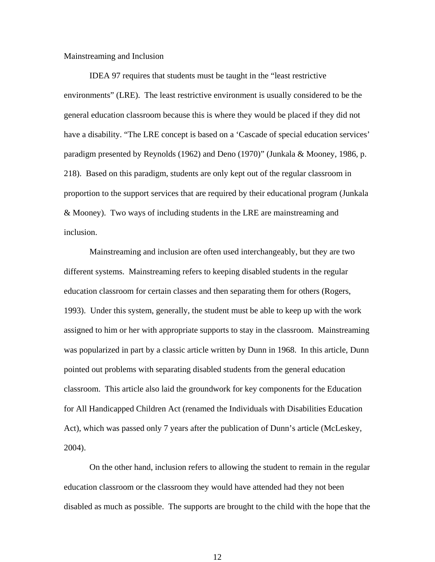Mainstreaming and Inclusion

IDEA 97 requires that students must be taught in the "least restrictive environments" (LRE). The least restrictive environment is usually considered to be the general education classroom because this is where they would be placed if they did not have a disability. "The LRE concept is based on a 'Cascade of special education services' paradigm presented by Reynolds (1962) and Deno (1970)" (Junkala & Mooney, 1986, p. 218). Based on this paradigm, students are only kept out of the regular classroom in proportion to the support services that are required by their educational program (Junkala & Mooney). Two ways of including students in the LRE are mainstreaming and inclusion.

 Mainstreaming and inclusion are often used interchangeably, but they are two different systems. Mainstreaming refers to keeping disabled students in the regular education classroom for certain classes and then separating them for others (Rogers, 1993). Under this system, generally, the student must be able to keep up with the work assigned to him or her with appropriate supports to stay in the classroom. Mainstreaming was popularized in part by a classic article written by Dunn in 1968. In this article, Dunn pointed out problems with separating disabled students from the general education classroom. This article also laid the groundwork for key components for the Education for All Handicapped Children Act (renamed the Individuals with Disabilities Education Act), which was passed only 7 years after the publication of Dunn's article (McLeskey, 2004).

On the other hand, inclusion refers to allowing the student to remain in the regular education classroom or the classroom they would have attended had they not been disabled as much as possible. The supports are brought to the child with the hope that the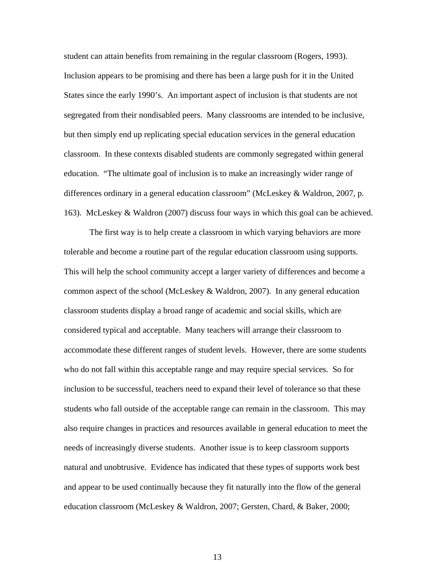student can attain benefits from remaining in the regular classroom (Rogers, 1993). Inclusion appears to be promising and there has been a large push for it in the United States since the early 1990's. An important aspect of inclusion is that students are not segregated from their nondisabled peers. Many classrooms are intended to be inclusive, but then simply end up replicating special education services in the general education classroom. In these contexts disabled students are commonly segregated within general education. "The ultimate goal of inclusion is to make an increasingly wider range of differences ordinary in a general education classroom" (McLeskey & Waldron, 2007, p. 163). McLeskey & Waldron (2007) discuss four ways in which this goal can be achieved.

 The first way is to help create a classroom in which varying behaviors are more tolerable and become a routine part of the regular education classroom using supports. This will help the school community accept a larger variety of differences and become a common aspect of the school (McLeskey & Waldron, 2007). In any general education classroom students display a broad range of academic and social skills, which are considered typical and acceptable. Many teachers will arrange their classroom to accommodate these different ranges of student levels. However, there are some students who do not fall within this acceptable range and may require special services. So for inclusion to be successful, teachers need to expand their level of tolerance so that these students who fall outside of the acceptable range can remain in the classroom. This may also require changes in practices and resources available in general education to meet the needs of increasingly diverse students. Another issue is to keep classroom supports natural and unobtrusive. Evidence has indicated that these types of supports work best and appear to be used continually because they fit naturally into the flow of the general education classroom (McLeskey & Waldron, 2007; Gersten, Chard, & Baker, 2000;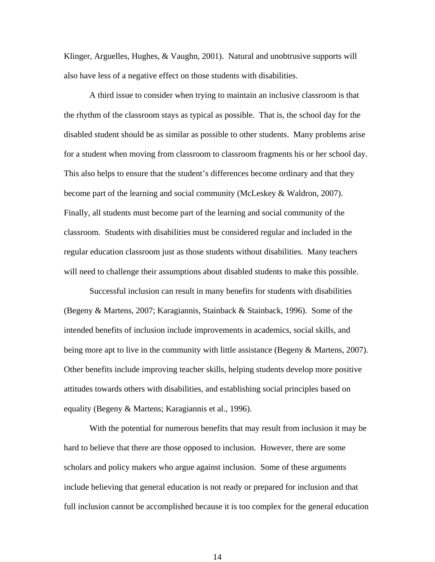Klinger, Arguelles, Hughes, & Vaughn, 2001). Natural and unobtrusive supports will also have less of a negative effect on those students with disabilities.

 A third issue to consider when trying to maintain an inclusive classroom is that the rhythm of the classroom stays as typical as possible. That is, the school day for the disabled student should be as similar as possible to other students. Many problems arise for a student when moving from classroom to classroom fragments his or her school day. This also helps to ensure that the student's differences become ordinary and that they become part of the learning and social community (McLeskey & Waldron, 2007). Finally, all students must become part of the learning and social community of the classroom. Students with disabilities must be considered regular and included in the regular education classroom just as those students without disabilities. Many teachers will need to challenge their assumptions about disabled students to make this possible.

Successful inclusion can result in many benefits for students with disabilities (Begeny & Martens, 2007; Karagiannis, Stainback & Stainback, 1996). Some of the intended benefits of inclusion include improvements in academics, social skills, and being more apt to live in the community with little assistance (Begeny & Martens, 2007). Other benefits include improving teacher skills, helping students develop more positive attitudes towards others with disabilities, and establishing social principles based on equality (Begeny & Martens; Karagiannis et al., 1996).

With the potential for numerous benefits that may result from inclusion it may be hard to believe that there are those opposed to inclusion. However, there are some scholars and policy makers who argue against inclusion. Some of these arguments include believing that general education is not ready or prepared for inclusion and that full inclusion cannot be accomplished because it is too complex for the general education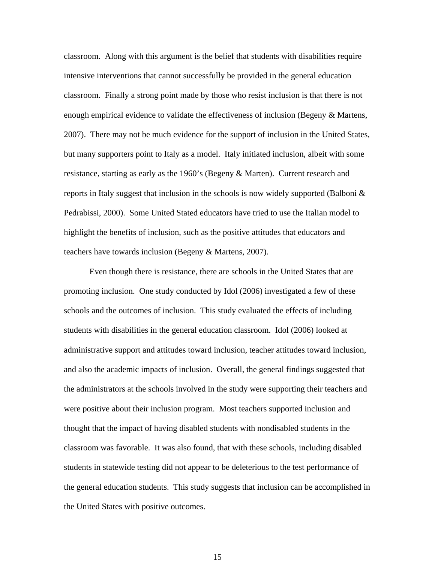classroom. Along with this argument is the belief that students with disabilities require intensive interventions that cannot successfully be provided in the general education classroom. Finally a strong point made by those who resist inclusion is that there is not enough empirical evidence to validate the effectiveness of inclusion (Begeny & Martens, 2007). There may not be much evidence for the support of inclusion in the United States, but many supporters point to Italy as a model. Italy initiated inclusion, albeit with some resistance, starting as early as the 1960's (Begeny & Marten). Current research and reports in Italy suggest that inclusion in the schools is now widely supported (Balboni  $\&$ Pedrabissi, 2000). Some United Stated educators have tried to use the Italian model to highlight the benefits of inclusion, such as the positive attitudes that educators and teachers have towards inclusion (Begeny & Martens, 2007).

Even though there is resistance, there are schools in the United States that are promoting inclusion. One study conducted by Idol (2006) investigated a few of these schools and the outcomes of inclusion. This study evaluated the effects of including students with disabilities in the general education classroom. Idol (2006) looked at administrative support and attitudes toward inclusion, teacher attitudes toward inclusion, and also the academic impacts of inclusion. Overall, the general findings suggested that the administrators at the schools involved in the study were supporting their teachers and were positive about their inclusion program. Most teachers supported inclusion and thought that the impact of having disabled students with nondisabled students in the classroom was favorable. It was also found, that with these schools, including disabled students in statewide testing did not appear to be deleterious to the test performance of the general education students. This study suggests that inclusion can be accomplished in the United States with positive outcomes.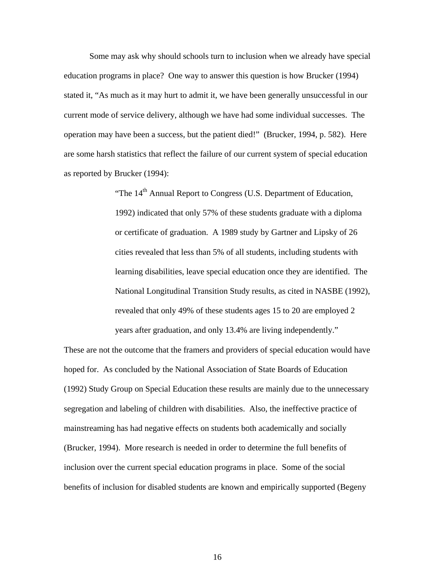Some may ask why should schools turn to inclusion when we already have special education programs in place? One way to answer this question is how Brucker (1994) stated it, "As much as it may hurt to admit it, we have been generally unsuccessful in our current mode of service delivery, although we have had some individual successes. The operation may have been a success, but the patient died!" (Brucker, 1994, p. 582). Here are some harsh statistics that reflect the failure of our current system of special education as reported by Brucker (1994):

> "The 14<sup>th</sup> Annual Report to Congress (U.S. Department of Education, 1992) indicated that only 57% of these students graduate with a diploma or certificate of graduation. A 1989 study by Gartner and Lipsky of 26 cities revealed that less than 5% of all students, including students with learning disabilities, leave special education once they are identified. The National Longitudinal Transition Study results, as cited in NASBE (1992), revealed that only 49% of these students ages 15 to 20 are employed 2 years after graduation, and only 13.4% are living independently."

These are not the outcome that the framers and providers of special education would have hoped for. As concluded by the National Association of State Boards of Education (1992) Study Group on Special Education these results are mainly due to the unnecessary segregation and labeling of children with disabilities. Also, the ineffective practice of mainstreaming has had negative effects on students both academically and socially (Brucker, 1994). More research is needed in order to determine the full benefits of inclusion over the current special education programs in place. Some of the social benefits of inclusion for disabled students are known and empirically supported (Begeny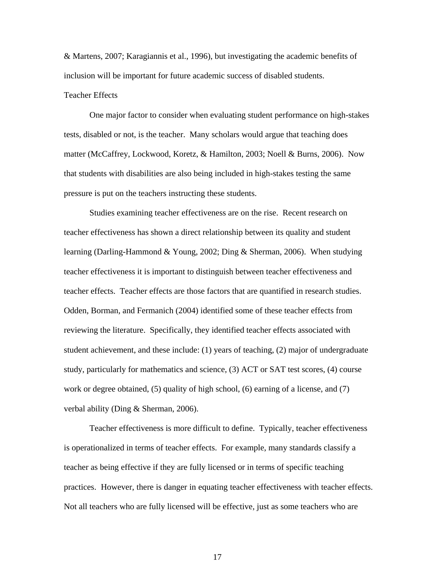& Martens, 2007; Karagiannis et al., 1996), but investigating the academic benefits of inclusion will be important for future academic success of disabled students. Teacher Effects

One major factor to consider when evaluating student performance on high-stakes tests, disabled or not, is the teacher. Many scholars would argue that teaching does matter (McCaffrey, Lockwood, Koretz, & Hamilton, 2003; Noell & Burns, 2006). Now that students with disabilities are also being included in high-stakes testing the same pressure is put on the teachers instructing these students.

 Studies examining teacher effectiveness are on the rise. Recent research on teacher effectiveness has shown a direct relationship between its quality and student learning (Darling-Hammond & Young, 2002; Ding & Sherman, 2006). When studying teacher effectiveness it is important to distinguish between teacher effectiveness and teacher effects. Teacher effects are those factors that are quantified in research studies. Odden, Borman, and Fermanich (2004) identified some of these teacher effects from reviewing the literature. Specifically, they identified teacher effects associated with student achievement, and these include: (1) years of teaching, (2) major of undergraduate study, particularly for mathematics and science, (3) ACT or SAT test scores, (4) course work or degree obtained, (5) quality of high school, (6) earning of a license, and (7) verbal ability (Ding & Sherman, 2006).

 Teacher effectiveness is more difficult to define. Typically, teacher effectiveness is operationalized in terms of teacher effects. For example, many standards classify a teacher as being effective if they are fully licensed or in terms of specific teaching practices. However, there is danger in equating teacher effectiveness with teacher effects. Not all teachers who are fully licensed will be effective, just as some teachers who are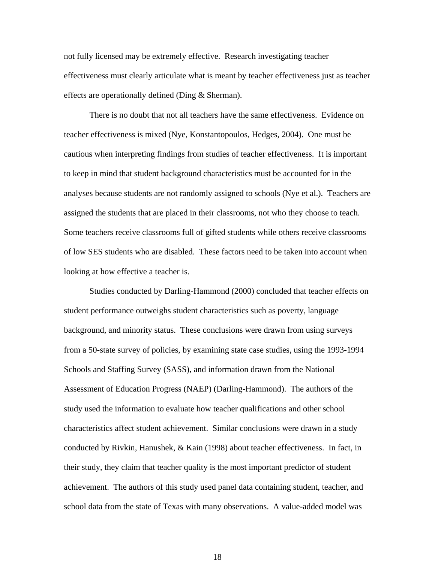not fully licensed may be extremely effective. Research investigating teacher effectiveness must clearly articulate what is meant by teacher effectiveness just as teacher effects are operationally defined (Ding & Sherman).

There is no doubt that not all teachers have the same effectiveness. Evidence on teacher effectiveness is mixed (Nye, Konstantopoulos, Hedges, 2004). One must be cautious when interpreting findings from studies of teacher effectiveness. It is important to keep in mind that student background characteristics must be accounted for in the analyses because students are not randomly assigned to schools (Nye et al.). Teachers are assigned the students that are placed in their classrooms, not who they choose to teach. Some teachers receive classrooms full of gifted students while others receive classrooms of low SES students who are disabled. These factors need to be taken into account when looking at how effective a teacher is.

Studies conducted by Darling-Hammond (2000) concluded that teacher effects on student performance outweighs student characteristics such as poverty, language background, and minority status. These conclusions were drawn from using surveys from a 50-state survey of policies, by examining state case studies, using the 1993-1994 Schools and Staffing Survey (SASS), and information drawn from the National Assessment of Education Progress (NAEP) (Darling-Hammond). The authors of the study used the information to evaluate how teacher qualifications and other school characteristics affect student achievement. Similar conclusions were drawn in a study conducted by Rivkin, Hanushek, & Kain (1998) about teacher effectiveness. In fact, in their study, they claim that teacher quality is the most important predictor of student achievement. The authors of this study used panel data containing student, teacher, and school data from the state of Texas with many observations. A value-added model was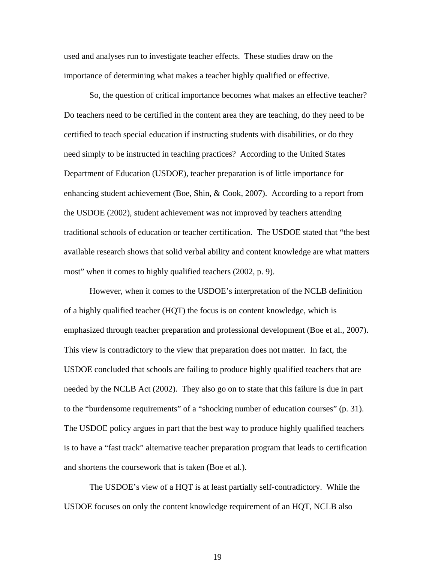used and analyses run to investigate teacher effects. These studies draw on the importance of determining what makes a teacher highly qualified or effective.

So, the question of critical importance becomes what makes an effective teacher? Do teachers need to be certified in the content area they are teaching, do they need to be certified to teach special education if instructing students with disabilities, or do they need simply to be instructed in teaching practices? According to the United States Department of Education (USDOE), teacher preparation is of little importance for enhancing student achievement (Boe, Shin, & Cook, 2007). According to a report from the USDOE (2002), student achievement was not improved by teachers attending traditional schools of education or teacher certification. The USDOE stated that "the best available research shows that solid verbal ability and content knowledge are what matters most" when it comes to highly qualified teachers (2002, p. 9).

However, when it comes to the USDOE's interpretation of the NCLB definition of a highly qualified teacher (HQT) the focus is on content knowledge, which is emphasized through teacher preparation and professional development (Boe et al., 2007). This view is contradictory to the view that preparation does not matter. In fact, the USDOE concluded that schools are failing to produce highly qualified teachers that are needed by the NCLB Act (2002). They also go on to state that this failure is due in part to the "burdensome requirements" of a "shocking number of education courses" (p. 31). The USDOE policy argues in part that the best way to produce highly qualified teachers is to have a "fast track" alternative teacher preparation program that leads to certification and shortens the coursework that is taken (Boe et al.).

The USDOE's view of a HQT is at least partially self-contradictory. While the USDOE focuses on only the content knowledge requirement of an HQT, NCLB also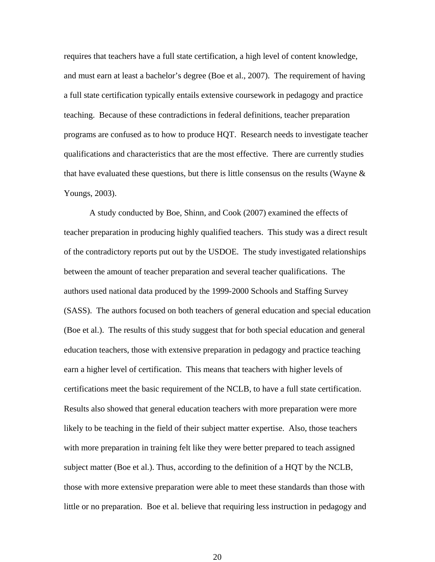requires that teachers have a full state certification, a high level of content knowledge, and must earn at least a bachelor's degree (Boe et al., 2007). The requirement of having a full state certification typically entails extensive coursework in pedagogy and practice teaching. Because of these contradictions in federal definitions, teacher preparation programs are confused as to how to produce HQT. Research needs to investigate teacher qualifications and characteristics that are the most effective. There are currently studies that have evaluated these questions, but there is little consensus on the results (Wayne  $\&$ Youngs, 2003).

A study conducted by Boe, Shinn, and Cook (2007) examined the effects of teacher preparation in producing highly qualified teachers. This study was a direct result of the contradictory reports put out by the USDOE. The study investigated relationships between the amount of teacher preparation and several teacher qualifications. The authors used national data produced by the 1999-2000 Schools and Staffing Survey (SASS). The authors focused on both teachers of general education and special education (Boe et al.). The results of this study suggest that for both special education and general education teachers, those with extensive preparation in pedagogy and practice teaching earn a higher level of certification. This means that teachers with higher levels of certifications meet the basic requirement of the NCLB, to have a full state certification. Results also showed that general education teachers with more preparation were more likely to be teaching in the field of their subject matter expertise. Also, those teachers with more preparation in training felt like they were better prepared to teach assigned subject matter (Boe et al.). Thus, according to the definition of a HQT by the NCLB, those with more extensive preparation were able to meet these standards than those with little or no preparation. Boe et al. believe that requiring less instruction in pedagogy and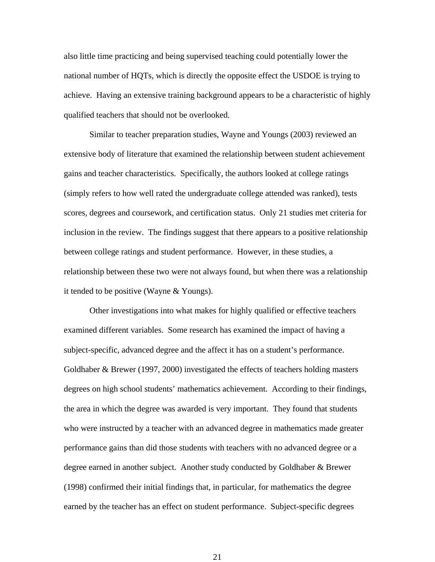also little time practicing and being supervised teaching could potentially lower the national number of HQTs, which is directly the opposite effect the USDOE is trying to achieve. Having an extensive training background appears to be a characteristic of highly qualified teachers that should not be overlooked.

Similar to teacher preparation studies, Wayne and Youngs (2003) reviewed an extensive body of literature that examined the relationship between student achievement gains and teacher characteristics. Specifically, the authors looked at college ratings (simply refers to how well rated the undergraduate college attended was ranked), tests scores, degrees and coursework, and certification status. Only 21 studies met criteria for inclusion in the review. The findings suggest that there appears to a positive relationship between college ratings and student performance. However, in these studies, a relationship between these two were not always found, but when there was a relationship it tended to be positive (Wayne & Youngs).

Other investigations into what makes for highly qualified or effective teachers examined different variables. Some research has examined the impact of having a subject-specific, advanced degree and the affect it has on a student's performance. Goldhaber & Brewer (1997, 2000) investigated the effects of teachers holding masters degrees on high school students' mathematics achievement. According to their findings, the area in which the degree was awarded is very important. They found that students who were instructed by a teacher with an advanced degree in mathematics made greater performance gains than did those students with teachers with no advanced degree or a degree earned in another subject. Another study conducted by Goldhaber & Brewer (1998) confirmed their initial findings that, in particular, for mathematics the degree earned by the teacher has an effect on student performance. Subject-specific degrees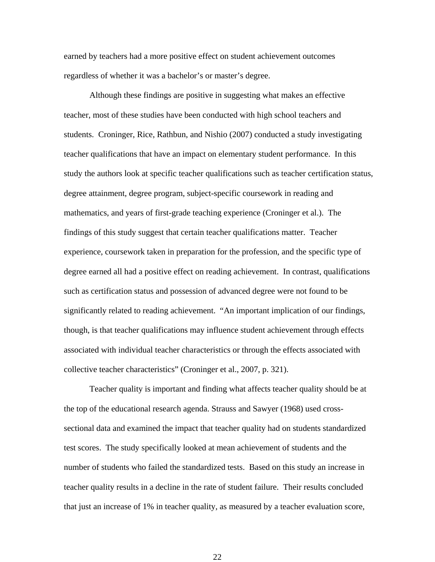earned by teachers had a more positive effect on student achievement outcomes regardless of whether it was a bachelor's or master's degree.

Although these findings are positive in suggesting what makes an effective teacher, most of these studies have been conducted with high school teachers and students. Croninger, Rice, Rathbun, and Nishio (2007) conducted a study investigating teacher qualifications that have an impact on elementary student performance. In this study the authors look at specific teacher qualifications such as teacher certification status, degree attainment, degree program, subject-specific coursework in reading and mathematics, and years of first-grade teaching experience (Croninger et al.). The findings of this study suggest that certain teacher qualifications matter. Teacher experience, coursework taken in preparation for the profession, and the specific type of degree earned all had a positive effect on reading achievement. In contrast, qualifications such as certification status and possession of advanced degree were not found to be significantly related to reading achievement. "An important implication of our findings, though, is that teacher qualifications may influence student achievement through effects associated with individual teacher characteristics or through the effects associated with collective teacher characteristics" (Croninger et al., 2007, p. 321).

Teacher quality is important and finding what affects teacher quality should be at the top of the educational research agenda. Strauss and Sawyer (1968) used crosssectional data and examined the impact that teacher quality had on students standardized test scores. The study specifically looked at mean achievement of students and the number of students who failed the standardized tests. Based on this study an increase in teacher quality results in a decline in the rate of student failure. Their results concluded that just an increase of 1% in teacher quality, as measured by a teacher evaluation score,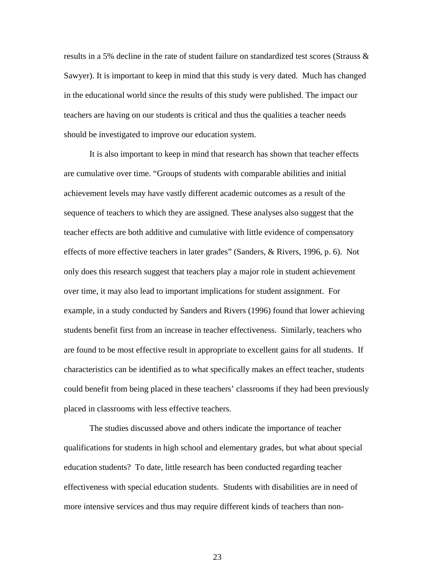results in a 5% decline in the rate of student failure on standardized test scores (Strauss  $\&$ Sawyer). It is important to keep in mind that this study is very dated. Much has changed in the educational world since the results of this study were published. The impact our teachers are having on our students is critical and thus the qualities a teacher needs should be investigated to improve our education system.

It is also important to keep in mind that research has shown that teacher effects are cumulative over time. "Groups of students with comparable abilities and initial achievement levels may have vastly different academic outcomes as a result of the sequence of teachers to which they are assigned. These analyses also suggest that the teacher effects are both additive and cumulative with little evidence of compensatory effects of more effective teachers in later grades" (Sanders, & Rivers, 1996, p. 6). Not only does this research suggest that teachers play a major role in student achievement over time, it may also lead to important implications for student assignment. For example, in a study conducted by Sanders and Rivers (1996) found that lower achieving students benefit first from an increase in teacher effectiveness. Similarly, teachers who are found to be most effective result in appropriate to excellent gains for all students. If characteristics can be identified as to what specifically makes an effect teacher, students could benefit from being placed in these teachers' classrooms if they had been previously placed in classrooms with less effective teachers.

The studies discussed above and others indicate the importance of teacher qualifications for students in high school and elementary grades, but what about special education students? To date, little research has been conducted regarding teacher effectiveness with special education students. Students with disabilities are in need of more intensive services and thus may require different kinds of teachers than non-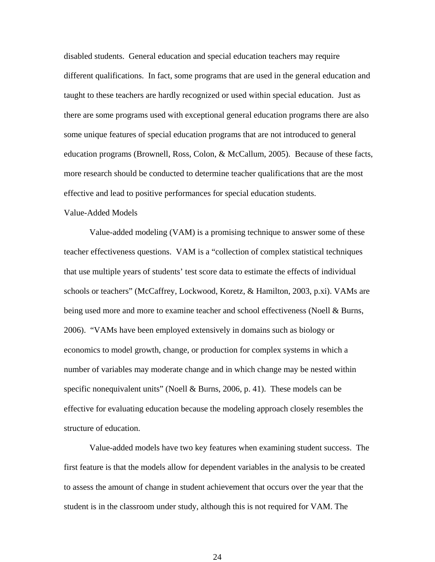disabled students. General education and special education teachers may require different qualifications. In fact, some programs that are used in the general education and taught to these teachers are hardly recognized or used within special education. Just as there are some programs used with exceptional general education programs there are also some unique features of special education programs that are not introduced to general education programs (Brownell, Ross, Colon, & McCallum, 2005). Because of these facts, more research should be conducted to determine teacher qualifications that are the most effective and lead to positive performances for special education students.

#### Value-Added Models

 Value-added modeling (VAM) is a promising technique to answer some of these teacher effectiveness questions. VAM is a "collection of complex statistical techniques that use multiple years of students' test score data to estimate the effects of individual schools or teachers" (McCaffrey, Lockwood, Koretz, & Hamilton, 2003, p.xi). VAMs are being used more and more to examine teacher and school effectiveness (Noell & Burns, 2006). "VAMs have been employed extensively in domains such as biology or economics to model growth, change, or production for complex systems in which a number of variables may moderate change and in which change may be nested within specific nonequivalent units" (Noell & Burns, 2006, p. 41). These models can be effective for evaluating education because the modeling approach closely resembles the structure of education.

 Value-added models have two key features when examining student success. The first feature is that the models allow for dependent variables in the analysis to be created to assess the amount of change in student achievement that occurs over the year that the student is in the classroom under study, although this is not required for VAM. The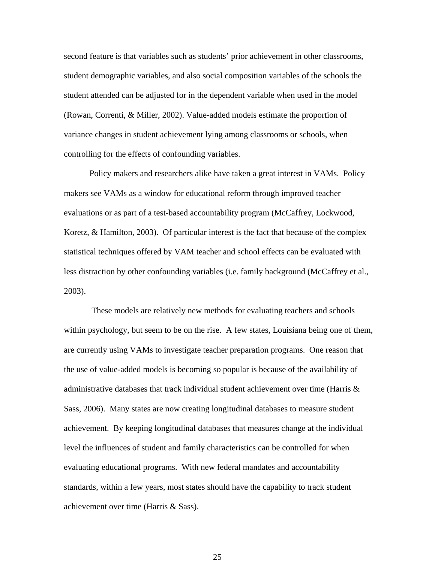second feature is that variables such as students' prior achievement in other classrooms, student demographic variables, and also social composition variables of the schools the student attended can be adjusted for in the dependent variable when used in the model (Rowan, Correnti, & Miller, 2002). Value-added models estimate the proportion of variance changes in student achievement lying among classrooms or schools, when controlling for the effects of confounding variables.

Policy makers and researchers alike have taken a great interest in VAMs. Policy makers see VAMs as a window for educational reform through improved teacher evaluations or as part of a test-based accountability program (McCaffrey, Lockwood, Koretz, & Hamilton, 2003). Of particular interest is the fact that because of the complex statistical techniques offered by VAM teacher and school effects can be evaluated with less distraction by other confounding variables (i.e. family background (McCaffrey et al., 2003).

 These models are relatively new methods for evaluating teachers and schools within psychology, but seem to be on the rise. A few states, Louisiana being one of them, are currently using VAMs to investigate teacher preparation programs. One reason that the use of value-added models is becoming so popular is because of the availability of administrative databases that track individual student achievement over time (Harris & Sass, 2006). Many states are now creating longitudinal databases to measure student achievement. By keeping longitudinal databases that measures change at the individual level the influences of student and family characteristics can be controlled for when evaluating educational programs. With new federal mandates and accountability standards, within a few years, most states should have the capability to track student achievement over time (Harris & Sass).

<u>25</u>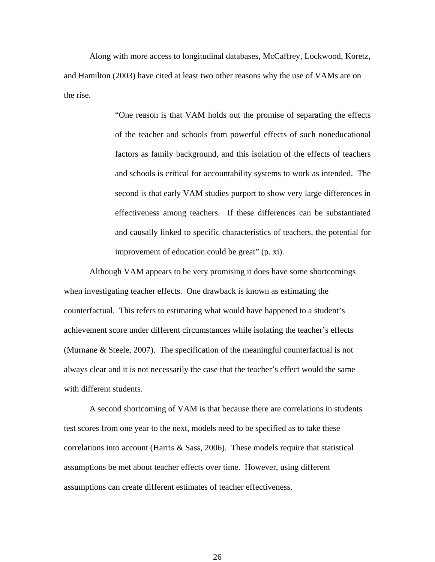Along with more access to longitudinal databases, McCaffrey, Lockwood, Koretz, and Hamilton (2003) have cited at least two other reasons why the use of VAMs are on the rise.

> "One reason is that VAM holds out the promise of separating the effects of the teacher and schools from powerful effects of such noneducational factors as family background, and this isolation of the effects of teachers and schools is critical for accountability systems to work as intended. The second is that early VAM studies purport to show very large differences in effectiveness among teachers. If these differences can be substantiated and causally linked to specific characteristics of teachers, the potential for improvement of education could be great" (p. xi).

 Although VAM appears to be very promising it does have some shortcomings when investigating teacher effects. One drawback is known as estimating the counterfactual. This refers to estimating what would have happened to a student's achievement score under different circumstances while isolating the teacher's effects (Murnane & Steele, 2007). The specification of the meaningful counterfactual is not always clear and it is not necessarily the case that the teacher's effect would the same with different students.

 A second shortcoming of VAM is that because there are correlations in students test scores from one year to the next, models need to be specified as to take these correlations into account (Harris & Sass, 2006). These models require that statistical assumptions be met about teacher effects over time. However, using different assumptions can create different estimates of teacher effectiveness.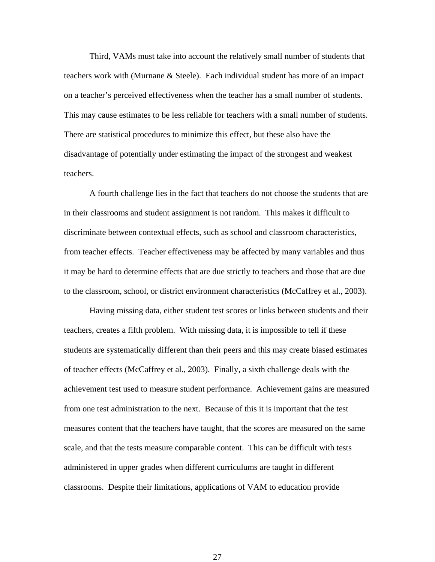Third, VAMs must take into account the relatively small number of students that teachers work with (Murnane & Steele). Each individual student has more of an impact on a teacher's perceived effectiveness when the teacher has a small number of students. This may cause estimates to be less reliable for teachers with a small number of students. There are statistical procedures to minimize this effect, but these also have the disadvantage of potentially under estimating the impact of the strongest and weakest teachers.

 A fourth challenge lies in the fact that teachers do not choose the students that are in their classrooms and student assignment is not random. This makes it difficult to discriminate between contextual effects, such as school and classroom characteristics, from teacher effects. Teacher effectiveness may be affected by many variables and thus it may be hard to determine effects that are due strictly to teachers and those that are due to the classroom, school, or district environment characteristics (McCaffrey et al., 2003).

 Having missing data, either student test scores or links between students and their teachers, creates a fifth problem. With missing data, it is impossible to tell if these students are systematically different than their peers and this may create biased estimates of teacher effects (McCaffrey et al., 2003). Finally, a sixth challenge deals with the achievement test used to measure student performance. Achievement gains are measured from one test administration to the next. Because of this it is important that the test measures content that the teachers have taught, that the scores are measured on the same scale, and that the tests measure comparable content. This can be difficult with tests administered in upper grades when different curriculums are taught in different classrooms. Despite their limitations, applications of VAM to education provide

<u>27 and 27</u>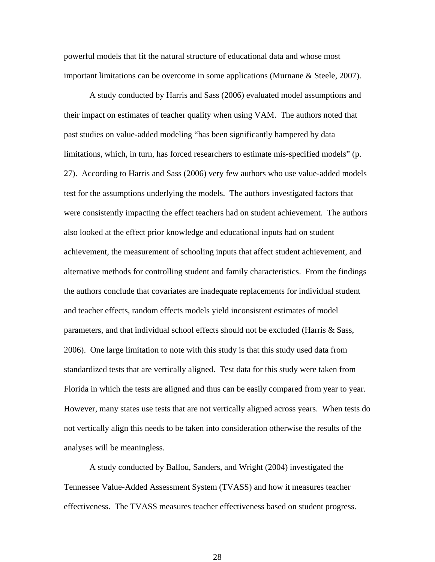powerful models that fit the natural structure of educational data and whose most important limitations can be overcome in some applications (Murnane & Steele, 2007).

 A study conducted by Harris and Sass (2006) evaluated model assumptions and their impact on estimates of teacher quality when using VAM. The authors noted that past studies on value-added modeling "has been significantly hampered by data limitations, which, in turn, has forced researchers to estimate mis-specified models" (p. 27). According to Harris and Sass (2006) very few authors who use value-added models test for the assumptions underlying the models. The authors investigated factors that were consistently impacting the effect teachers had on student achievement. The authors also looked at the effect prior knowledge and educational inputs had on student achievement, the measurement of schooling inputs that affect student achievement, and alternative methods for controlling student and family characteristics. From the findings the authors conclude that covariates are inadequate replacements for individual student and teacher effects, random effects models yield inconsistent estimates of model parameters, and that individual school effects should not be excluded (Harris & Sass, 2006). One large limitation to note with this study is that this study used data from standardized tests that are vertically aligned. Test data for this study were taken from Florida in which the tests are aligned and thus can be easily compared from year to year. However, many states use tests that are not vertically aligned across years. When tests do not vertically align this needs to be taken into consideration otherwise the results of the analyses will be meaningless.

 A study conducted by Ballou, Sanders, and Wright (2004) investigated the Tennessee Value-Added Assessment System (TVASS) and how it measures teacher effectiveness. The TVASS measures teacher effectiveness based on student progress.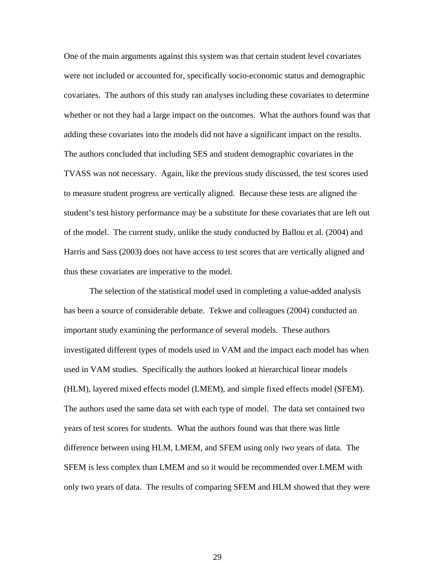One of the main arguments against this system was that certain student level covariates were not included or accounted for, specifically socio-economic status and demographic covariates. The authors of this study ran analyses including these covariates to determine whether or not they had a large impact on the outcomes. What the authors found was that adding these covariates into the models did not have a significant impact on the results. The authors concluded that including SES and student demographic covariates in the TVASS was not necessary. Again, like the previous study discussed, the test scores used to measure student progress are vertically aligned. Because these tests are aligned the student's test history performance may be a substitute for these covariates that are left out of the model. The current study, unlike the study conducted by Ballou et al. (2004) and Harris and Sass (2003) does not have access to test scores that are vertically aligned and thus these covariates are imperative to the model.

 The selection of the statistical model used in completing a value-added analysis has been a source of considerable debate. Tekwe and colleagues (2004) conducted an important study examining the performance of several models. These authors investigated different types of models used in VAM and the impact each model has when used in VAM studies. Specifically the authors looked at hierarchical linear models (HLM), layered mixed effects model (LMEM), and simple fixed effects model (SFEM). The authors used the same data set with each type of model. The data set contained two years of test scores for students. What the authors found was that there was little difference between using HLM, LMEM, and SFEM using only two years of data. The SFEM is less complex than LMEM and so it would be recommended over LMEM with only two years of data. The results of comparing SFEM and HLM showed that they were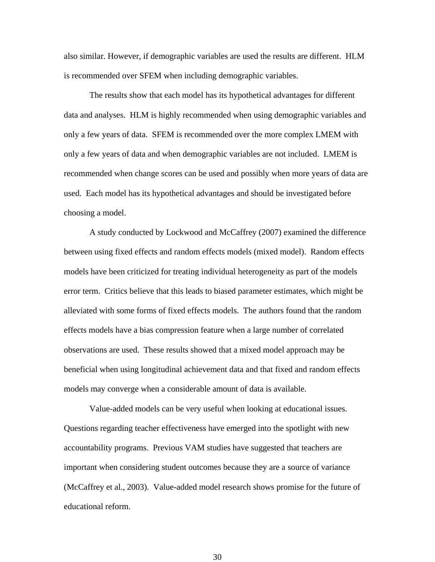also similar. However, if demographic variables are used the results are different. HLM is recommended over SFEM when including demographic variables.

The results show that each model has its hypothetical advantages for different data and analyses. HLM is highly recommended when using demographic variables and only a few years of data. SFEM is recommended over the more complex LMEM with only a few years of data and when demographic variables are not included. LMEM is recommended when change scores can be used and possibly when more years of data are used. Each model has its hypothetical advantages and should be investigated before choosing a model.

 A study conducted by Lockwood and McCaffrey (2007) examined the difference between using fixed effects and random effects models (mixed model). Random effects models have been criticized for treating individual heterogeneity as part of the models error term. Critics believe that this leads to biased parameter estimates, which might be alleviated with some forms of fixed effects models. The authors found that the random effects models have a bias compression feature when a large number of correlated observations are used. These results showed that a mixed model approach may be beneficial when using longitudinal achievement data and that fixed and random effects models may converge when a considerable amount of data is available.

 Value-added models can be very useful when looking at educational issues. Questions regarding teacher effectiveness have emerged into the spotlight with new accountability programs. Previous VAM studies have suggested that teachers are important when considering student outcomes because they are a source of variance (McCaffrey et al., 2003). Value-added model research shows promise for the future of educational reform.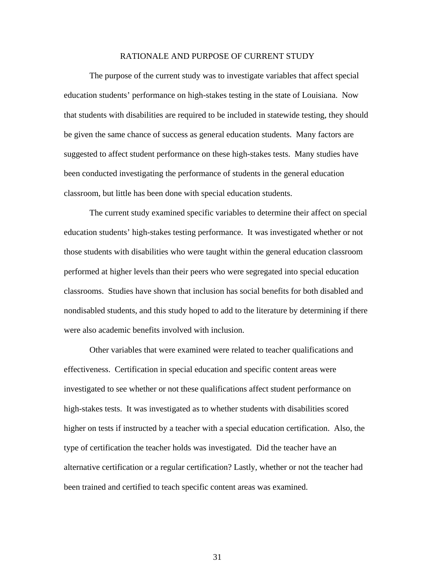### RATIONALE AND PURPOSE OF CURRENT STUDY

 The purpose of the current study was to investigate variables that affect special education students' performance on high-stakes testing in the state of Louisiana. Now that students with disabilities are required to be included in statewide testing, they should be given the same chance of success as general education students. Many factors are suggested to affect student performance on these high-stakes tests. Many studies have been conducted investigating the performance of students in the general education classroom, but little has been done with special education students.

The current study examined specific variables to determine their affect on special education students' high-stakes testing performance. It was investigated whether or not those students with disabilities who were taught within the general education classroom performed at higher levels than their peers who were segregated into special education classrooms. Studies have shown that inclusion has social benefits for both disabled and nondisabled students, and this study hoped to add to the literature by determining if there were also academic benefits involved with inclusion.

Other variables that were examined were related to teacher qualifications and effectiveness. Certification in special education and specific content areas were investigated to see whether or not these qualifications affect student performance on high-stakes tests. It was investigated as to whether students with disabilities scored higher on tests if instructed by a teacher with a special education certification. Also, the type of certification the teacher holds was investigated. Did the teacher have an alternative certification or a regular certification? Lastly, whether or not the teacher had been trained and certified to teach specific content areas was examined.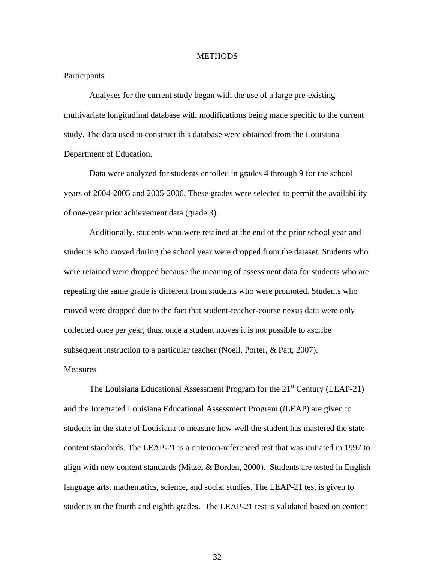#### **METHODS**

### Participants

 Analyses for the current study began with the use of a large pre-existing multivariate longitudinal database with modifications being made specific to the current study. The data used to construct this database were obtained from the Louisiana Department of Education.

Data were analyzed for students enrolled in grades 4 through 9 for the school years of 2004-2005 and 2005-2006. These grades were selected to permit the availability of one-year prior achievement data (grade 3).

 Additionally, students who were retained at the end of the prior school year and students who moved during the school year were dropped from the dataset. Students who were retained were dropped because the meaning of assessment data for students who are repeating the same grade is different from students who were promoted. Students who moved were dropped due to the fact that student-teacher-course nexus data were only collected once per year, thus, once a student moves it is not possible to ascribe subsequent instruction to a particular teacher (Noell, Porter, & Patt, 2007).

## **Measures**

The Louisiana Educational Assessment Program for the  $21<sup>st</sup>$  Century (LEAP-21) and the Integrated Louisiana Educational Assessment Program (*i*LEAP) are given to students in the state of Louisiana to measure how well the student has mastered the state content standards. The LEAP-21 is a criterion-referenced test that was initiated in 1997 to align with new content standards (Mitzel & Borden, 2000). Students are tested in English language arts, mathematics, science, and social studies. The LEAP-21 test is given to students in the fourth and eighth grades. The LEAP-21 test is validated based on content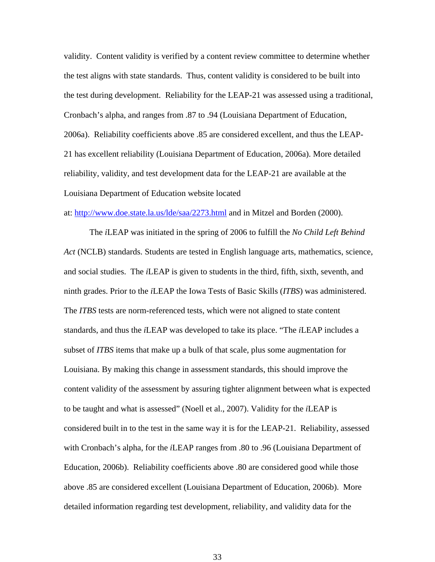validity. Content validity is verified by a content review committee to determine whether the test aligns with state standards. Thus, content validity is considered to be built into the test during development. Reliability for the LEAP-21 was assessed using a traditional, Cronbach's alpha, and ranges from .87 to .94 (Louisiana Department of Education, 2006a). Reliability coefficients above .85 are considered excellent, and thus the LEAP-21 has excellent reliability (Louisiana Department of Education, 2006a). More detailed reliability, validity, and test development data for the LEAP-21 are available at the Louisiana Department of Education website located

at:<http://www.doe.state.la.us/lde/saa/2273.html> and in Mitzel and Borden (2000).

The *i*LEAP was initiated in the spring of 2006 to fulfill the *No Child Left Behind Act* (NCLB) standards. Students are tested in English language arts, mathematics, science, and social studies. The *i*LEAP is given to students in the third, fifth, sixth, seventh, and ninth grades. Prior to the *i*LEAP the Iowa Tests of Basic Skills (*ITBS*) was administered. The *ITBS* tests are norm-referenced tests, which were not aligned to state content standards, and thus the *i*LEAP was developed to take its place. "The *i*LEAP includes a subset of *ITBS* items that make up a bulk of that scale, plus some augmentation for Louisiana. By making this change in assessment standards, this should improve the content validity of the assessment by assuring tighter alignment between what is expected to be taught and what is assessed" (Noell et al., 2007). Validity for the *i*LEAP is considered built in to the test in the same way it is for the LEAP-21. Reliability, assessed with Cronbach's alpha, for the *i*LEAP ranges from .80 to .96 (Louisiana Department of Education, 2006b). Reliability coefficients above .80 are considered good while those above .85 are considered excellent (Louisiana Department of Education, 2006b). More detailed information regarding test development, reliability, and validity data for the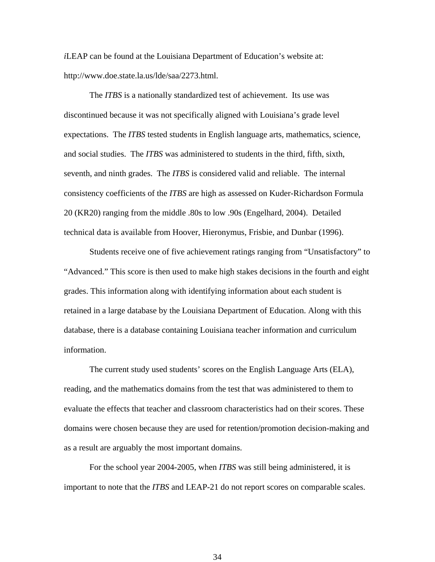*i*LEAP can be found at the Louisiana Department of Education's website at: http://www.doe.state.la.us/lde/saa/2273.html.

The *ITBS* is a nationally standardized test of achievement. Its use was discontinued because it was not specifically aligned with Louisiana's grade level expectations. The *ITBS* tested students in English language arts, mathematics, science, and social studies. The *ITBS* was administered to students in the third, fifth, sixth, seventh, and ninth grades. The *ITBS* is considered valid and reliable. The internal consistency coefficients of the *ITBS* are high as assessed on Kuder-Richardson Formula 20 (KR20) ranging from the middle .80s to low .90s (Engelhard, 2004). Detailed technical data is available from Hoover, Hieronymus, Frisbie, and Dunbar (1996).

Students receive one of five achievement ratings ranging from "Unsatisfactory" to "Advanced." This score is then used to make high stakes decisions in the fourth and eight grades. This information along with identifying information about each student is retained in a large database by the Louisiana Department of Education. Along with this database, there is a database containing Louisiana teacher information and curriculum information.

The current study used students' scores on the English Language Arts (ELA), reading, and the mathematics domains from the test that was administered to them to evaluate the effects that teacher and classroom characteristics had on their scores. These domains were chosen because they are used for retention/promotion decision-making and as a result are arguably the most important domains.

 For the school year 2004-2005, when *ITBS* was still being administered, it is important to note that the *ITBS* and LEAP-21 do not report scores on comparable scales.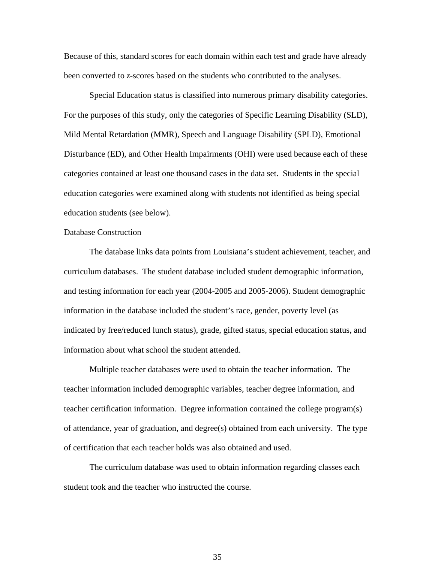Because of this, standard scores for each domain within each test and grade have already been converted to *z*-scores based on the students who contributed to the analyses.

 Special Education status is classified into numerous primary disability categories. For the purposes of this study, only the categories of Specific Learning Disability (SLD), Mild Mental Retardation (MMR), Speech and Language Disability (SPLD), Emotional Disturbance (ED), and Other Health Impairments (OHI) were used because each of these categories contained at least one thousand cases in the data set. Students in the special education categories were examined along with students not identified as being special education students (see below).

## Database Construction

The database links data points from Louisiana's student achievement, teacher, and curriculum databases. The student database included student demographic information, and testing information for each year (2004-2005 and 2005-2006). Student demographic information in the database included the student's race, gender, poverty level (as indicated by free/reduced lunch status), grade, gifted status, special education status, and information about what school the student attended.

Multiple teacher databases were used to obtain the teacher information. The teacher information included demographic variables, teacher degree information, and teacher certification information. Degree information contained the college program(s) of attendance, year of graduation, and degree(s) obtained from each university. The type of certification that each teacher holds was also obtained and used.

The curriculum database was used to obtain information regarding classes each student took and the teacher who instructed the course.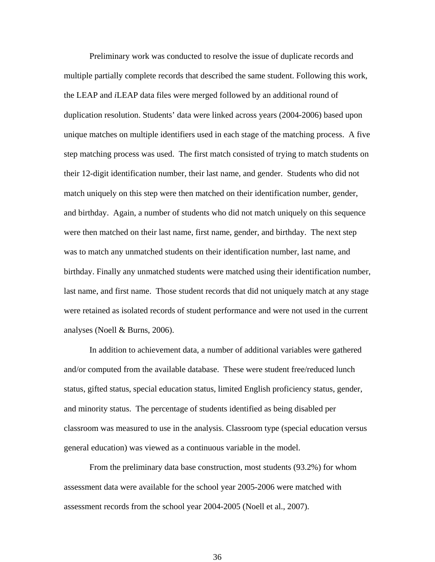Preliminary work was conducted to resolve the issue of duplicate records and multiple partially complete records that described the same student. Following this work, the LEAP and *i*LEAP data files were merged followed by an additional round of duplication resolution. Students' data were linked across years (2004-2006) based upon unique matches on multiple identifiers used in each stage of the matching process. A five step matching process was used. The first match consisted of trying to match students on their 12-digit identification number, their last name, and gender. Students who did not match uniquely on this step were then matched on their identification number, gender, and birthday. Again, a number of students who did not match uniquely on this sequence were then matched on their last name, first name, gender, and birthday. The next step was to match any unmatched students on their identification number, last name, and birthday. Finally any unmatched students were matched using their identification number, last name, and first name. Those student records that did not uniquely match at any stage were retained as isolated records of student performance and were not used in the current analyses (Noell & Burns, 2006).

In addition to achievement data, a number of additional variables were gathered and/or computed from the available database. These were student free/reduced lunch status, gifted status, special education status, limited English proficiency status, gender, and minority status. The percentage of students identified as being disabled per classroom was measured to use in the analysis. Classroom type (special education versus general education) was viewed as a continuous variable in the model.

From the preliminary data base construction, most students (93.2%) for whom assessment data were available for the school year 2005-2006 were matched with assessment records from the school year 2004-2005 (Noell et al., 2007).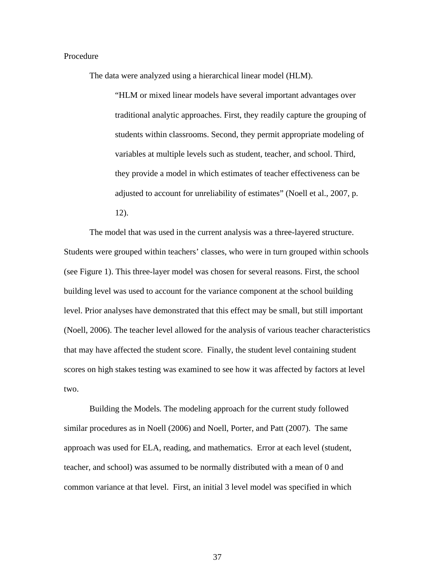Procedure

The data were analyzed using a hierarchical linear model (HLM).

"HLM or mixed linear models have several important advantages over traditional analytic approaches. First, they readily capture the grouping of students within classrooms. Second, they permit appropriate modeling of variables at multiple levels such as student, teacher, and school. Third, they provide a model in which estimates of teacher effectiveness can be adjusted to account for unreliability of estimates" (Noell et al., 2007, p. 12).

The model that was used in the current analysis was a three-layered structure. Students were grouped within teachers' classes, who were in turn grouped within schools (see Figure 1). This three-layer model was chosen for several reasons. First, the school building level was used to account for the variance component at the school building level. Prior analyses have demonstrated that this effect may be small, but still important (Noell, 2006). The teacher level allowed for the analysis of various teacher characteristics that may have affected the student score. Finally, the student level containing student scores on high stakes testing was examined to see how it was affected by factors at level two.

Building the Models*.* The modeling approach for the current study followed similar procedures as in Noell (2006) and Noell, Porter, and Patt (2007). The same approach was used for ELA, reading, and mathematics. Error at each level (student, teacher, and school) was assumed to be normally distributed with a mean of 0 and common variance at that level. First, an initial 3 level model was specified in which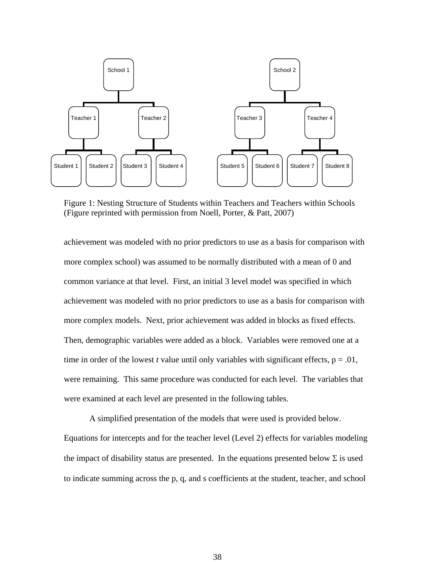

Figure 1: Nesting Structure of Students within Teachers and Teachers within Schools (Figure reprinted with permission from Noell, Porter, & Patt, 2007)

achievement was modeled with no prior predictors to use as a basis for comparison with more complex school) was assumed to be normally distributed with a mean of 0 and common variance at that level. First, an initial 3 level model was specified in which achievement was modeled with no prior predictors to use as a basis for comparison with more complex models. Next, prior achievement was added in blocks as fixed effects. Then, demographic variables were added as a block. Variables were removed one at a time in order of the lowest *t* value until only variables with significant effects,  $p = .01$ , were remaining. This same procedure was conducted for each level. The variables that were examined at each level are presented in the following tables.

A simplified presentation of the models that were used is provided below. Equations for intercepts and for the teacher level (Level 2) effects for variables modeling the impact of disability status are presented. In the equations presented below  $\Sigma$  is used to indicate summing across the p, q, and s coefficients at the student, teacher, and school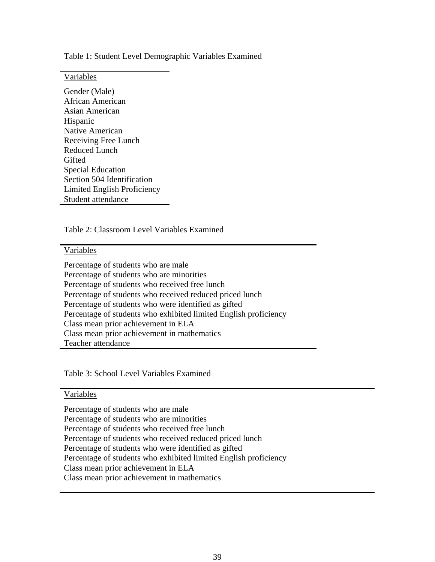Table 1: Student Level Demographic Variables Examined

Variables

Gender (Male) African American Asian American Hispanic Native American Receiving Free Lunch Reduced Lunch **Gifted** Special Education Section 504 Identification Limited English Proficiency Student attendance

Table 2: Classroom Level Variables Examined

# Variables

Percentage of students who are male Percentage of students who are minorities Percentage of students who received free lunch Percentage of students who received reduced priced lunch Percentage of students who were identified as gifted Percentage of students who exhibited limited English proficiency Class mean prior achievement in ELA Class mean prior achievement in mathematics Teacher attendance

Table 3: School Level Variables Examined

## Variables

Percentage of students who are male Percentage of students who are minorities Percentage of students who received free lunch Percentage of students who received reduced priced lunch Percentage of students who were identified as gifted Percentage of students who exhibited limited English proficiency Class mean prior achievement in ELA Class mean prior achievement in mathematics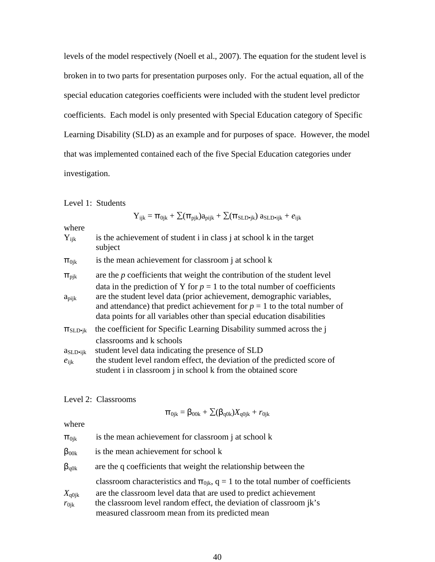levels of the model respectively (Noell et al., 2007). The equation for the student level is broken in to two parts for presentation purposes only. For the actual equation, all of the special education categories coefficients were included with the student level predictor coefficients. Each model is only presented with Special Education category of Specific Learning Disability (SLD) as an example and for purposes of space. However, the model that was implemented contained each of the five Special Education categories under investigation.

## Level 1: Students

 $Y_{ijk} = \pi_{0jk} + \sum (\pi_{pjk}) a_{pijk} + \sum (\pi_{SLD\bullet jk}) a_{SLD\bullet ijk} + e_{ijk}$ 

where

| $Y_{ijk}$                         | is the achievement of student i in class j at school k in the target<br>subject                                                                                                                                                                                                                                |
|-----------------------------------|----------------------------------------------------------------------------------------------------------------------------------------------------------------------------------------------------------------------------------------------------------------------------------------------------------------|
| $\pi_{0ik}$                       | is the mean achievement for classroom j at school k                                                                                                                                                                                                                                                            |
| $\Pi_{\text{pjk}}$                | are the $p$ coefficients that weight the contribution of the student level                                                                                                                                                                                                                                     |
| $a_{pijk}$                        | data in the prediction of Y for $p = 1$ to the total number of coefficients<br>are the student level data (prior achievement, demographic variables,<br>and attendance) that predict achievement for $p = 1$ to the total number of<br>data points for all variables other than special education disabilities |
| $\Pi_{SLD \bullet jk}$            | the coefficient for Specific Learning Disability summed across the j                                                                                                                                                                                                                                           |
| a <sub>SLD•ijk</sub><br>$e_{ijk}$ | classrooms and k schools<br>student level data indicating the presence of SLD<br>the student level random effect, the deviation of the predicted score of<br>student i in classroom j in school k from the obtained score                                                                                      |

Level 2: Classrooms

$$
\pi_{0jk} = \beta_{00k} + \sum (\beta_{q0k}) X_{q0jk} + r_{0jk}
$$

where

| $\pi_{0ik}$   | is the mean achievement for classroom j at school k                                     |
|---------------|-----------------------------------------------------------------------------------------|
| $\beta_{00k}$ | is the mean achievement for school k                                                    |
| $\beta_{q0k}$ | are the q coefficients that weight the relationship between the                         |
|               | classroom characteristics and $\pi_{0ik}$ , $q = 1$ to the total number of coefficients |
| $X_{q0jk}$    | are the classroom level data that are used to predict achievement                       |
| $r_{0ik}$     | the classroom level random effect, the deviation of classroom jk's                      |
|               | measured classroom mean from its predicted mean                                         |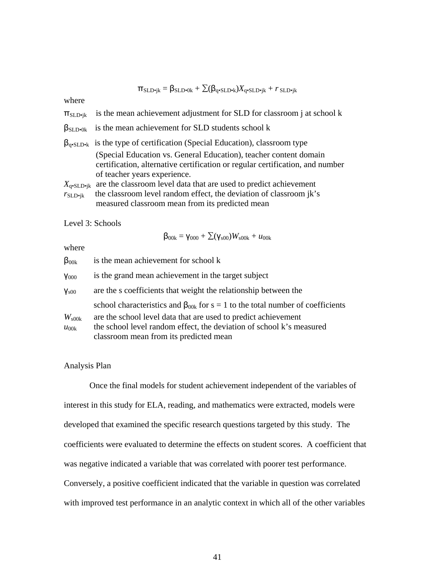$$
\pi_{\text{SLD}\bullet jk} = \beta_{\text{SLD}\bullet 0k} + \sum (\beta_{q\bullet \text{SLD}\bullet k}) X_{q\bullet \text{SLD}\bullet jk} + r_{\text{SLD}\bullet jk}
$$

where

| $\Pi_{\text{SLD}\bullet\text{ik}}$                    | is the mean achievement adjustment for SLD for classroom j at school k                                                                             |
|-------------------------------------------------------|----------------------------------------------------------------------------------------------------------------------------------------------------|
| $\beta_{SLD \bullet 0k}$                              | is the mean achievement for SLD students school k                                                                                                  |
|                                                       | $\beta_{q\text{-SLD-k}}$ is the type of certification (Special Education), classroom type                                                          |
|                                                       | (Special Education vs. General Education), teacher content domain<br>certification, alternative certification or regular certification, and number |
|                                                       | of teacher years experience.                                                                                                                       |
| $X_{\mathbf{q}\bullet\mathbf{SLD}\bullet\mathbf{jk}}$ | are the classroom level data that are used to predict achievement                                                                                  |
| $r_{\text{SLD} \cdot i k}$                            | the classroom level random effect, the deviation of classroom jk's                                                                                 |
|                                                       | measured classroom mean from its predicted mean                                                                                                    |

Level 3: Schools

$$
\beta_{00k} = \gamma_{000} + \sum(\gamma_{s00})W_{s00k} + u_{00k}
$$

where

| $\beta_{00k}$    | is the mean achievement for school k                                                   |
|------------------|----------------------------------------------------------------------------------------|
| Y <sub>000</sub> | is the grand mean achievement in the target subject                                    |
| $V_{s00}$        | are the s coefficients that weight the relationship between the                        |
|                  | school characteristics and $\beta_{00k}$ for s = 1 to the total number of coefficients |
| $W_{\rm s00k}$   | are the school level data that are used to predict achievement                         |
| $u_{00k}$        | the school level random effect, the deviation of school k's measured                   |
|                  | classroom mean from its predicted mean                                                 |

## Analysis Plan

 Once the final models for student achievement independent of the variables of interest in this study for ELA, reading, and mathematics were extracted, models were developed that examined the specific research questions targeted by this study. The coefficients were evaluated to determine the effects on student scores. A coefficient that was negative indicated a variable that was correlated with poorer test performance. Conversely, a positive coefficient indicated that the variable in question was correlated with improved test performance in an analytic context in which all of the other variables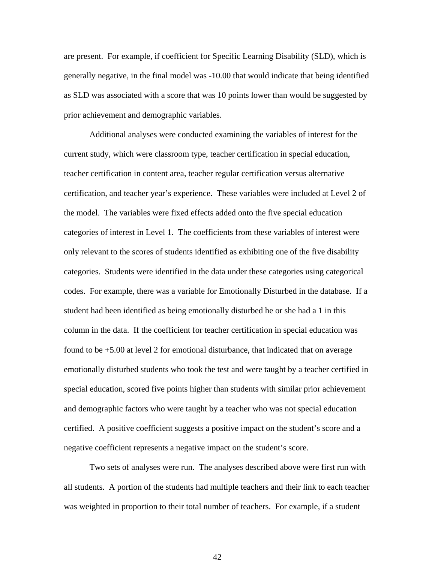are present. For example, if coefficient for Specific Learning Disability (SLD), which is generally negative, in the final model was -10.00 that would indicate that being identified as SLD was associated with a score that was 10 points lower than would be suggested by prior achievement and demographic variables.

 Additional analyses were conducted examining the variables of interest for the current study, which were classroom type, teacher certification in special education, teacher certification in content area, teacher regular certification versus alternative certification, and teacher year's experience. These variables were included at Level 2 of the model. The variables were fixed effects added onto the five special education categories of interest in Level 1. The coefficients from these variables of interest were only relevant to the scores of students identified as exhibiting one of the five disability categories. Students were identified in the data under these categories using categorical codes. For example, there was a variable for Emotionally Disturbed in the database. If a student had been identified as being emotionally disturbed he or she had a 1 in this column in the data. If the coefficient for teacher certification in special education was found to be +5.00 at level 2 for emotional disturbance, that indicated that on average emotionally disturbed students who took the test and were taught by a teacher certified in special education, scored five points higher than students with similar prior achievement and demographic factors who were taught by a teacher who was not special education certified. A positive coefficient suggests a positive impact on the student's score and a negative coefficient represents a negative impact on the student's score.

Two sets of analyses were run. The analyses described above were first run with all students. A portion of the students had multiple teachers and their link to each teacher was weighted in proportion to their total number of teachers. For example, if a student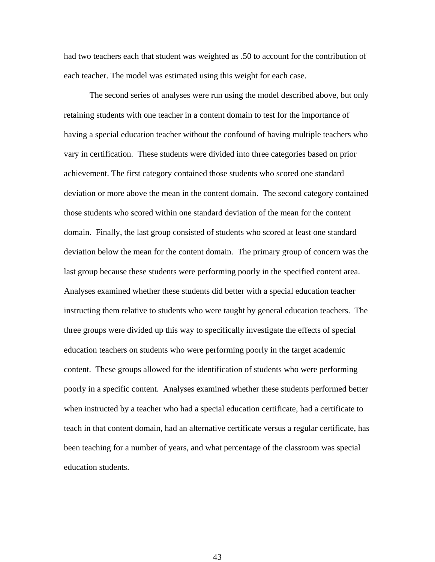had two teachers each that student was weighted as .50 to account for the contribution of each teacher. The model was estimated using this weight for each case.

The second series of analyses were run using the model described above, but only retaining students with one teacher in a content domain to test for the importance of having a special education teacher without the confound of having multiple teachers who vary in certification. These students were divided into three categories based on prior achievement. The first category contained those students who scored one standard deviation or more above the mean in the content domain. The second category contained those students who scored within one standard deviation of the mean for the content domain. Finally, the last group consisted of students who scored at least one standard deviation below the mean for the content domain. The primary group of concern was the last group because these students were performing poorly in the specified content area. Analyses examined whether these students did better with a special education teacher instructing them relative to students who were taught by general education teachers. The three groups were divided up this way to specifically investigate the effects of special education teachers on students who were performing poorly in the target academic content. These groups allowed for the identification of students who were performing poorly in a specific content. Analyses examined whether these students performed better when instructed by a teacher who had a special education certificate, had a certificate to teach in that content domain, had an alternative certificate versus a regular certificate, has been teaching for a number of years, and what percentage of the classroom was special education students.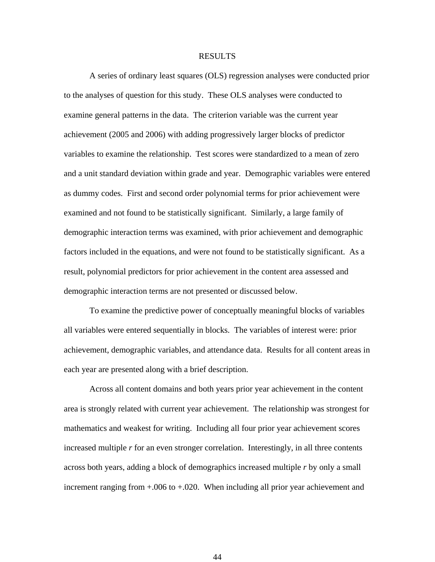#### RESULTS

A series of ordinary least squares (OLS) regression analyses were conducted prior to the analyses of question for this study. These OLS analyses were conducted to examine general patterns in the data. The criterion variable was the current year achievement (2005 and 2006) with adding progressively larger blocks of predictor variables to examine the relationship. Test scores were standardized to a mean of zero and a unit standard deviation within grade and year. Demographic variables were entered as dummy codes. First and second order polynomial terms for prior achievement were examined and not found to be statistically significant. Similarly, a large family of demographic interaction terms was examined, with prior achievement and demographic factors included in the equations, and were not found to be statistically significant. As a result, polynomial predictors for prior achievement in the content area assessed and demographic interaction terms are not presented or discussed below.

To examine the predictive power of conceptually meaningful blocks of variables all variables were entered sequentially in blocks. The variables of interest were: prior achievement, demographic variables, and attendance data. Results for all content areas in each year are presented along with a brief description.

Across all content domains and both years prior year achievement in the content area is strongly related with current year achievement. The relationship was strongest for mathematics and weakest for writing. Including all four prior year achievement scores increased multiple *r* for an even stronger correlation. Interestingly, in all three contents across both years, adding a block of demographics increased multiple *r* by only a small increment ranging from +.006 to +.020. When including all prior year achievement and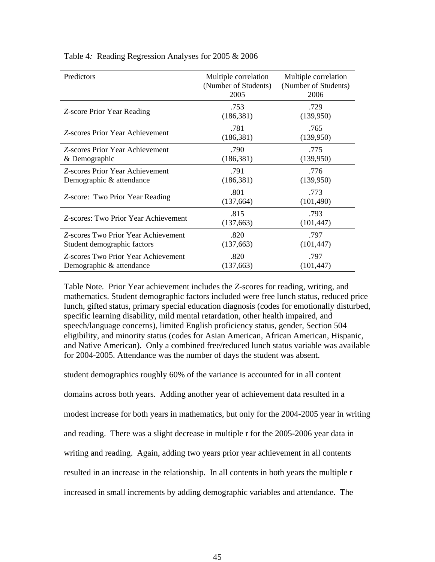| Predictors                                                         | Multiple correlation<br>(Number of Students)<br>2005 | Multiple correlation<br>(Number of Students)<br>2006 |
|--------------------------------------------------------------------|------------------------------------------------------|------------------------------------------------------|
| Z-score Prior Year Reading                                         | .753<br>(186, 381)                                   | .729<br>(139,950)                                    |
| Z-scores Prior Year Achievement                                    | .781<br>(186, 381)                                   | .765<br>(139,950)                                    |
| Z-scores Prior Year Achievement<br>& Demographic                   | .790<br>(186, 381)                                   | .775<br>(139,950)                                    |
| Z-scores Prior Year Achievement<br>Demographic & attendance        | .791<br>(186, 381)                                   | .776<br>(139,950)                                    |
| Z-score: Two Prior Year Reading                                    | .801<br>(137, 664)                                   | .773<br>(101, 490)                                   |
| Z-scores: Two Prior Year Achievement                               | .815<br>(137, 663)                                   | .793<br>(101, 447)                                   |
| Z-scores Two Prior Year Achievement<br>Student demographic factors | .820<br>(137, 663)                                   | .797<br>(101, 447)                                   |
| Z-scores Two Prior Year Achievement<br>Demographic & attendance    | .820<br>(137, 663)                                   | .797<br>(101, 447)                                   |

Table 4*:* Reading Regression Analyses for 2005 & 2006

Table Note*.* Prior Year achievement includes the *Z*-scores for reading, writing, and mathematics. Student demographic factor*s* included were free lunch status, reduced price lunch, gifted status, primary special education diagnosis (codes for emotionally disturbed, specific learning disability, mild mental retardation, other health impaired, and speech/language concerns), limited English proficiency status, gender, Section 504 eligibility, and minority status (codes for Asian American, African American, Hispanic, and Native American). Only a combined free/reduced lunch status variable was available for 2004-2005. Attendance was the number of days the student was absent.

student demographics roughly 60% of the variance is accounted for in all content

domains across both years. Adding another year of achievement data resulted in a

modest increase for both years in mathematics, but only for the 2004-2005 year in writing

and reading. There was a slight decrease in multiple r for the 2005-2006 year data in

writing and reading. Again, adding two years prior year achievement in all contents

resulted in an increase in the relationship. In all contents in both years the multiple r

increased in small increments by adding demographic variables and attendance. The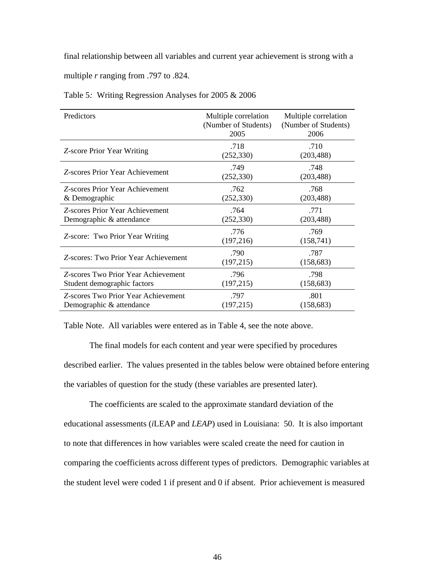final relationship between all variables and current year achievement is strong with a

multiple *r* ranging from .797 to .824.

| Predictors                                                         | Multiple correlation<br>(Number of Students)<br>2005 | Multiple correlation<br>(Number of Students)<br>2006 |
|--------------------------------------------------------------------|------------------------------------------------------|------------------------------------------------------|
| Z-score Prior Year Writing                                         | .718<br>(252, 330)                                   | .710<br>(203, 488)                                   |
| Z-scores Prior Year Achievement                                    | .749<br>(252, 330)                                   | .748<br>(203, 488)                                   |
| Z-scores Prior Year Achievement<br>& Demographic                   | .762<br>(252, 330)                                   | .768<br>(203, 488)                                   |
| Z-scores Prior Year Achievement<br>Demographic & attendance        | .764<br>(252, 330)                                   | .771<br>(203, 488)                                   |
| Z-score: Two Prior Year Writing                                    | .776<br>(197, 216)                                   | .769<br>(158, 741)                                   |
| Z-scores: Two Prior Year Achievement                               | .790<br>(197, 215)                                   | .787<br>(158, 683)                                   |
| Z-scores Two Prior Year Achievement<br>Student demographic factors | .796<br>(197, 215)                                   | .798<br>(158, 683)                                   |
| Z-scores Two Prior Year Achievement<br>Demographic & attendance    | .797<br>(197, 215)                                   | .801<br>(158, 683)                                   |

Table Note. All variables were entered as in Table 4, see the note above.

The final models for each content and year were specified by procedures described earlier. The values presented in the tables below were obtained before entering the variables of question for the study (these variables are presented later).

The coefficients are scaled to the approximate standard deviation of the educational assessments (*i*LEAP and *LEAP*) used in Louisiana: 50. It is also important to note that differences in how variables were scaled create the need for caution in comparing the coefficients across different types of predictors. Demographic variables at the student level were coded 1 if present and 0 if absent. Prior achievement is measured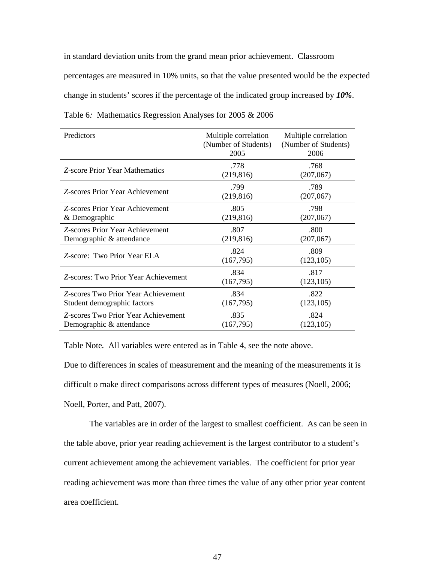in standard deviation units from the grand mean prior achievement. Classroom percentages are measured in 10% units, so that the value presented would be the expected change in students' scores if the percentage of the indicated group increased by *10%*. Table 6*:* Mathematics Regression Analyses for 2005 & 2006

| Predictors                                                         | Multiple correlation<br>(Number of Students)<br>2005 | Multiple correlation<br>(Number of Students)<br>2006 |
|--------------------------------------------------------------------|------------------------------------------------------|------------------------------------------------------|
| <b>Z-score Prior Year Mathematics</b>                              | .778<br>(219, 816)                                   | .768<br>(207, 067)                                   |
| Z-scores Prior Year Achievement                                    | .799<br>(219, 816)                                   | .789<br>(207, 067)                                   |
| Z-scores Prior Year Achievement<br>& Demographic                   | .805<br>(219, 816)                                   | .798<br>(207, 067)                                   |
| Z-scores Prior Year Achievement<br>Demographic & attendance        | .807<br>(219, 816)                                   | .800<br>(207, 067)                                   |
| Z-score: Two Prior Year ELA                                        | .824<br>(167, 795)                                   | .809<br>(123, 105)                                   |
| Z-scores: Two Prior Year Achievement                               | .834<br>(167, 795)                                   | .817<br>(123, 105)                                   |
| Z-scores Two Prior Year Achievement<br>Student demographic factors | .834<br>(167, 795)                                   | .822<br>(123, 105)                                   |
| Z-scores Two Prior Year Achievement<br>Demographic & attendance    | .835<br>(167, 795)                                   | .824<br>(123, 105)                                   |

Table Note*.* All variables were entered as in Table 4, see the note above.

Due to differences in scales of measurement and the meaning of the measurements it is difficult o make direct comparisons across different types of measures (Noell, 2006; Noell, Porter, and Patt, 2007).

The variables are in order of the largest to smallest coefficient. As can be seen in the table above, prior year reading achievement is the largest contributor to a student's current achievement among the achievement variables. The coefficient for prior year reading achievement was more than three times the value of any other prior year content area coefficient.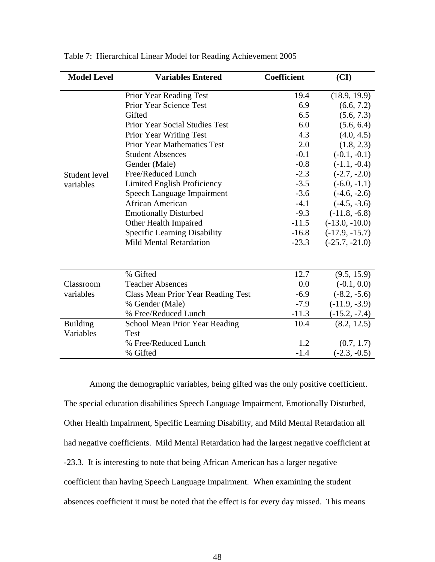| <b>Model Level</b> | <b>Variables Entered</b>                  | Coefficient | (CI)             |
|--------------------|-------------------------------------------|-------------|------------------|
|                    | Prior Year Reading Test                   | 19.4        | (18.9, 19.9)     |
|                    | Prior Year Science Test                   | 6.9         | (6.6, 7.2)       |
|                    | Gifted                                    | 6.5         | (5.6, 7.3)       |
|                    | <b>Prior Year Social Studies Test</b>     | 6.0         | (5.6, 6.4)       |
|                    | <b>Prior Year Writing Test</b>            | 4.3         | (4.0, 4.5)       |
|                    | <b>Prior Year Mathematics Test</b>        | 2.0         | (1.8, 2.3)       |
|                    | <b>Student Absences</b>                   | $-0.1$      | $(-0.1, -0.1)$   |
|                    | Gender (Male)                             | $-0.8$      | $(-1.1, -0.4)$   |
| Student level      | Free/Reduced Lunch                        | $-2.3$      | $(-2.7, -2.0)$   |
| variables          | <b>Limited English Proficiency</b>        | $-3.5$      | $(-6.0, -1.1)$   |
|                    | Speech Language Impairment                | $-3.6$      | $(-4.6, -2.6)$   |
|                    | <b>African American</b>                   | $-4.1$      | $(-4.5, -3.6)$   |
|                    | <b>Emotionally Disturbed</b>              | $-9.3$      | $(-11.8, -6.8)$  |
|                    | Other Health Impaired                     | $-11.5$     | $(-13.0, -10.0)$ |
|                    | Specific Learning Disability              | $-16.8$     | $(-17.9, -15.7)$ |
|                    | <b>Mild Mental Retardation</b>            | $-23.3$     | $(-25.7, -21.0)$ |
|                    |                                           |             |                  |
|                    | % Gifted                                  | 12.7        | (9.5, 15.9)      |
| Classroom          | <b>Teacher Absences</b>                   | 0.0         | $(-0.1, 0.0)$    |
| variables          | <b>Class Mean Prior Year Reading Test</b> | $-6.9$      | $(-8.2, -5.6)$   |
|                    | % Gender (Male)                           | $-7.9$      | $(-11.9, -3.9)$  |
|                    | % Free/Reduced Lunch                      | $-11.3$     | $(-15.2, -7.4)$  |
| <b>Building</b>    | <b>School Mean Prior Year Reading</b>     | 10.4        | (8.2, 12.5)      |
| Variables          | Test                                      |             |                  |
|                    | % Free/Reduced Lunch                      | 1.2         | (0.7, 1.7)       |
|                    | % Gifted                                  | $-1.4$      | $(-2.3, -0.5)$   |

|  |  |  | Table 7: Hierarchical Linear Model for Reading Achievement 2005 |  |
|--|--|--|-----------------------------------------------------------------|--|
|  |  |  |                                                                 |  |

Among the demographic variables, being gifted was the only positive coefficient. The special education disabilities Speech Language Impairment, Emotionally Disturbed, Other Health Impairment, Specific Learning Disability, and Mild Mental Retardation all had negative coefficients. Mild Mental Retardation had the largest negative coefficient at -23.3. It is interesting to note that being African American has a larger negative coefficient than having Speech Language Impairment. When examining the student absences coefficient it must be noted that the effect is for every day missed. This means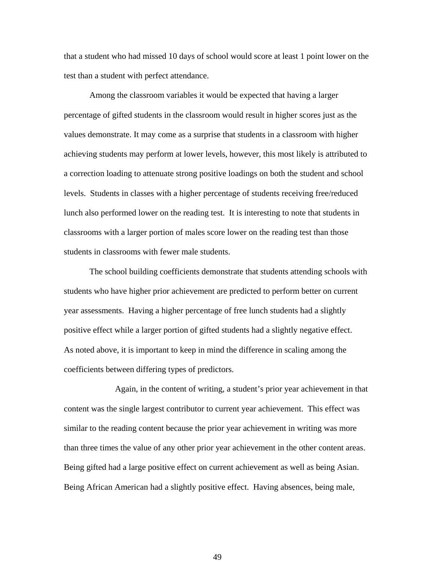that a student who had missed 10 days of school would score at least 1 point lower on the test than a student with perfect attendance.

Among the classroom variables it would be expected that having a larger percentage of gifted students in the classroom would result in higher scores just as the values demonstrate. It may come as a surprise that students in a classroom with higher achieving students may perform at lower levels, however, this most likely is attributed to a correction loading to attenuate strong positive loadings on both the student and school levels. Students in classes with a higher percentage of students receiving free/reduced lunch also performed lower on the reading test. It is interesting to note that students in classrooms with a larger portion of males score lower on the reading test than those students in classrooms with fewer male students.

The school building coefficients demonstrate that students attending schools with students who have higher prior achievement are predicted to perform better on current year assessments. Having a higher percentage of free lunch students had a slightly positive effect while a larger portion of gifted students had a slightly negative effect. As noted above, it is important to keep in mind the difference in scaling among the coefficients between differing types of predictors.

 Again, in the content of writing, a student's prior year achievement in that content was the single largest contributor to current year achievement. This effect was similar to the reading content because the prior year achievement in writing was more than three times the value of any other prior year achievement in the other content areas. Being gifted had a large positive effect on current achievement as well as being Asian. Being African American had a slightly positive effect. Having absences, being male,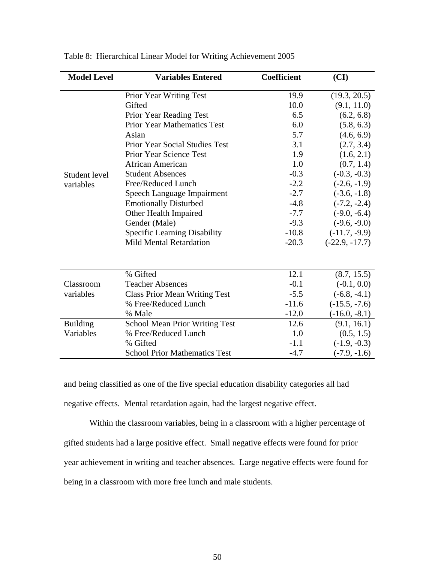| <b>Model Level</b> | <b>Variables Entered</b>              | <b>Coefficient</b> | (CI)             |
|--------------------|---------------------------------------|--------------------|------------------|
|                    | Prior Year Writing Test               | 19.9               | (19.3, 20.5)     |
|                    | Gifted                                | 10.0               | (9.1, 11.0)      |
|                    | Prior Year Reading Test               | 6.5                | (6.2, 6.8)       |
|                    | <b>Prior Year Mathematics Test</b>    | 6.0                | (5.8, 6.3)       |
|                    | Asian                                 | 5.7                | (4.6, 6.9)       |
|                    | <b>Prior Year Social Studies Test</b> | 3.1                | (2.7, 3.4)       |
|                    | Prior Year Science Test               | 1.9                | (1.6, 2.1)       |
|                    | African American                      | 1.0                | (0.7, 1.4)       |
| Student level      | <b>Student Absences</b>               | $-0.3$             | $(-0.3, -0.3)$   |
| variables          | Free/Reduced Lunch                    | $-2.2$             | $(-2.6, -1.9)$   |
|                    | Speech Language Impairment            | $-2.7$             | $(-3.6, -1.8)$   |
|                    | <b>Emotionally Disturbed</b>          | $-4.8$             | $(-7.2, -2.4)$   |
|                    | Other Health Impaired                 | $-7.7$             | $(-9.0, -6.4)$   |
|                    | Gender (Male)                         | $-9.3$             | $(-9.6, -9.0)$   |
|                    | <b>Specific Learning Disability</b>   | $-10.8$            | $(-11.7, -9.9)$  |
|                    | <b>Mild Mental Retardation</b>        | $-20.3$            | $(-22.9, -17.7)$ |
|                    |                                       |                    |                  |
|                    | % Gifted                              | 12.1               | (8.7, 15.5)      |
| Classroom          | <b>Teacher Absences</b>               | $-0.1$             | $(-0.1, 0.0)$    |
| variables          | <b>Class Prior Mean Writing Test</b>  | $-5.5$             | $(-6.8, -4.1)$   |
|                    | % Free/Reduced Lunch                  | $-11.6$            | $(-15.5, -7.6)$  |
|                    | % Male                                | $-12.0$            | $(-16.0, -8.1)$  |
| <b>Building</b>    | <b>School Mean Prior Writing Test</b> | 12.6               | (9.1, 16.1)      |
| Variables          | % Free/Reduced Lunch                  | 1.0                | (0.5, 1.5)       |
|                    | % Gifted                              | $-1.1$             | $(-1.9, -0.3)$   |
|                    | <b>School Prior Mathematics Test</b>  | $-4.7$             | $(-7.9, -1.6)$   |

Table 8: Hierarchical Linear Model for Writing Achievement 2005

and being classified as one of the five special education disability categories all had negative effects. Mental retardation again, had the largest negative effect.

 Within the classroom variables, being in a classroom with a higher percentage of gifted students had a large positive effect. Small negative effects were found for prior year achievement in writing and teacher absences. Large negative effects were found for being in a classroom with more free lunch and male students.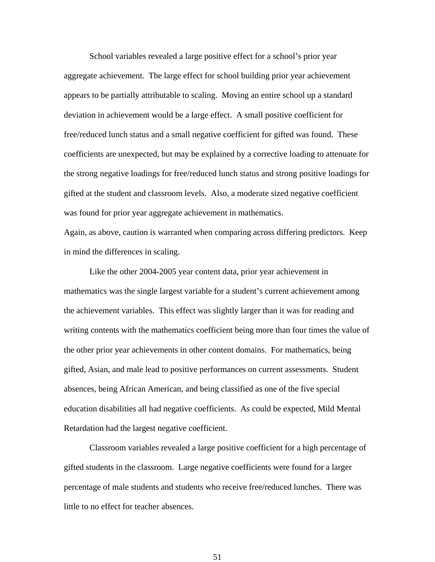School variables revealed a large positive effect for a school's prior year aggregate achievement. The large effect for school building prior year achievement appears to be partially attributable to scaling. Moving an entire school up a standard deviation in achievement would be a large effect. A small positive coefficient for free/reduced lunch status and a small negative coefficient for gifted was found. These coefficients are unexpected, but may be explained by a corrective loading to attenuate for the strong negative loadings for free/reduced lunch status and strong positive loadings for gifted at the student and classroom levels. Also, a moderate sized negative coefficient was found for prior year aggregate achievement in mathematics.

Again, as above, caution is warranted when comparing across differing predictors. Keep in mind the differences in scaling.

 Like the other 2004-2005 year content data, prior year achievement in mathematics was the single largest variable for a student's current achievement among the achievement variables. This effect was slightly larger than it was for reading and writing contents with the mathematics coefficient being more than four times the value of the other prior year achievements in other content domains. For mathematics, being gifted, Asian, and male lead to positive performances on current assessments. Student absences, being African American, and being classified as one of the five special education disabilities all had negative coefficients. As could be expected, Mild Mental Retardation had the largest negative coefficient.

 Classroom variables revealed a large positive coefficient for a high percentage of gifted students in the classroom. Large negative coefficients were found for a larger percentage of male students and students who receive free/reduced lunches. There was little to no effect for teacher absences.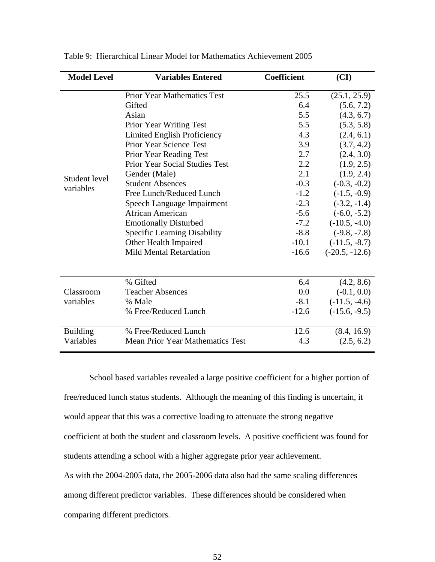| <b>Prior Year Mathematics Test</b><br>25.5<br>Gifted<br>6.4<br>(5.6, 7.2)<br>5.5<br>(4.3, 6.7)<br>Asian<br>5.5<br>(5.3, 5.8)<br>Prior Year Writing Test<br>Limited English Proficiency<br>4.3<br>(2.4, 6.1)<br>Prior Year Science Test<br>3.9<br>(3.7, 4.2)<br>2.7<br>(2.4, 3.0)<br><b>Prior Year Reading Test</b><br>(1.9, 2.5)<br><b>Prior Year Social Studies Test</b><br>2.2<br>2.1<br>(1.9, 2.4)<br>Gender (Male)<br>Student level<br><b>Student Absences</b><br>$-0.3$<br>$(-0.3, -0.2)$<br>variables<br>$(-1.5, -0.9)$<br>$-1.2$<br>Free Lunch/Reduced Lunch<br>$-2.3$<br>Speech Language Impairment<br>$(-3.2, -1.4)$<br><b>African American</b><br>$-5.6$<br>$(-6.0, -5.2)$<br>$-7.2$<br>$(-10.5, -4.0)$<br><b>Emotionally Disturbed</b><br>$-8.8$<br>Specific Learning Disability<br>$(-9.8, -7.8)$<br>$(-11.5, -8.7)$<br>Other Health Impaired<br>$-10.1$<br><b>Mild Mental Retardation</b><br>$-16.6$<br>$(-20.5, -12.6)$<br>% Gifted<br>6.4<br>$(-0.1, 0.0)$<br>Classroom<br><b>Teacher Absences</b><br>0.0<br>$-8.1$<br>$(-11.5, -4.6)$<br>variables<br>% Male<br>% Free/Reduced Lunch<br>$-12.6$<br>$(-15.6, -9.5)$ | <b>Model Level</b> | <b>Variables Entered</b> | Coefficient | (CI)         |
|------------------------------------------------------------------------------------------------------------------------------------------------------------------------------------------------------------------------------------------------------------------------------------------------------------------------------------------------------------------------------------------------------------------------------------------------------------------------------------------------------------------------------------------------------------------------------------------------------------------------------------------------------------------------------------------------------------------------------------------------------------------------------------------------------------------------------------------------------------------------------------------------------------------------------------------------------------------------------------------------------------------------------------------------------------------------------------------------------------------------------------|--------------------|--------------------------|-------------|--------------|
|                                                                                                                                                                                                                                                                                                                                                                                                                                                                                                                                                                                                                                                                                                                                                                                                                                                                                                                                                                                                                                                                                                                                    |                    |                          |             | (25.1, 25.9) |
|                                                                                                                                                                                                                                                                                                                                                                                                                                                                                                                                                                                                                                                                                                                                                                                                                                                                                                                                                                                                                                                                                                                                    |                    |                          |             |              |
|                                                                                                                                                                                                                                                                                                                                                                                                                                                                                                                                                                                                                                                                                                                                                                                                                                                                                                                                                                                                                                                                                                                                    |                    |                          |             |              |
|                                                                                                                                                                                                                                                                                                                                                                                                                                                                                                                                                                                                                                                                                                                                                                                                                                                                                                                                                                                                                                                                                                                                    |                    |                          |             |              |
|                                                                                                                                                                                                                                                                                                                                                                                                                                                                                                                                                                                                                                                                                                                                                                                                                                                                                                                                                                                                                                                                                                                                    |                    |                          |             |              |
|                                                                                                                                                                                                                                                                                                                                                                                                                                                                                                                                                                                                                                                                                                                                                                                                                                                                                                                                                                                                                                                                                                                                    |                    |                          |             |              |
|                                                                                                                                                                                                                                                                                                                                                                                                                                                                                                                                                                                                                                                                                                                                                                                                                                                                                                                                                                                                                                                                                                                                    |                    |                          |             |              |
|                                                                                                                                                                                                                                                                                                                                                                                                                                                                                                                                                                                                                                                                                                                                                                                                                                                                                                                                                                                                                                                                                                                                    |                    |                          |             |              |
|                                                                                                                                                                                                                                                                                                                                                                                                                                                                                                                                                                                                                                                                                                                                                                                                                                                                                                                                                                                                                                                                                                                                    |                    |                          |             |              |
|                                                                                                                                                                                                                                                                                                                                                                                                                                                                                                                                                                                                                                                                                                                                                                                                                                                                                                                                                                                                                                                                                                                                    |                    |                          |             |              |
|                                                                                                                                                                                                                                                                                                                                                                                                                                                                                                                                                                                                                                                                                                                                                                                                                                                                                                                                                                                                                                                                                                                                    |                    |                          |             |              |
|                                                                                                                                                                                                                                                                                                                                                                                                                                                                                                                                                                                                                                                                                                                                                                                                                                                                                                                                                                                                                                                                                                                                    |                    |                          |             |              |
|                                                                                                                                                                                                                                                                                                                                                                                                                                                                                                                                                                                                                                                                                                                                                                                                                                                                                                                                                                                                                                                                                                                                    |                    |                          |             |              |
|                                                                                                                                                                                                                                                                                                                                                                                                                                                                                                                                                                                                                                                                                                                                                                                                                                                                                                                                                                                                                                                                                                                                    |                    |                          |             |              |
|                                                                                                                                                                                                                                                                                                                                                                                                                                                                                                                                                                                                                                                                                                                                                                                                                                                                                                                                                                                                                                                                                                                                    |                    |                          |             |              |
|                                                                                                                                                                                                                                                                                                                                                                                                                                                                                                                                                                                                                                                                                                                                                                                                                                                                                                                                                                                                                                                                                                                                    |                    |                          |             |              |
|                                                                                                                                                                                                                                                                                                                                                                                                                                                                                                                                                                                                                                                                                                                                                                                                                                                                                                                                                                                                                                                                                                                                    |                    |                          |             |              |
|                                                                                                                                                                                                                                                                                                                                                                                                                                                                                                                                                                                                                                                                                                                                                                                                                                                                                                                                                                                                                                                                                                                                    |                    |                          |             |              |
|                                                                                                                                                                                                                                                                                                                                                                                                                                                                                                                                                                                                                                                                                                                                                                                                                                                                                                                                                                                                                                                                                                                                    |                    |                          |             | (4.2, 8.6)   |
|                                                                                                                                                                                                                                                                                                                                                                                                                                                                                                                                                                                                                                                                                                                                                                                                                                                                                                                                                                                                                                                                                                                                    |                    |                          |             |              |
|                                                                                                                                                                                                                                                                                                                                                                                                                                                                                                                                                                                                                                                                                                                                                                                                                                                                                                                                                                                                                                                                                                                                    |                    |                          |             |              |
|                                                                                                                                                                                                                                                                                                                                                                                                                                                                                                                                                                                                                                                                                                                                                                                                                                                                                                                                                                                                                                                                                                                                    |                    |                          |             |              |
| % Free/Reduced Lunch<br><b>Building</b><br>12.6                                                                                                                                                                                                                                                                                                                                                                                                                                                                                                                                                                                                                                                                                                                                                                                                                                                                                                                                                                                                                                                                                    |                    |                          |             | (8.4, 16.9)  |
| Variables<br><b>Mean Prior Year Mathematics Test</b><br>(2.5, 6.2)<br>4.3                                                                                                                                                                                                                                                                                                                                                                                                                                                                                                                                                                                                                                                                                                                                                                                                                                                                                                                                                                                                                                                          |                    |                          |             |              |

Table 9: Hierarchical Linear Model for Mathematics Achievement 2005

 School based variables revealed a large positive coefficient for a higher portion of free/reduced lunch status students. Although the meaning of this finding is uncertain, it would appear that this was a corrective loading to attenuate the strong negative coefficient at both the student and classroom levels. A positive coefficient was found for students attending a school with a higher aggregate prior year achievement. As with the 2004-2005 data, the 2005-2006 data also had the same scaling differences among different predictor variables. These differences should be considered when comparing different predictors.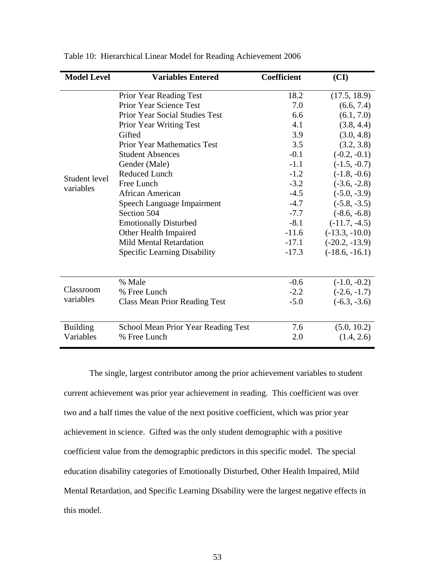| <b>Model Level</b> | <b>Variables Entered</b>                   | <b>Coefficient</b> | (CI)             |
|--------------------|--------------------------------------------|--------------------|------------------|
|                    | Prior Year Reading Test                    | 18.2               | (17.5, 18.9)     |
|                    | Prior Year Science Test                    | 7.0                | (6.6, 7.4)       |
|                    | <b>Prior Year Social Studies Test</b>      | 6.6                | (6.1, 7.0)       |
|                    | Prior Year Writing Test                    | 4.1                | (3.8, 4.4)       |
|                    | Gifted                                     | 3.9                | (3.0, 4.8)       |
|                    | <b>Prior Year Mathematics Test</b>         | 3.5                | (3.2, 3.8)       |
|                    | <b>Student Absences</b>                    | $-0.1$             | $(-0.2, -0.1)$   |
|                    | Gender (Male)                              | $-1.1$             | $(-1.5, -0.7)$   |
| Student level      | <b>Reduced Lunch</b>                       | $-1.2$             | $(-1.8, -0.6)$   |
| variables          | Free Lunch                                 | $-3.2$             | $(-3.6, -2.8)$   |
|                    | <b>African American</b>                    | $-4.5$             | $(-5.0, -3.9)$   |
|                    | Speech Language Impairment                 | $-4.7$             | $(-5.8, -3.5)$   |
|                    | Section 504                                | $-7.7$             | $(-8.6, -6.8)$   |
|                    | <b>Emotionally Disturbed</b>               | $-8.1$             | $(-11.7, -4.5)$  |
|                    | Other Health Impaired                      | $-11.6$            | $(-13.3, -10.0)$ |
|                    | <b>Mild Mental Retardation</b>             | $-17.1$            | $(-20.2, -13.9)$ |
|                    | Specific Learning Disability               | $-17.3$            | $(-18.6, -16.1)$ |
|                    |                                            |                    |                  |
|                    | % Male                                     | $-0.6$             | $(-1.0, -0.2)$   |
| Classroom          | % Free Lunch                               | $-2.2$             | $(-2.6, -1.7)$   |
| variables          | <b>Class Mean Prior Reading Test</b>       | $-5.0$             | $(-6.3, -3.6)$   |
|                    |                                            |                    |                  |
| <b>Building</b>    | <b>School Mean Prior Year Reading Test</b> | 7.6                | (5.0, 10.2)      |
| Variables          | % Free Lunch                               | 2.0                | (1.4, 2.6)       |

Table 10: Hierarchical Linear Model for Reading Achievement 2006

 The single, largest contributor among the prior achievement variables to student current achievement was prior year achievement in reading. This coefficient was over two and a half times the value of the next positive coefficient, which was prior year achievement in science. Gifted was the only student demographic with a positive coefficient value from the demographic predictors in this specific model. The special education disability categories of Emotionally Disturbed, Other Health Impaired, Mild Mental Retardation, and Specific Learning Disability were the largest negative effects in this model.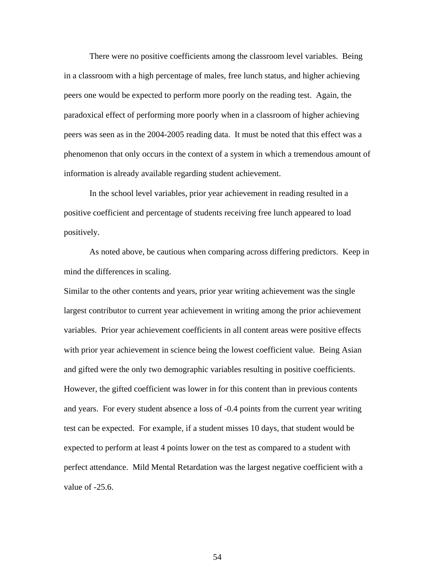There were no positive coefficients among the classroom level variables. Being in a classroom with a high percentage of males, free lunch status, and higher achieving peers one would be expected to perform more poorly on the reading test. Again, the paradoxical effect of performing more poorly when in a classroom of higher achieving peers was seen as in the 2004-2005 reading data. It must be noted that this effect was a phenomenon that only occurs in the context of a system in which a tremendous amount of information is already available regarding student achievement.

In the school level variables, prior year achievement in reading resulted in a positive coefficient and percentage of students receiving free lunch appeared to load positively.

As noted above, be cautious when comparing across differing predictors. Keep in mind the differences in scaling.

Similar to the other contents and years, prior year writing achievement was the single largest contributor to current year achievement in writing among the prior achievement variables. Prior year achievement coefficients in all content areas were positive effects with prior year achievement in science being the lowest coefficient value. Being Asian and gifted were the only two demographic variables resulting in positive coefficients. However, the gifted coefficient was lower in for this content than in previous contents and years. For every student absence a loss of -0.4 points from the current year writing test can be expected. For example, if a student misses 10 days, that student would be expected to perform at least 4 points lower on the test as compared to a student with perfect attendance. Mild Mental Retardation was the largest negative coefficient with a value of -25.6.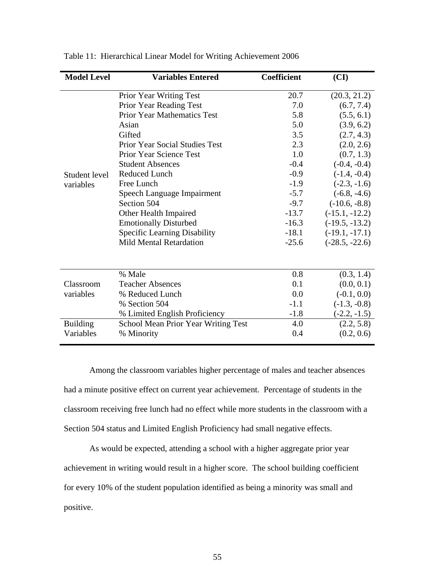| <b>Model Level</b> | <b>Variables Entered</b>                   | <b>Coefficient</b> | (CI)             |
|--------------------|--------------------------------------------|--------------------|------------------|
|                    | Prior Year Writing Test                    | 20.7               | (20.3, 21.2)     |
|                    | Prior Year Reading Test                    | 7.0                | (6.7, 7.4)       |
|                    | <b>Prior Year Mathematics Test</b>         | 5.8                | (5.5, 6.1)       |
|                    | Asian                                      | 5.0                | (3.9, 6.2)       |
|                    | Gifted                                     | 3.5                | (2.7, 4.3)       |
|                    | <b>Prior Year Social Studies Test</b>      | 2.3                | (2.0, 2.6)       |
|                    | <b>Prior Year Science Test</b>             | 1.0                | (0.7, 1.3)       |
|                    | <b>Student Absences</b>                    | $-0.4$             | $(-0.4, -0.4)$   |
| Student level      | <b>Reduced Lunch</b>                       | $-0.9$             | $(-1.4, -0.4)$   |
| variables          | Free Lunch                                 | $-1.9$             | $(-2.3, -1.6)$   |
|                    | Speech Language Impairment                 | $-5.7$             | $(-6.8, -4.6)$   |
|                    | Section 504                                | $-9.7$             | $(-10.6, -8.8)$  |
|                    | Other Health Impaired                      | $-13.7$            | $(-15.1, -12.2)$ |
|                    | <b>Emotionally Disturbed</b>               | $-16.3$            | $(-19.5, -13.2)$ |
|                    | Specific Learning Disability               | $-18.1$            | $(-19.1, -17.1)$ |
|                    | <b>Mild Mental Retardation</b>             | $-25.6$            | $(-28.5, -22.6)$ |
|                    |                                            |                    |                  |
|                    | % Male                                     | 0.8                | (0.3, 1.4)       |
| Classroom          | <b>Teacher Absences</b>                    | 0.1                | (0.0, 0.1)       |
| variables          | % Reduced Lunch                            | 0.0                | $(-0.1, 0.0)$    |
|                    | % Section 504                              | $-1.1$             | $(-1.3, -0.8)$   |
|                    | % Limited English Proficiency              | $-1.8$             | $(-2.2, -1.5)$   |
| <b>Building</b>    | <b>School Mean Prior Year Writing Test</b> | 4.0                | (2.2, 5.8)       |
| Variables          | % Minority                                 | 0.4                | (0.2, 0.6)       |

| Table 11: Hierarchical Linear Model for Writing Achievement 2006 |  |  |  |  |
|------------------------------------------------------------------|--|--|--|--|
|                                                                  |  |  |  |  |

 Among the classroom variables higher percentage of males and teacher absences had a minute positive effect on current year achievement. Percentage of students in the classroom receiving free lunch had no effect while more students in the classroom with a Section 504 status and Limited English Proficiency had small negative effects.

 As would be expected, attending a school with a higher aggregate prior year achievement in writing would result in a higher score. The school building coefficient for every 10% of the student population identified as being a minority was small and positive.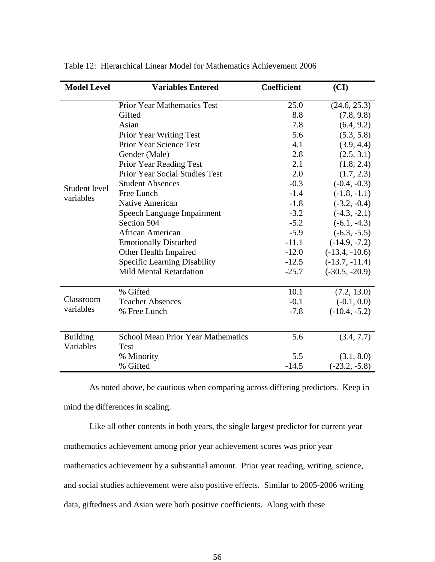| <b>Model Level</b>           | <b>Variables Entered</b>                          | Coefficient | (CI)             |
|------------------------------|---------------------------------------------------|-------------|------------------|
|                              | <b>Prior Year Mathematics Test</b>                | 25.0        | (24.6, 25.3)     |
|                              | Gifted                                            | 8.8         | (7.8, 9.8)       |
|                              | Asian                                             | 7.8         | (6.4, 9.2)       |
|                              | <b>Prior Year Writing Test</b>                    | 5.6         | (5.3, 5.8)       |
|                              | Prior Year Science Test                           | 4.1         | (3.9, 4.4)       |
|                              | Gender (Male)                                     | 2.8         | (2.5, 3.1)       |
|                              | Prior Year Reading Test                           | 2.1         | (1.8, 2.4)       |
|                              | Prior Year Social Studies Test                    | 2.0         | (1.7, 2.3)       |
| Student level                | <b>Student Absences</b>                           | $-0.3$      | $(-0.4, -0.3)$   |
| variables                    | Free Lunch                                        | $-1.4$      | $(-1.8, -1.1)$   |
|                              | <b>Native American</b>                            | $-1.8$      | $(-3.2, -0.4)$   |
|                              | Speech Language Impairment                        | $-3.2$      | $(-4.3, -2.1)$   |
|                              | Section 504                                       | $-5.2$      | $(-6.1, -4.3)$   |
|                              | African American                                  | $-5.9$      | $(-6.3, -5.5)$   |
|                              | <b>Emotionally Disturbed</b>                      | $-11.1$     | $(-14.9, -7.2)$  |
|                              | Other Health Impaired                             | $-12.0$     | $(-13.4, -10.6)$ |
|                              | Specific Learning Disability                      | $-12.5$     | $(-13.7, -11.4)$ |
|                              | <b>Mild Mental Retardation</b>                    | $-25.7$     | $(-30.5, -20.9)$ |
|                              | % Gifted                                          | 10.1        | (7.2, 13.0)      |
| Classroom                    | <b>Teacher Absences</b>                           | $-0.1$      | $(-0.1, 0.0)$    |
| variables                    | % Free Lunch                                      | $-7.8$      | $(-10.4, -5.2)$  |
|                              |                                                   |             |                  |
| <b>Building</b><br>Variables | <b>School Mean Prior Year Mathematics</b><br>Test | 5.6         | (3.4, 7.7)       |
|                              | % Minority                                        | 5.5         | (3.1, 8.0)       |
|                              | % Gifted                                          | $-14.5$     | $(-23.2, -5.8)$  |

|  | Table 12: Hierarchical Linear Model for Mathematics Achievement 2006 |  |  |  |  |  |
|--|----------------------------------------------------------------------|--|--|--|--|--|
|--|----------------------------------------------------------------------|--|--|--|--|--|

 As noted above, be cautious when comparing across differing predictors. Keep in mind the differences in scaling.

 Like all other contents in both years, the single largest predictor for current year mathematics achievement among prior year achievement scores was prior year mathematics achievement by a substantial amount. Prior year reading, writing, science, and social studies achievement were also positive effects. Similar to 2005-2006 writing data, giftedness and Asian were both positive coefficients. Along with these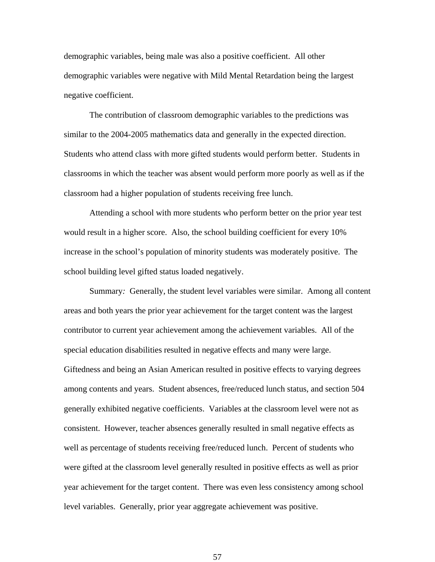demographic variables, being male was also a positive coefficient. All other demographic variables were negative with Mild Mental Retardation being the largest negative coefficient.

 The contribution of classroom demographic variables to the predictions was similar to the 2004-2005 mathematics data and generally in the expected direction. Students who attend class with more gifted students would perform better. Students in classrooms in which the teacher was absent would perform more poorly as well as if the classroom had a higher population of students receiving free lunch.

 Attending a school with more students who perform better on the prior year test would result in a higher score. Also, the school building coefficient for every 10% increase in the school's population of minority students was moderately positive. The school building level gifted status loaded negatively.

 Summary*:* Generally, the student level variables were similar. Among all content areas and both years the prior year achievement for the target content was the largest contributor to current year achievement among the achievement variables. All of the special education disabilities resulted in negative effects and many were large. Giftedness and being an Asian American resulted in positive effects to varying degrees among contents and years. Student absences, free/reduced lunch status, and section 504 generally exhibited negative coefficients. Variables at the classroom level were not as consistent. However, teacher absences generally resulted in small negative effects as well as percentage of students receiving free/reduced lunch. Percent of students who were gifted at the classroom level generally resulted in positive effects as well as prior year achievement for the target content. There was even less consistency among school level variables. Generally, prior year aggregate achievement was positive.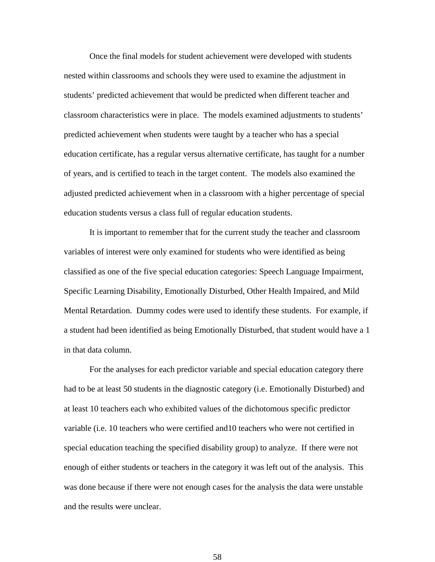Once the final models for student achievement were developed with students nested within classrooms and schools they were used to examine the adjustment in students' predicted achievement that would be predicted when different teacher and classroom characteristics were in place. The models examined adjustments to students' predicted achievement when students were taught by a teacher who has a special education certificate, has a regular versus alternative certificate, has taught for a number of years, and is certified to teach in the target content. The models also examined the adjusted predicted achievement when in a classroom with a higher percentage of special education students versus a class full of regular education students.

 It is important to remember that for the current study the teacher and classroom variables of interest were only examined for students who were identified as being classified as one of the five special education categories: Speech Language Impairment, Specific Learning Disability, Emotionally Disturbed, Other Health Impaired, and Mild Mental Retardation. Dummy codes were used to identify these students. For example, if a student had been identified as being Emotionally Disturbed, that student would have a 1 in that data column.

 For the analyses for each predictor variable and special education category there had to be at least 50 students in the diagnostic category (i.e. Emotionally Disturbed) and at least 10 teachers each who exhibited values of the dichotomous specific predictor variable (i.e. 10 teachers who were certified and10 teachers who were not certified in special education teaching the specified disability group) to analyze. If there were not enough of either students or teachers in the category it was left out of the analysis. This was done because if there were not enough cases for the analysis the data were unstable and the results were unclear.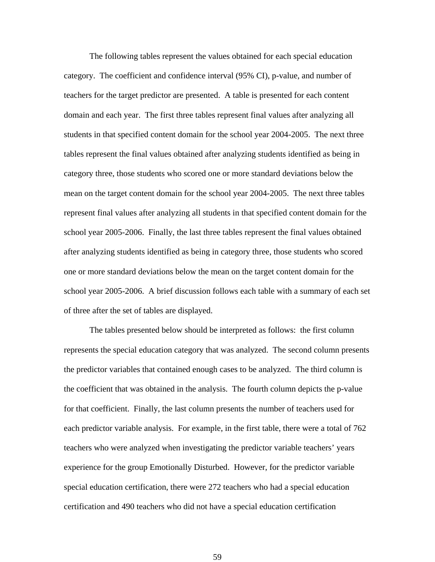The following tables represent the values obtained for each special education category. The coefficient and confidence interval (95% CI), p-value, and number of teachers for the target predictor are presented. A table is presented for each content domain and each year. The first three tables represent final values after analyzing all students in that specified content domain for the school year 2004-2005. The next three tables represent the final values obtained after analyzing students identified as being in category three, those students who scored one or more standard deviations below the mean on the target content domain for the school year 2004-2005. The next three tables represent final values after analyzing all students in that specified content domain for the school year 2005-2006. Finally, the last three tables represent the final values obtained after analyzing students identified as being in category three, those students who scored one or more standard deviations below the mean on the target content domain for the school year 2005-2006. A brief discussion follows each table with a summary of each set of three after the set of tables are displayed.

 The tables presented below should be interpreted as follows: the first column represents the special education category that was analyzed. The second column presents the predictor variables that contained enough cases to be analyzed. The third column is the coefficient that was obtained in the analysis. The fourth column depicts the p-value for that coefficient. Finally, the last column presents the number of teachers used for each predictor variable analysis. For example, in the first table, there were a total of 762 teachers who were analyzed when investigating the predictor variable teachers' years experience for the group Emotionally Disturbed. However, for the predictor variable special education certification, there were 272 teachers who had a special education certification and 490 teachers who did not have a special education certification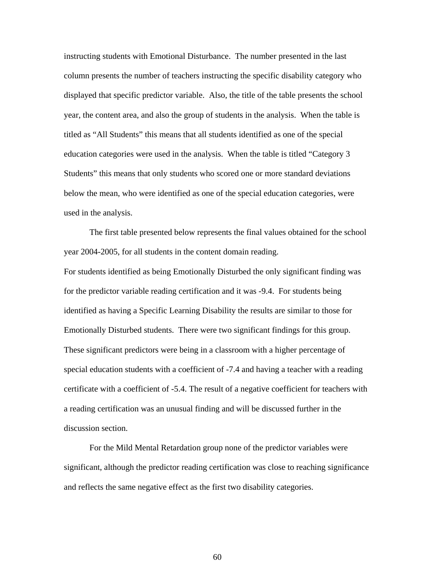instructing students with Emotional Disturbance. The number presented in the last column presents the number of teachers instructing the specific disability category who displayed that specific predictor variable. Also, the title of the table presents the school year, the content area, and also the group of students in the analysis. When the table is titled as "All Students" this means that all students identified as one of the special education categories were used in the analysis. When the table is titled "Category 3 Students" this means that only students who scored one or more standard deviations below the mean, who were identified as one of the special education categories, were used in the analysis.

 The first table presented below represents the final values obtained for the school year 2004-2005, for all students in the content domain reading.

For students identified as being Emotionally Disturbed the only significant finding was for the predictor variable reading certification and it was -9.4. For students being identified as having a Specific Learning Disability the results are similar to those for Emotionally Disturbed students. There were two significant findings for this group. These significant predictors were being in a classroom with a higher percentage of special education students with a coefficient of -7.4 and having a teacher with a reading certificate with a coefficient of -5.4. The result of a negative coefficient for teachers with a reading certification was an unusual finding and will be discussed further in the discussion section.

For the Mild Mental Retardation group none of the predictor variables were significant, although the predictor reading certification was close to reaching significance and reflects the same negative effect as the first two disability categories.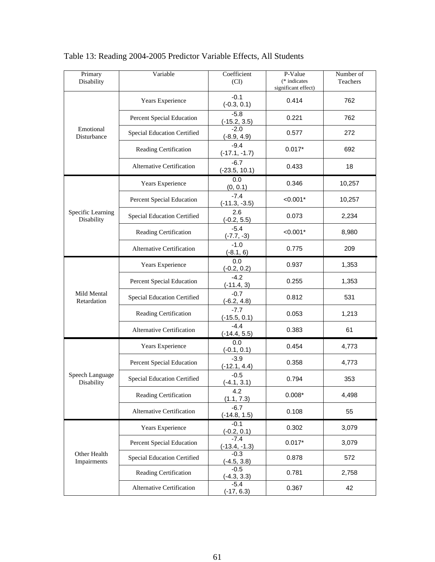| Primary<br>Disability           | Variable                         | Coefficient<br>(CI)       | P-Value<br>(* indicates<br>significant effect) | Number of<br>Teachers |
|---------------------------------|----------------------------------|---------------------------|------------------------------------------------|-----------------------|
|                                 | Years Experience                 | $-0.1$<br>$(-0.3, 0.1)$   | 0.414                                          | 762                   |
|                                 | Percent Special Education        | $-5.8$<br>$(-15.2, 3.5)$  | 0.221                                          | 762                   |
| Emotional<br>Disturbance        | Special Education Certified      | $-2.0$<br>$(-8.9, 4.9)$   | 0.577                                          | 272                   |
|                                 | Reading Certification            | $-9.4$<br>$(-17.1, -1.7)$ | $0.017*$                                       | 692                   |
|                                 | Alternative Certification        | $-6.7$<br>$(-23.5, 10.1)$ | 0.433                                          | 18                    |
|                                 | Years Experience                 | 0.0<br>(0, 0.1)           | 0.346                                          | 10,257                |
|                                 | Percent Special Education        | $-7.4$<br>$(-11.3, -3.5)$ | $< 0.001*$                                     | 10,257                |
| Specific Learning<br>Disability | Special Education Certified      | 2.6<br>$(-0.2, 5.5)$      | 0.073                                          | 2,234                 |
|                                 | Reading Certification            | $-5.4$<br>$(-7.7, -3)$    | $< 0.001*$                                     | 8,980                 |
|                                 | <b>Alternative Certification</b> | $-1.0$<br>$(-8.1, 6)$     | 0.775                                          | 209                   |
|                                 | Years Experience                 | 0.0<br>$(-0.2, 0.2)$      | 0.937                                          | 1,353                 |
|                                 | Percent Special Education        | $-4.2$<br>$(-11.4, 3)$    | 0.255                                          | 1,353                 |
| Mild Mental<br>Retardation      | Special Education Certified      | $-0.7$<br>$(-6.2, 4.8)$   | 0.812                                          | 531                   |
|                                 | Reading Certification            | $-7.7$<br>$(-15.5, 0.1)$  | 0.053                                          | 1,213                 |
|                                 | Alternative Certification        | $-4.4$<br>$(-14.4, 5.5)$  | 0.383                                          | 61                    |
|                                 | Years Experience                 | 0.0<br>$(-0.1, 0.1)$      | 0.454                                          | 4,773                 |
|                                 | Percent Special Education        | $-3.9$<br>$(-12.1, 4.4)$  | 0.358                                          | 4,773                 |
| Speech Language<br>Disability   | Special Education Certified      | $-0.5$<br>$(-4.1, 3.1)$   | 0.794                                          | 353                   |
|                                 | Reading Certification            | 4.2<br>(1.1, 7.3)         | $0.008*$                                       | 4,498                 |
|                                 | <b>Alternative Certification</b> | $-6.7$<br>$(-14.8, 1.5)$  | 0.108                                          | 55                    |
|                                 | Years Experience                 | $-0.1$<br>$(-0.2, 0.1)$   | 0.302                                          | 3,079                 |
|                                 | Percent Special Education        | $-7.4$<br>(-13.4, -1.3)   | $0.017*$                                       | 3,079                 |
| Other Health<br>Impairments     | Special Education Certified      | $-0.3$<br>$(-4.5, 3.8)$   | 0.878                                          | 572                   |
|                                 | Reading Certification            | $-0.5$<br>$(-4.3, 3.3)$   | 0.781                                          | 2,758                 |
|                                 | Alternative Certification        | $-5.4$<br>$(-17, 6.3)$    | 0.367                                          | 42                    |

# Table 13: Reading 2004-2005 Predictor Variable Effects, All Students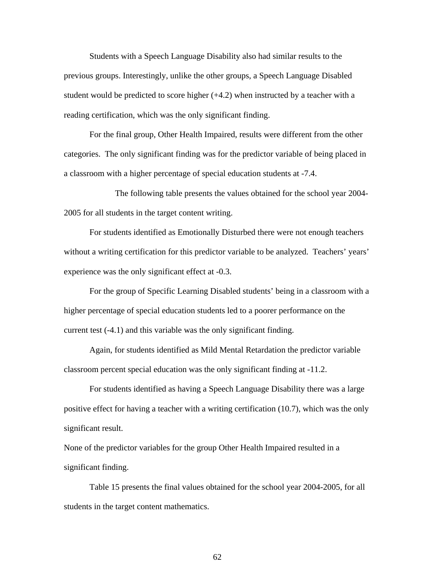Students with a Speech Language Disability also had similar results to the previous groups. Interestingly, unlike the other groups, a Speech Language Disabled student would be predicted to score higher  $(+4.2)$  when instructed by a teacher with a reading certification, which was the only significant finding.

 For the final group, Other Health Impaired, results were different from the other categories. The only significant finding was for the predictor variable of being placed in a classroom with a higher percentage of special education students at -7.4.

 The following table presents the values obtained for the school year 2004- 2005 for all students in the target content writing.

For students identified as Emotionally Disturbed there were not enough teachers without a writing certification for this predictor variable to be analyzed. Teachers' years' experience was the only significant effect at -0.3.

 For the group of Specific Learning Disabled students' being in a classroom with a higher percentage of special education students led to a poorer performance on the current test (-4.1) and this variable was the only significant finding.

Again, for students identified as Mild Mental Retardation the predictor variable classroom percent special education was the only significant finding at -11.2.

 For students identified as having a Speech Language Disability there was a large positive effect for having a teacher with a writing certification (10.7), which was the only significant result.

None of the predictor variables for the group Other Health Impaired resulted in a significant finding.

 Table 15 presents the final values obtained for the school year 2004-2005, for all students in the target content mathematics.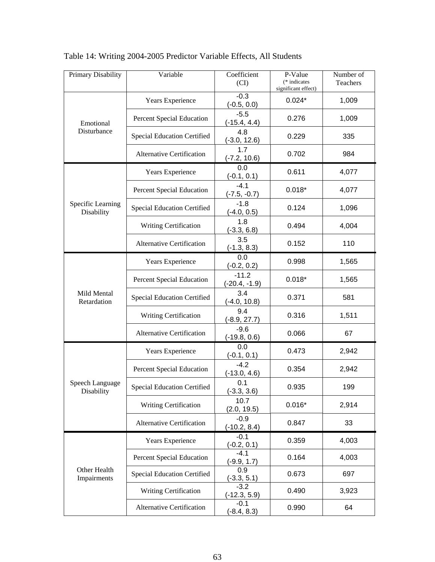| Primary Disability              | Variable                           | Coefficient<br>(CI)        | P-Value<br>(* indicates<br>significant effect) | Number of<br>Teachers |
|---------------------------------|------------------------------------|----------------------------|------------------------------------------------|-----------------------|
|                                 | Years Experience                   | $-0.3$<br>$(-0.5, 0.0)$    | $0.024*$                                       | 1,009                 |
| Emotional                       | Percent Special Education          | $-5.5$<br>$(-15.4, 4.4)$   | 0.276                                          | 1,009                 |
| Disturbance                     | Special Education Certified        | 4.8<br>$(-3.0, 12.6)$      | 0.229                                          | 335                   |
|                                 | <b>Alternative Certification</b>   | 1.7<br>$(-7.2, 10.6)$      | 0.702                                          | 984                   |
|                                 | Years Experience                   | 0.0<br>$(-0.1, 0.1)$       | 0.611                                          | 4,077                 |
|                                 | Percent Special Education          | $-4.1$<br>$(-7.5, -0.7)$   | $0.018*$                                       | 4,077                 |
| Specific Learning<br>Disability | <b>Special Education Certified</b> | $-1.8$<br>$(-4.0, 0.5)$    | 0.124                                          | 1,096                 |
|                                 | <b>Writing Certification</b>       | 1.8<br>$(-3.3, 6.8)$       | 0.494                                          | 4,004                 |
|                                 | <b>Alternative Certification</b>   | 3.5<br>$(-1.3, 8.3)$       | 0.152                                          | 110                   |
|                                 | Years Experience                   | 0.0<br>$(-0.2, 0.2)$       | 0.998                                          | 1,565                 |
|                                 | Percent Special Education          | $-11.2$<br>$(-20.4, -1.9)$ | $0.018*$                                       | 1,565                 |
| Mild Mental<br>Retardation      | Special Education Certified        | 3.4<br>$(-4.0, 10.8)$      | 0.371                                          | 581                   |
|                                 | Writing Certification              | 9.4<br>$(-8.9, 27.7)$      | 0.316                                          | 1,511                 |
|                                 | <b>Alternative Certification</b>   | $-9.6$<br>$(-19.8, 0.6)$   | 0.066                                          | 67                    |
|                                 | Years Experience                   | 0.0<br>$(-0.1, 0.1)$       | 0.473                                          | 2,942                 |
|                                 | Percent Special Education          | $-4.2$<br>$(-13.0, 4.6)$   | 0.354                                          | 2,942                 |
| Speech Language<br>Disability   | <b>Special Education Certified</b> | 0.1<br>$(-3.3, 3.6)$       | 0.935                                          | 199                   |
|                                 | Writing Certification              | 10.7<br>(2.0, 19.5)        | $0.016*$                                       | 2,914                 |
|                                 | <b>Alternative Certification</b>   | $-0.9$<br>$(-10.2, 8.4)$   | 0.847                                          | 33                    |
|                                 | Years Experience                   | $-0.1$<br>$(-0.2, 0.1)$    | 0.359                                          | 4,003                 |
|                                 | Percent Special Education          | $-4.1$<br>$(-9.9, 1.7)$    | 0.164                                          | 4,003                 |
| Other Health<br>Impairments     | <b>Special Education Certified</b> | 0.9<br>$(-3.3, 5.1)$       | 0.673                                          | 697                   |
|                                 | Writing Certification              | $-3.2$<br>$(-12.3, 5.9)$   | 0.490                                          | 3,923                 |
|                                 | <b>Alternative Certification</b>   | $-0.1$<br>$(-8.4, 8.3)$    | 0.990                                          | 64                    |

Table 14: Writing 2004-2005 Predictor Variable Effects, All Students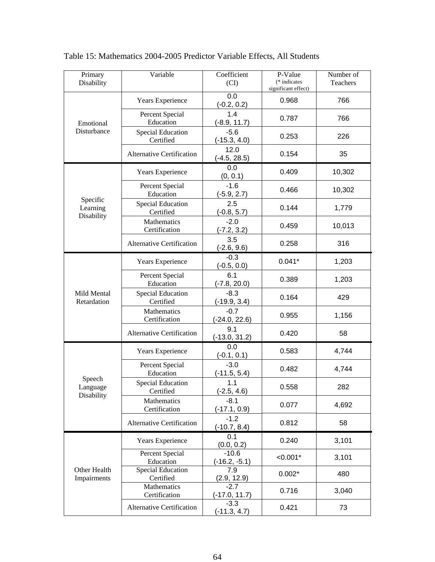| Primary<br>Disability              | Variable                              | Coefficient<br>(CI)               | P-Value<br>(* indicates<br>significant effect) | Number of<br>Teachers |
|------------------------------------|---------------------------------------|-----------------------------------|------------------------------------------------|-----------------------|
|                                    | Years Experience                      | 0.0<br>$(-0.2, 0.2)$              | 0.968                                          | 766                   |
| Emotional                          | Percent Special<br>Education          | 1.4<br>$(-8.9, 11.7)$             | 0.787                                          | 766                   |
| Disturbance                        | <b>Special Education</b><br>Certified | $-5.6$<br>$(-15.3, 4.0)$          | 0.253                                          | 226                   |
|                                    | <b>Alternative Certification</b>      | 12.0<br>$(-4.5, 28.5)$            | 0.154                                          | 35                    |
|                                    | Years Experience                      | 0.0<br>(0, 0.1)                   | 0.409                                          | 10,302                |
|                                    | Percent Special<br>Education          | $-1.6$<br>$(-5.9, 2.7)$           | 0.466                                          | 10,302                |
| Specific<br>Learning<br>Disability | <b>Special Education</b><br>Certified | 2.5<br>$(-0.8, 5.7)$              | 0.144                                          | 1,779                 |
|                                    | Mathematics<br>Certification          | $-2.0$<br>$(-7.2, 3.2)$           | 0.459                                          | 10,013                |
|                                    | <b>Alternative Certification</b>      | 3.5<br>$(-2.6, 9.6)$              | 0.258                                          | 316                   |
|                                    | Years Experience                      | $-0.3$<br>$(-0.5, 0.0)$           | $0.041*$                                       | 1,203                 |
|                                    | Percent Special<br>Education          | 6.1<br>$(-7.8, 20.0)$             | 0.389                                          | 1,203                 |
| Mild Mental<br>Retardation         | <b>Special Education</b><br>Certified | $-8.3$<br>$(-19.9, 3.4)$          | 0.164                                          | 429                   |
|                                    | Mathematics<br>Certification          | $-0.7$<br>$(-24.0, 22.6)$         | 0.955                                          | 1,156                 |
|                                    | <b>Alternative Certification</b>      | 9.1<br>$(-13.0, 31.2)$            | 0.420                                          | 58                    |
|                                    | Years Experience                      | 0.0<br>$(-0.1, 0.1)$              | 0.583                                          | 4,744                 |
|                                    | Percent Special<br>Education          | $-3.0$<br>$(-11.5, 5.4)$          | 0.482                                          | 4,744                 |
| Speech<br>Language<br>Disability   | <b>Special Education</b><br>Certified | 1.1<br>$(-2.5, 4.6)$              | 0.558                                          | 282                   |
|                                    | Mathematics<br>Certification          | $-8.1$<br>$(-17.1, 0.9)$          | 0.077                                          | 4,692                 |
|                                    | Alternative Certification             | $-1.2$<br>$(-10.7, 8.4)$          | 0.812                                          | 58                    |
|                                    | Years Experience                      | 0.1<br>(0.0, 0.2)                 | 0.240                                          | 3,101                 |
|                                    | Percent Special<br>Education          | $-10.6$<br>$(-16.2, -5.1)$        | $< 0.001*$                                     | 3,101                 |
| Other Health<br>Impairments        | <b>Special Education</b><br>Certified | 7.9<br>$\frac{(2.9, 12.9)}{-2.7}$ | $0.002*$                                       | 480                   |
|                                    | Mathematics<br>Certification          | $(-17.0, 11.7)$                   | 0.716                                          | 3,040                 |
|                                    | <b>Alternative Certification</b>      | $-3.3$<br>$(-11.3, 4.7)$          | 0.421                                          | 73                    |

Table 15: Mathematics 2004-2005 Predictor Variable Effects, All Students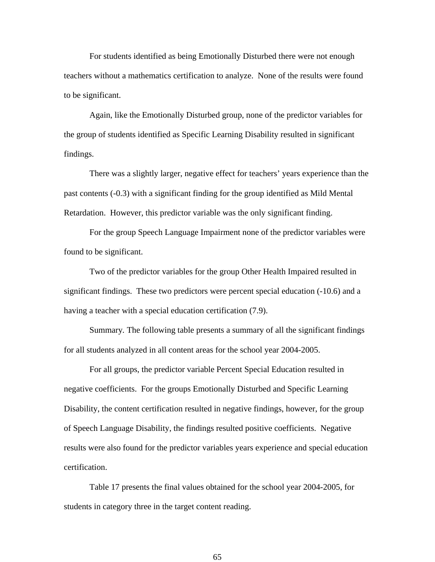For students identified as being Emotionally Disturbed there were not enough teachers without a mathematics certification to analyze. None of the results were found to be significant.

 Again, like the Emotionally Disturbed group, none of the predictor variables for the group of students identified as Specific Learning Disability resulted in significant findings.

 There was a slightly larger, negative effect for teachers' years experience than the past contents (-0.3) with a significant finding for the group identified as Mild Mental Retardation. However, this predictor variable was the only significant finding.

 For the group Speech Language Impairment none of the predictor variables were found to be significant.

 Two of the predictor variables for the group Other Health Impaired resulted in significant findings. These two predictors were percent special education (-10.6) and a having a teacher with a special education certification (7.9).

 Summary*.* The following table presents a summary of all the significant findings for all students analyzed in all content areas for the school year 2004-2005.

For all groups, the predictor variable Percent Special Education resulted in negative coefficients. For the groups Emotionally Disturbed and Specific Learning Disability, the content certification resulted in negative findings, however, for the group of Speech Language Disability, the findings resulted positive coefficients. Negative results were also found for the predictor variables years experience and special education certification.

 Table 17 presents the final values obtained for the school year 2004-2005, for students in category three in the target content reading.

 $\sim$  65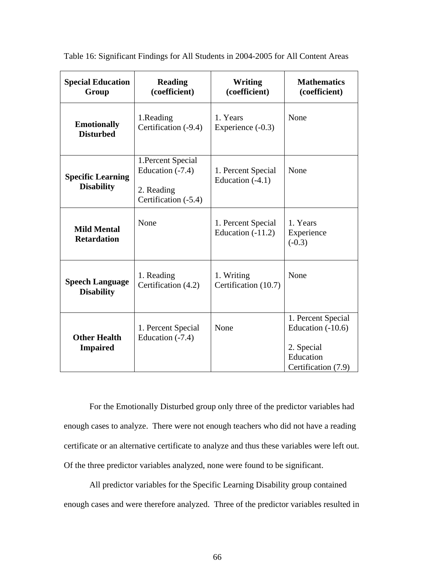| <b>Special Education</b>                      | <b>Reading</b>                                                               | <b>Writing</b>                            | <b>Mathematics</b>                                                                          |
|-----------------------------------------------|------------------------------------------------------------------------------|-------------------------------------------|---------------------------------------------------------------------------------------------|
| Group                                         | (coefficient)                                                                | (coefficient)                             | (coefficient)                                                                               |
| <b>Emotionally</b>                            | 1.Reading                                                                    | 1. Years                                  | None                                                                                        |
| <b>Disturbed</b>                              | Certification (-9.4)                                                         | Experience (-0.3)                         |                                                                                             |
| <b>Specific Learning</b><br><b>Disability</b> | 1. Percent Special<br>Education (-7.4)<br>2. Reading<br>Certification (-5.4) | 1. Percent Special<br>Education (-4.1)    | None                                                                                        |
| <b>Mild Mental</b><br><b>Retardation</b>      | None                                                                         | 1. Percent Special<br>Education $(-11.2)$ | 1. Years<br>Experience<br>$(-0.3)$                                                          |
| <b>Speech Language</b>                        | 1. Reading                                                                   | 1. Writing                                | None                                                                                        |
| <b>Disability</b>                             | Certification (4.2)                                                          | Certification (10.7)                      |                                                                                             |
| <b>Other Health</b><br><b>Impaired</b>        | 1. Percent Special<br>Education (-7.4)                                       | None                                      | 1. Percent Special<br>Education $(-10.6)$<br>2. Special<br>Education<br>Certification (7.9) |

Table 16: Significant Findings for All Students in 2004-2005 for All Content Areas

For the Emotionally Disturbed group only three of the predictor variables had enough cases to analyze. There were not enough teachers who did not have a reading certificate or an alternative certificate to analyze and thus these variables were left out. Of the three predictor variables analyzed, none were found to be significant.

All predictor variables for the Specific Learning Disability group contained enough cases and were therefore analyzed. Three of the predictor variables resulted in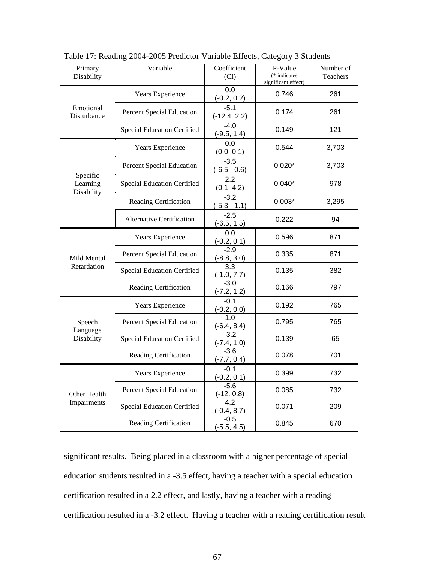| Primary<br>Disability    | Variable                           | Coefficient<br>(CI)               | P-Value<br>(* indicates<br>significant effect) | Number of<br>Teachers |
|--------------------------|------------------------------------|-----------------------------------|------------------------------------------------|-----------------------|
|                          | Years Experience                   | 0.0<br>$(-0.2, 0.2)$              | 0.746                                          | 261                   |
| Emotional<br>Disturbance | Percent Special Education          | $-5.1$<br>$(-12.4, 2.2)$          | 0.174                                          | 261                   |
|                          | <b>Special Education Certified</b> | $-4.0$<br>$(-9.5, 1.4)$           | 0.149                                          | 121                   |
|                          | Years Experience                   | 0.0<br>(0.0, 0.1)                 | 0.544                                          | 3,703                 |
| Specific                 | Percent Special Education          | $-3.5$<br>$(-6.5, -0.6)$          | $0.020*$                                       | 3,703                 |
| Learning<br>Disability   | <b>Special Education Certified</b> | 2.2<br>(0.1, 4.2)                 | $0.040*$                                       | 978                   |
|                          | Reading Certification              | $-3.2$<br>$(-5.3, -1.1)$          | $0.003*$                                       | 3,295                 |
|                          | <b>Alternative Certification</b>   | $-2.5$<br>$(-6.5, 1.5)$           | 0.222                                          | 94                    |
|                          | Years Experience                   | 0.0<br>$\frac{(-0.2, 0.1)}{-2.9}$ | 0.596                                          | 871                   |
| Mild Mental              | Percent Special Education          | $(-8.8, 3.0)$                     | 0.335                                          | 871                   |
| Retardation              | <b>Special Education Certified</b> | $\overline{3.3}$<br>$(-1.0, 7.7)$ | 0.135                                          | 382                   |
|                          | Reading Certification              | $-3.0$<br>$(-7.2, 1.2)$           | 0.166                                          | 797                   |
|                          | Years Experience                   | $-0.1$<br>$(-0.2, 0.0)$           | 0.192                                          | 765                   |
| Speech<br>Language       | Percent Special Education          | 1.0<br>$\frac{(-6.4, 8.4)}{-3.2}$ | 0.795                                          | 765                   |
| Disability               | <b>Special Education Certified</b> | $\frac{(-7.4, 1.0)}{-3.6}$        | 0.139                                          | 65                    |
|                          | Reading Certification              | $(-7.7, 0.4)$                     | 0.078                                          | 701                   |
|                          | Years Experience                   | $-0.1$<br>$(-0.2, 0.1)$           | 0.399                                          | 732                   |
| Other Health             | Percent Special Education          | $-5.6$<br>$(-12, 0.8)$            | 0.085                                          | 732                   |
| Impairments              | <b>Special Education Certified</b> | 4.2<br>$(-0.4, 8.7)$              | 0.071                                          | 209                   |
|                          | Reading Certification              | $-0.5$<br>$(-5.5, 4.5)$           | 0.845                                          | 670                   |

Table 17: Reading 2004-2005 Predictor Variable Effects, Category 3 Students

significant results. Being placed in a classroom with a higher percentage of special education students resulted in a -3.5 effect, having a teacher with a special education certification resulted in a 2.2 effect, and lastly, having a teacher with a reading certification resulted in a -3.2 effect. Having a teacher with a reading certification result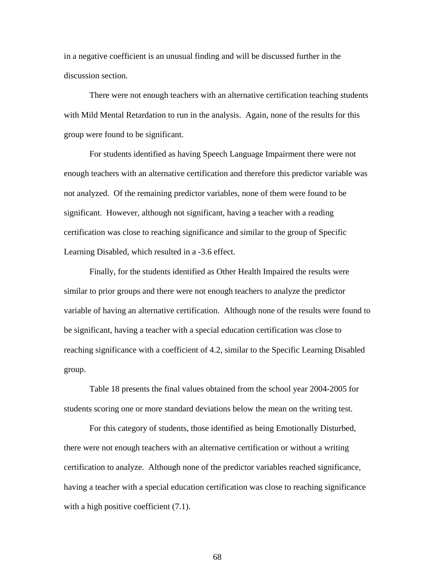in a negative coefficient is an unusual finding and will be discussed further in the discussion section.

There were not enough teachers with an alternative certification teaching students with Mild Mental Retardation to run in the analysis. Again, none of the results for this group were found to be significant.

For students identified as having Speech Language Impairment there were not enough teachers with an alternative certification and therefore this predictor variable was not analyzed. Of the remaining predictor variables, none of them were found to be significant. However, although not significant, having a teacher with a reading certification was close to reaching significance and similar to the group of Specific Learning Disabled, which resulted in a -3.6 effect.

Finally, for the students identified as Other Health Impaired the results were similar to prior groups and there were not enough teachers to analyze the predictor variable of having an alternative certification. Although none of the results were found to be significant, having a teacher with a special education certification was close to reaching significance with a coefficient of 4.2, similar to the Specific Learning Disabled group.

 Table 18 presents the final values obtained from the school year 2004-2005 for students scoring one or more standard deviations below the mean on the writing test.

For this category of students, those identified as being Emotionally Disturbed, there were not enough teachers with an alternative certification or without a writing certification to analyze. Although none of the predictor variables reached significance, having a teacher with a special education certification was close to reaching significance with a high positive coefficient  $(7.1)$ .

68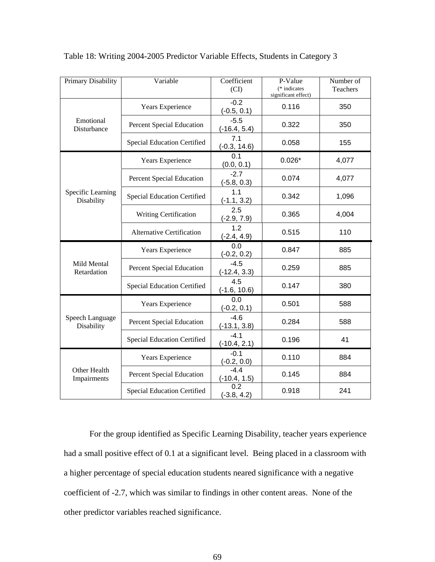| Primary Disability              | Variable                           | Coefficient<br>(CI)                  | P-Value<br>(* indicates<br>significant effect) | Number of<br>Teachers |
|---------------------------------|------------------------------------|--------------------------------------|------------------------------------------------|-----------------------|
|                                 | Years Experience                   | $-0.2$<br>$(-0.5, 0.1)$              | 0.116                                          | 350                   |
| Emotional<br>Disturbance        | Percent Special Education          | $-5.5$<br>$(-16.4, 5.4)$             | 0.322                                          | 350                   |
|                                 | <b>Special Education Certified</b> | 7.1<br>$(-0.3, 14.6)$                | 0.058                                          | 155                   |
|                                 | Years Experience                   | 0.1<br>(0.0, 0.1)                    | $0.026*$                                       | 4,077                 |
|                                 | Percent Special Education          | $-2.7$<br>$(-5.8, 0.3)$              | 0.074                                          | 4,077                 |
| Specific Learning<br>Disability | <b>Special Education Certified</b> | 1.1<br>$(-1.1, 3.2)$                 | 0.342                                          | 1,096                 |
|                                 | Writing Certification              | 2.5<br>$(-2.9, 7.9)$                 | 0.365                                          | 4,004                 |
|                                 | <b>Alternative Certification</b>   | 1.2<br>$(-2.4, 4.9)$                 | 0.515                                          | 110                   |
|                                 | Years Experience                   | 0.0<br>$(-0.2, 0.2)$                 | 0.847                                          | 885                   |
| Mild Mental<br>Retardation      | Percent Special Education          | $-4.5$<br>$(-12.4, 3.3)$             | 0.259                                          | 885                   |
|                                 | <b>Special Education Certified</b> | 4.5<br>$(-1.6, 10.6)$                | 0.147                                          | 380                   |
|                                 | Years Experience                   | 0.0<br>$(-0.2, 0.1)$                 | 0.501                                          | 588                   |
| Speech Language<br>Disability   | Percent Special Education          | $-4.6$<br>$(-13.1, 3.8)$             | 0.284                                          | 588                   |
|                                 | <b>Special Education Certified</b> | $-4.1$<br>$(-10.4, 2.1)$             | 0.196                                          | 41                    |
|                                 | Years Experience                   | $-0.1$<br>$(-0.2, 0.0)$              | 0.110                                          | 884                   |
| Other Health<br>Impairments     | Percent Special Education          | $-4.4$<br>$\frac{(-10.4, 1.5)}{0.2}$ | 0.145                                          | 884                   |
|                                 | <b>Special Education Certified</b> | $(-3.8, 4.2)$                        | 0.918                                          | 241                   |

Table 18: Writing 2004-2005 Predictor Variable Effects, Students in Category 3

 For the group identified as Specific Learning Disability, teacher years experience had a small positive effect of 0.1 at a significant level. Being placed in a classroom with a higher percentage of special education students neared significance with a negative coefficient of -2.7, which was similar to findings in other content areas. None of the other predictor variables reached significance.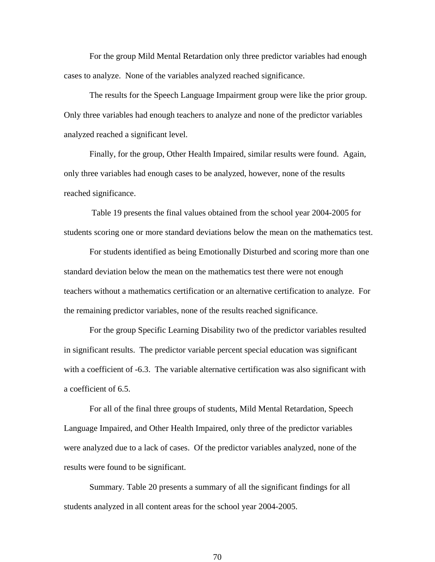For the group Mild Mental Retardation only three predictor variables had enough cases to analyze. None of the variables analyzed reached significance.

 The results for the Speech Language Impairment group were like the prior group. Only three variables had enough teachers to analyze and none of the predictor variables analyzed reached a significant level.

Finally, for the group, Other Health Impaired, similar results were found. Again, only three variables had enough cases to be analyzed, however, none of the results reached significance.

 Table 19 presents the final values obtained from the school year 2004-2005 for students scoring one or more standard deviations below the mean on the mathematics test.

 For students identified as being Emotionally Disturbed and scoring more than one standard deviation below the mean on the mathematics test there were not enough teachers without a mathematics certification or an alternative certification to analyze. For the remaining predictor variables, none of the results reached significance.

 For the group Specific Learning Disability two of the predictor variables resulted in significant results. The predictor variable percent special education was significant with a coefficient of -6.3. The variable alternative certification was also significant with a coefficient of 6.5.

For all of the final three groups of students, Mild Mental Retardation, Speech Language Impaired, and Other Health Impaired, only three of the predictor variables were analyzed due to a lack of cases. Of the predictor variables analyzed, none of the results were found to be significant.

Summary*.* Table 20 presents a summary of all the significant findings for all students analyzed in all content areas for the school year 2004-2005.

70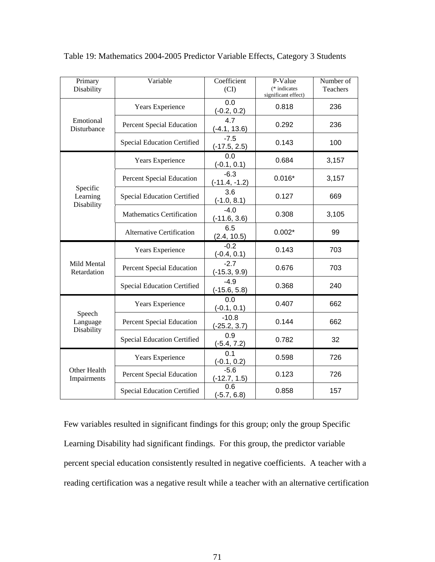| Primary<br>Disability              | Variable                           | Coefficient<br>(CI)       | P-Value<br>$(*$ indicates<br>significant effect) | Number of<br><b>Teachers</b> |
|------------------------------------|------------------------------------|---------------------------|--------------------------------------------------|------------------------------|
|                                    | Years Experience                   | 0.0<br>$(-0.2, 0.2)$      | 0.818                                            | 236                          |
| Emotional<br>Disturbance           | Percent Special Education          | 4.7<br>$(-4.1, 13.6)$     | 0.292                                            | 236                          |
|                                    | <b>Special Education Certified</b> | $-7.5$<br>$(-17.5, 2.5)$  | 0.143                                            | 100                          |
|                                    | Years Experience                   | 0.0<br>$(-0.1, 0.1)$      | 0.684                                            | 3,157                        |
|                                    | Percent Special Education          | $-6.3$<br>$(-11.4, -1.2)$ | $0.016*$                                         | 3,157                        |
| Specific<br>Learning<br>Disability | <b>Special Education Certified</b> | 3.6<br>$(-1.0, 8.1)$      | 0.127                                            | 669                          |
|                                    | <b>Mathematics Certification</b>   | $-4.0$<br>$(-11.6, 3.6)$  | 0.308                                            | 3,105                        |
|                                    | <b>Alternative Certification</b>   | 6.5<br>(2.4, 10.5)        | $0.002*$                                         | 99                           |
|                                    | Years Experience                   | $-0.2$<br>$(-0.4, 0.1)$   | 0.143                                            | 703                          |
| Mild Mental<br>Retardation         | Percent Special Education          | $-2.7$<br>$(-15.3, 9.9)$  | 0.676                                            | 703                          |
|                                    | <b>Special Education Certified</b> | $-4.9$<br>$(-15.6, 5.8)$  | 0.368                                            | 240                          |
|                                    | Years Experience                   | 0.0<br>$(-0.1, 0.1)$      | 0.407                                            | 662                          |
| Speech<br>Language                 | Percent Special Education          | $-10.8$<br>$(-25.2, 3.7)$ | 0.144                                            | 662                          |
| Disability                         | <b>Special Education Certified</b> | 0.9<br>$(-5.4, 7.2)$      | 0.782                                            | 32                           |
|                                    | Years Experience                   | 0.1<br>$(-0.1, 0.2)$      | 0.598                                            | 726                          |
| Other Health<br>Impairments        | Percent Special Education          | $-5.6$<br>$(-12.7, 1.5)$  | 0.123                                            | 726                          |
|                                    | <b>Special Education Certified</b> | 0.6<br>$(-5.7, 6.8)$      | 0.858                                            | 157                          |

Table 19: Mathematics 2004-2005 Predictor Variable Effects, Category 3 Students

Few variables resulted in significant findings for this group; only the group Specific Learning Disability had significant findings. For this group, the predictor variable percent special education consistently resulted in negative coefficients. A teacher with a reading certification was a negative result while a teacher with an alternative certification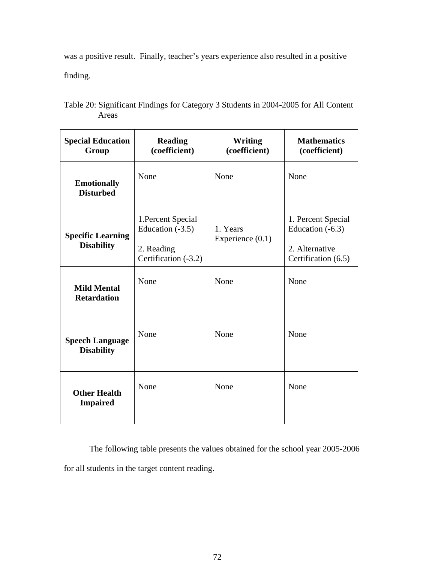was a positive result. Finally, teacher's years experience also resulted in a positive

finding.

| <b>Special Education</b><br>Group             | <b>Reading</b><br>(coefficient)                                                | Writing<br>(coefficient)     | <b>Mathematics</b><br>(coefficient)                                               |
|-----------------------------------------------|--------------------------------------------------------------------------------|------------------------------|-----------------------------------------------------------------------------------|
| <b>Emotionally</b><br><b>Disturbed</b>        | None                                                                           | None                         | None                                                                              |
| <b>Specific Learning</b><br><b>Disability</b> | 1. Percent Special<br>Education $(-3.5)$<br>2. Reading<br>Certification (-3.2) | 1. Years<br>Experience (0.1) | 1. Percent Special<br>Education $(-6.3)$<br>2. Alternative<br>Certification (6.5) |
| <b>Mild Mental</b><br><b>Retardation</b>      | None                                                                           | None                         | None                                                                              |
| <b>Speech Language</b><br><b>Disability</b>   | None                                                                           | None                         | None                                                                              |
| <b>Other Health</b><br><b>Impaired</b>        | None                                                                           | None                         | None                                                                              |

Table 20: Significant Findings for Category 3 Students in 2004-2005 for All Content Areas

The following table presents the values obtained for the school year 2005-2006 for all students in the target content reading.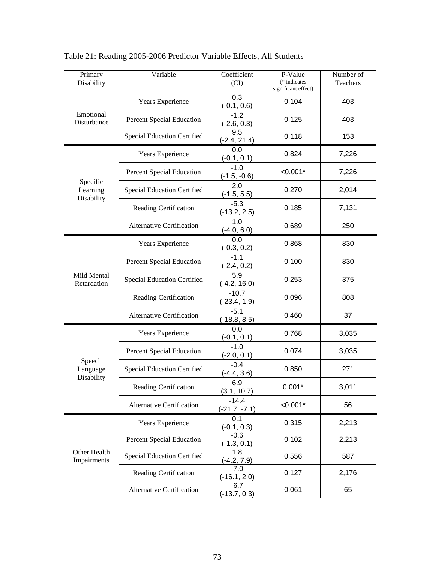| Primary<br>Disability              | Variable                         | Coefficient<br>(CI)               | P-Value<br>(* indicates<br>significant effect) | Number of<br>Teachers |
|------------------------------------|----------------------------------|-----------------------------------|------------------------------------------------|-----------------------|
|                                    | Years Experience                 | 0.3<br>$(-0.1, 0.6)$              | 0.104                                          | 403                   |
| Emotional<br>Disturbance           | Percent Special Education        | $-1.2$<br>$(-2.6, 0.3)$           | 0.125                                          | 403                   |
|                                    | Special Education Certified      | 9.5<br>$(-2.4, 21.4)$             | 0.118                                          | 153                   |
|                                    | Years Experience                 | 0.0<br>$(-0.1, 0.1)$              | 0.824                                          | 7,226                 |
|                                    | Percent Special Education        | $-1.0$<br>$(-1.5, -0.6)$          | $< 0.001*$                                     | 7,226                 |
| Specific<br>Learning<br>Disability | Special Education Certified      | 2.0<br>$(-1.5, 5.5)$              | 0.270                                          | 2,014                 |
|                                    | Reading Certification            | $-5.3$<br>$(-13.2, 2.5)$          | 0.185                                          | 7,131                 |
|                                    | <b>Alternative Certification</b> | 1.0<br>$(-4.0, 6.0)$              | 0.689                                          | 250                   |
|                                    | Years Experience                 | 0.0<br>$(-0.3, 0.2)$              | 0.868                                          | 830                   |
|                                    | Percent Special Education        | $-1.1$<br>$(-2.4, 0.2)$           | 0.100                                          | 830                   |
| Mild Mental<br>Retardation         | Special Education Certified      | 5.9<br>$(-4.2, 16.0)$             | 0.253                                          | 375                   |
|                                    | Reading Certification            | $-10.7$<br>(-23.4, 1.9)           | 0.096                                          | 808                   |
|                                    | <b>Alternative Certification</b> | $-5.1$<br>$(-18.8, 8.5)$          | 0.460                                          | 37                    |
|                                    | Years Experience                 | 0.0<br>$(-0.1, 0.1)$              | 0.768                                          | 3,035                 |
|                                    | Percent Special Education        | $-1.0$<br>$(-2.0, 0.1)$           | 0.074                                          | 3,035                 |
| Speech<br>Language<br>Disability   | Special Education Certified      | $-0.4$<br>$(-4.4, 3.6)$           | 0.850                                          | 271                   |
|                                    | Reading Certification            | 6.9<br>(3.1, 10.7)                | $0.001*$                                       | 3,011                 |
|                                    | <b>Alternative Certification</b> | $-14.4$<br>$(-21.7, -7.1)$        | $< 0.001*$                                     | 56                    |
|                                    | Years Experience                 | 0.1<br>$(-0.1, 0.3)$              | 0.315                                          | 2,213                 |
|                                    | Percent Special Education        | $-0.6$<br>$(-1.3, 0.1)$           | 0.102                                          | 2,213                 |
| Other Health<br>Impairments        | Special Education Certified      | $\overline{1.8}$<br>$(-4.2, 7.9)$ | 0.556                                          | 587                   |
|                                    | Reading Certification            | $-7.0$<br>$(-16.1, 2.0)$          | 0.127                                          | 2,176                 |
|                                    | <b>Alternative Certification</b> | $-6.7$<br>$(-13.7, 0.3)$          | 0.061                                          | 65                    |

## Table 21: Reading 2005-2006 Predictor Variable Effects, All Students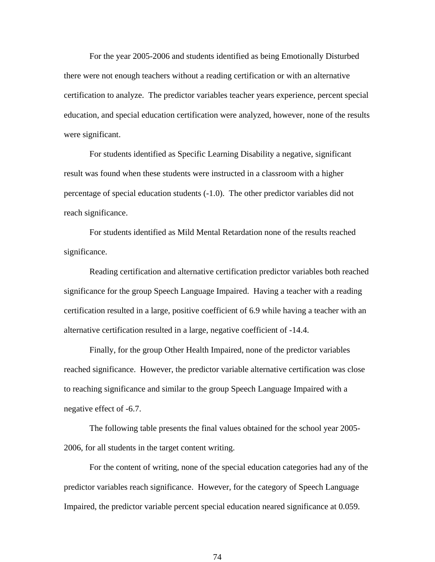For the year 2005-2006 and students identified as being Emotionally Disturbed there were not enough teachers without a reading certification or with an alternative certification to analyze. The predictor variables teacher years experience, percent special education, and special education certification were analyzed, however, none of the results were significant.

 For students identified as Specific Learning Disability a negative, significant result was found when these students were instructed in a classroom with a higher percentage of special education students (-1.0). The other predictor variables did not reach significance.

 For students identified as Mild Mental Retardation none of the results reached significance.

 Reading certification and alternative certification predictor variables both reached significance for the group Speech Language Impaired. Having a teacher with a reading certification resulted in a large, positive coefficient of 6.9 while having a teacher with an alternative certification resulted in a large, negative coefficient of -14.4.

 Finally, for the group Other Health Impaired, none of the predictor variables reached significance. However, the predictor variable alternative certification was close to reaching significance and similar to the group Speech Language Impaired with a negative effect of -6.7.

The following table presents the final values obtained for the school year 2005- 2006, for all students in the target content writing.

For the content of writing, none of the special education categories had any of the predictor variables reach significance. However, for the category of Speech Language Impaired, the predictor variable percent special education neared significance at 0.059.

74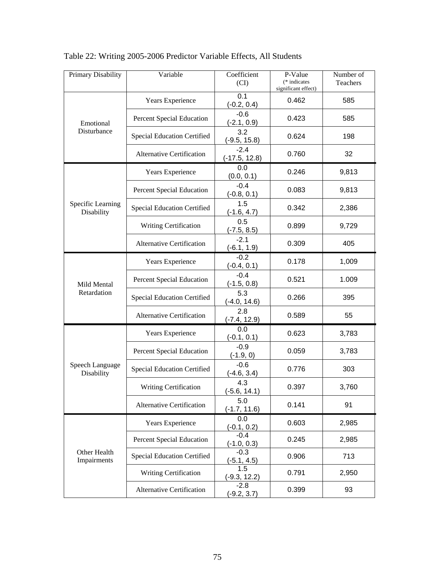| Primary Disability              | Variable                           | Coefficient<br>(CI)                | P-Value<br>(* indicates<br>significant effect) | Number of<br>Teachers |
|---------------------------------|------------------------------------|------------------------------------|------------------------------------------------|-----------------------|
|                                 | Years Experience                   | 0.1<br>$(-0.2, 0.4)$               | 0.462                                          | 585                   |
| Emotional                       | Percent Special Education          | $-0.6$<br>$(-2.1, 0.9)$            | 0.423                                          | 585                   |
| Disturbance                     | <b>Special Education Certified</b> | 3.2<br>$(-9.5, 15.8)$              | 0.624                                          | 198                   |
|                                 | <b>Alternative Certification</b>   | $-2.4$<br>$(-17.5, 12.8)$          | 0.760                                          | 32                    |
|                                 | Years Experience                   | 0.0<br>(0.0, 0.1)                  | 0.246                                          | 9,813                 |
|                                 | Percent Special Education          | $-0.4$<br>$(-0.8, 0.1)$            | 0.083                                          | 9,813                 |
| Specific Learning<br>Disability | <b>Special Education Certified</b> | 1.5<br>$(-1.6, 4.7)$               | 0.342                                          | 2,386                 |
|                                 | Writing Certification              | 0.5<br>$(-7.5, 8.5)$               | 0.899                                          | 9,729                 |
|                                 | <b>Alternative Certification</b>   | $-2.1$<br>$(-6.1, 1.9)$            | 0.309                                          | 405                   |
|                                 | Years Experience                   | $-0.2$<br>$(-0.4, 0.1)$            | 0.178                                          | 1,009                 |
| Mild Mental<br>Retardation      | Percent Special Education          | $-0.4$<br>$(-1.5, 0.8)$            | 0.521                                          | 1.009                 |
|                                 | <b>Special Education Certified</b> | 5.3<br>$(-4.0, 14.6)$              | 0.266                                          | 395                   |
|                                 | <b>Alternative Certification</b>   | 2.8<br>$(-7.4, 12.9)$              | 0.589                                          | 55                    |
|                                 | Years Experience                   | 0.0<br>$(-0.1, 0.1)$               | 0.623                                          | 3,783                 |
|                                 | Percent Special Education          | $-0.9$<br>$(-1.9, 0)$              | 0.059                                          | 3,783                 |
| Speech Language<br>Disability   | <b>Special Education Certified</b> | $-0.6$<br>$(-4.6, 3.4)$            | 0.776                                          | 303                   |
|                                 | Writing Certification              | 4.3<br>$(-5.6, 14.1)$              | 0.397                                          | 3,760                 |
|                                 | Alternative Certification          | 5.0<br>$(-1.7, 11.6)$              | 0.141                                          | 91                    |
|                                 | Years Experience                   | 0.0<br>$(-0.1, 0.2)$               | 0.603                                          | 2,985                 |
|                                 | Percent Special Education          | $-0.4$<br>$(-1.0, 0.3)$            | 0.245                                          | 2,985                 |
| Other Health<br>Impairments     | Special Education Certified        | $-0.3$<br><u>(-5.1, 4.5)</u>       | 0.906                                          | 713                   |
|                                 | Writing Certification              | $\overline{1.5}$<br>$(-9.3, 12.2)$ | 0.791                                          | 2,950                 |
|                                 | Alternative Certification          | $-2.8$<br>$(-9.2, 3.7)$            | 0.399                                          | 93                    |

Table 22: Writing 2005-2006 Predictor Variable Effects, All Students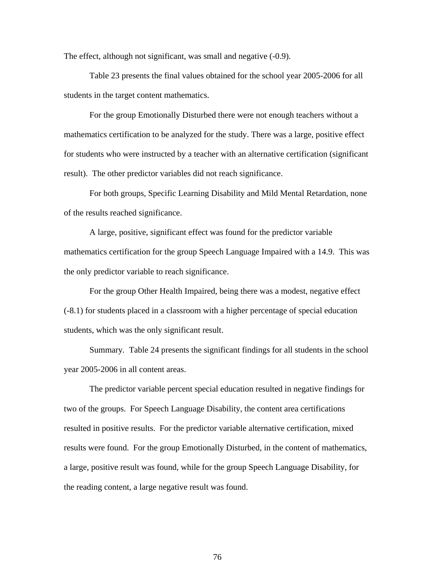The effect, although not significant, was small and negative (-0.9).

Table 23 presents the final values obtained for the school year 2005-2006 for all students in the target content mathematics.

For the group Emotionally Disturbed there were not enough teachers without a mathematics certification to be analyzed for the study. There was a large, positive effect for students who were instructed by a teacher with an alternative certification (significant result). The other predictor variables did not reach significance.

 For both groups, Specific Learning Disability and Mild Mental Retardation, none of the results reached significance.

A large, positive, significant effect was found for the predictor variable mathematics certification for the group Speech Language Impaired with a 14.9. This was the only predictor variable to reach significance.

For the group Other Health Impaired, being there was a modest, negative effect (-8.1) for students placed in a classroom with a higher percentage of special education students, which was the only significant result.

Summary*.* Table 24 presents the significant findings for all students in the school year 2005-2006 in all content areas.

The predictor variable percent special education resulted in negative findings for two of the groups. For Speech Language Disability, the content area certifications resulted in positive results. For the predictor variable alternative certification, mixed results were found. For the group Emotionally Disturbed, in the content of mathematics, a large, positive result was found, while for the group Speech Language Disability, for the reading content, a large negative result was found.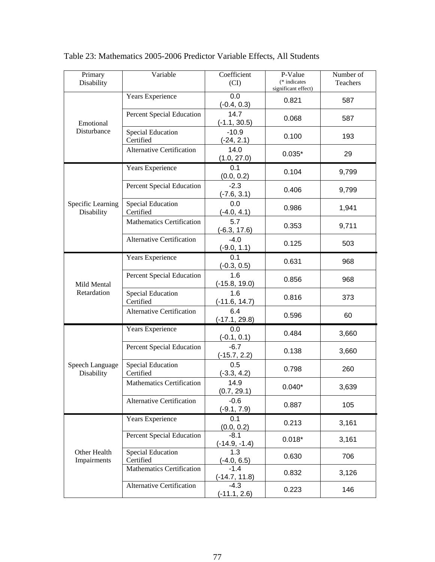| Primary<br>Disability           | Variable                              | Coefficient<br>(CI)                   | P-Value<br>(* indicates)<br>significant effect) | Number of<br>Teachers |
|---------------------------------|---------------------------------------|---------------------------------------|-------------------------------------------------|-----------------------|
|                                 | Years Experience                      | 0.0<br>$(-0.4, 0.3)$                  | 0.821                                           | 587                   |
| Emotional                       | Percent Special Education             | 14.7<br>$(-1.1, 30.5)$                | 0.068                                           | 587                   |
| Disturbance                     | <b>Special Education</b><br>Certified | $-10.9$<br>$(-24, 2.1)$               | 0.100                                           | 193                   |
|                                 | <b>Alternative Certification</b>      | 14.0<br>(1.0, 27.0)                   | $0.035*$                                        | 29                    |
|                                 | Years Experience                      | 0.1<br>(0.0, 0.2)                     | 0.104                                           | 9,799                 |
|                                 | Percent Special Education             | $-2.3$<br>$(-7.6, 3.1)$               | 0.406                                           | 9,799                 |
| Specific Learning<br>Disability | <b>Special Education</b><br>Certified | 0.0<br>$(-4.0, 4.1)$                  | 0.986                                           | 1,941                 |
|                                 | <b>Mathematics Certification</b>      | 5.7<br>$(-6.3, 17.6)$                 | 0.353                                           | 9,711                 |
|                                 | <b>Alternative Certification</b>      | $-4.0$<br>$(-9.0, 1.1)$               | 0.125                                           | 503                   |
|                                 | Years Experience                      | 0.1<br>$(-0.3, 0.5)$                  | 0.631                                           | 968                   |
| Mild Mental<br>Retardation      | Percent Special Education             | 1.6<br>$(-15.8, 19.0)$                | 0.856                                           | 968                   |
|                                 | <b>Special Education</b><br>Certified | 1.6<br>$(-11.6, 14.7)$                | 0.816                                           | 373                   |
|                                 | <b>Alternative Certification</b>      | 6.4<br>$(-17.1, 29.8)$                | 0.596                                           | 60                    |
|                                 | Years Experience                      | 0.0<br>$(-0.1, 0.1)$                  | 0.484                                           | 3,660                 |
|                                 | Percent Special Education             | $-6.7$<br>$(-15.7, 2.2)$              | 0.138                                           | 3,660                 |
| Speech Language<br>Disability   | Special Education<br>Certified        | 0.5<br>$(-3.3, 4.2)$                  | 0.798                                           | 260                   |
|                                 | <b>Mathematics Certification</b>      | 14.9<br>(0.7, 29.1)                   | $0.040*$                                        | 3,639                 |
|                                 | Alternative Certification             | $-0.6$<br>$(-9.1, 7.9)$               | 0.887                                           | 105                   |
|                                 | Years Experience                      | 0.1<br>(0.0, 0.2)                     | 0.213                                           | 3,161                 |
|                                 | Percent Special Education             | $-8.1$<br>$\frac{(-14.9, -1.4)}{1.3}$ | $0.018*$                                        | 3,161                 |
| Other Health<br>Impairments     | <b>Special Education</b><br>Certified | $\frac{(-4.0, 6.5)}{-1.4}$            | 0.630                                           | 706                   |
|                                 | <b>Mathematics Certification</b>      | $\frac{(-14.7, 11.8)}{-4.3}$          | 0.832                                           | 3,126                 |
|                                 | <b>Alternative Certification</b>      | $(-11.1, 2.6)$                        | 0.223                                           | 146                   |

Table 23: Mathematics 2005-2006 Predictor Variable Effects, All Students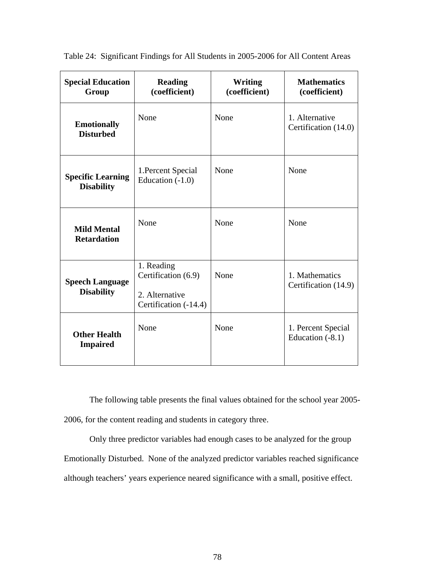| <b>Special Education</b><br>Group             | <b>Reading</b><br>(coefficient)                                              | <b>Writing</b><br>(coefficient) | <b>Mathematics</b><br>(coefficient)    |
|-----------------------------------------------|------------------------------------------------------------------------------|---------------------------------|----------------------------------------|
| <b>Emotionally</b><br><b>Disturbed</b>        | None                                                                         | None                            | 1. Alternative<br>Certification (14.0) |
| <b>Specific Learning</b><br><b>Disability</b> | 1. Percent Special<br>Education $(-1.0)$                                     | None                            | None                                   |
| <b>Mild Mental</b><br><b>Retardation</b>      | None                                                                         | None                            | None                                   |
| <b>Speech Language</b><br><b>Disability</b>   | 1. Reading<br>Certification (6.9)<br>2. Alternative<br>Certification (-14.4) | None                            | 1. Mathematics<br>Certification (14.9) |
| <b>Other Health</b><br><b>Impaired</b>        | None                                                                         | None                            | 1. Percent Special<br>Education (-8.1) |

Table 24: Significant Findings for All Students in 2005-2006 for All Content Areas

The following table presents the final values obtained for the school year 2005- 2006, for the content reading and students in category three.

Only three predictor variables had enough cases to be analyzed for the group Emotionally Disturbed. None of the analyzed predictor variables reached significance although teachers' years experience neared significance with a small, positive effect.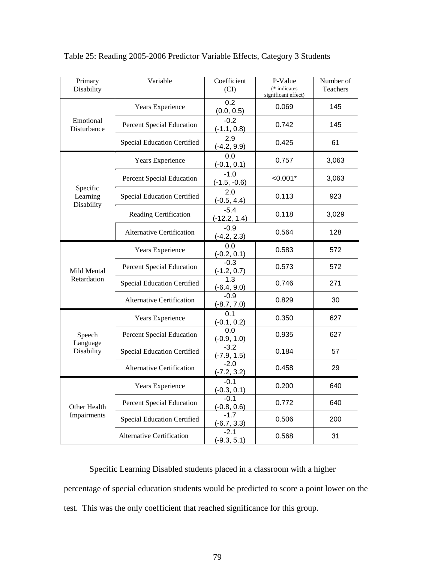| Primary<br>Disability              | Variable                           | Coefficient<br>(CI)                  | P-Value<br>(* indicates<br>significant effect) | Number of<br>Teachers |
|------------------------------------|------------------------------------|--------------------------------------|------------------------------------------------|-----------------------|
|                                    | Years Experience                   | $\overline{0.2}$<br>(0.0, 0.5)       | 0.069                                          | 145                   |
| Emotional<br>Disturbance           | Percent Special Education          | $-0.2$<br>$(-1.1, 0.8)$              | 0.742                                          | 145                   |
|                                    | <b>Special Education Certified</b> | 2.9<br>$(-4.2, 9.9)$                 | 0.425                                          | 61                    |
|                                    | Years Experience                   | 0.0<br>$(-0.1, 0.1)$                 | 0.757                                          | 3,063                 |
|                                    | Percent Special Education          | $-1.0$<br>$(-1.5, -0.6)$             | $< 0.001*$                                     | 3,063                 |
| Specific<br>Learning<br>Disability | <b>Special Education Certified</b> | 2.0<br>$(-0.5, 4.4)$                 | 0.113                                          | 923                   |
|                                    | Reading Certification              | $-5.4$<br>$(-12.2, 1.4)$             | 0.118                                          | 3,029                 |
|                                    | <b>Alternative Certification</b>   | $-0.9$<br>$(-4.2, 2.3)$              | 0.564                                          | 128                   |
|                                    | Years Experience                   | 0.0<br>$(-0.2, 0.1)$                 | 0.583                                          | 572                   |
| Mild Mental                        | Percent Special Education          | $-0.3$<br>$(-1.2, 0.7)$              | 0.573                                          | 572                   |
| Retardation                        | <b>Special Education Certified</b> | 1.3<br>$(-6.4, 9.0)$                 | 0.746                                          | 271                   |
|                                    | <b>Alternative Certification</b>   | $-0.9$<br>$(-8.7, 7.0)$              | 0.829                                          | 30                    |
|                                    | Years Experience                   | 0.1<br>$(-0.1, 0.2)$                 | 0.350                                          | 627                   |
| Speech<br>Language                 | Percent Special Education          | 0.0<br>$\frac{(-0.9, 1.0)}{-3.2}$    | 0.935                                          | 627                   |
| Disability                         | <b>Special Education Certified</b> | $\frac{(-7.9, 1.5)}{-2.0}$           | 0.184                                          | 57                    |
|                                    | <b>Alternative Certification</b>   | $(-7.2, 3.2)$                        | 0.458                                          | 29                    |
|                                    | Years Experience                   | $-0.1$<br>$\frac{(-0.3, 0.1)}{-0.1}$ | 0.200                                          | 640                   |
| Other Health                       | Percent Special Education          | $(-0.8, 0.6)$                        | 0.772                                          | 640                   |
| Impairments                        | <b>Special Education Certified</b> | $-1.7$<br>$\frac{(-6.7, 3.3)}{-2.1}$ | 0.506                                          | 200                   |
|                                    | <b>Alternative Certification</b>   | $(-9.3, 5.1)$                        | 0.568                                          | 31                    |

Table 25: Reading 2005-2006 Predictor Variable Effects, Category 3 Students

Specific Learning Disabled students placed in a classroom with a higher percentage of special education students would be predicted to score a point lower on the test. This was the only coefficient that reached significance for this group.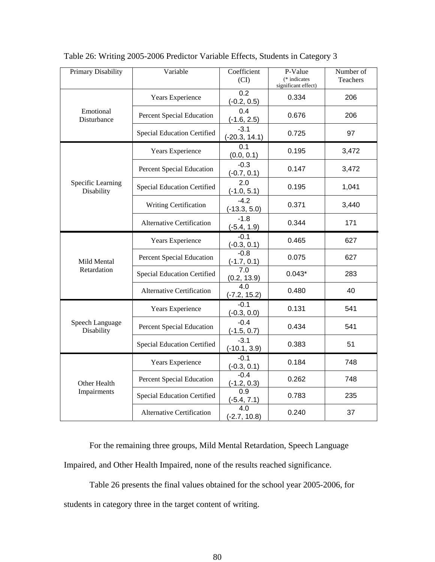| Primary Disability              | Variable                           | Coefficient<br>(CI)      | P-Value<br>$(*$ indicates<br>significant effect) | Number of<br>Teachers |
|---------------------------------|------------------------------------|--------------------------|--------------------------------------------------|-----------------------|
|                                 | Years Experience                   | 0.2<br>$(-0.2, 0.5)$     | 0.334                                            | 206                   |
| Emotional<br>Disturbance        | Percent Special Education          | 0.4<br>$(-1.6, 2.5)$     | 0.676                                            | 206                   |
|                                 | <b>Special Education Certified</b> | -3.1<br>$(-20.3, 14.1)$  | 0.725                                            | 97                    |
|                                 | Years Experience                   | 0.1<br>(0.0, 0.1)        | 0.195                                            | 3,472                 |
|                                 | Percent Special Education          | $-0.3$<br>$(-0.7, 0.1)$  | 0.147                                            | 3,472                 |
| Specific Learning<br>Disability | <b>Special Education Certified</b> | 2.0<br>$(-1.0, 5.1)$     | 0.195                                            | 1,041                 |
|                                 | Writing Certification              | $-4.2$<br>$(-13.3, 5.0)$ | 0.371                                            | 3,440                 |
|                                 | <b>Alternative Certification</b>   | $-1.8$<br>$(-5.4, 1.9)$  | 0.344                                            | 171                   |
|                                 | Years Experience                   | $-0.1$<br>$(-0.3, 0.1)$  | 0.465                                            | 627                   |
| Mild Mental                     | Percent Special Education          | $-0.8$<br>$(-1.7, 0.1)$  | 0.075                                            | 627                   |
| Retardation                     | <b>Special Education Certified</b> | 7.0<br>(0.2, 13.9)       | $0.043*$                                         | 283                   |
|                                 | Alternative Certification          | 4.0<br>$(-7.2, 15.2)$    | 0.480                                            | 40                    |
|                                 | Years Experience                   | $-0.1$<br>$(-0.3, 0.0)$  | 0.131                                            | 541                   |
| Speech Language<br>Disability   | Percent Special Education          | $-0.4$<br>$(-1.5, 0.7)$  | 0.434                                            | 541                   |
|                                 | <b>Special Education Certified</b> | $-3.1$<br>$(-10.1, 3.9)$ | 0.383                                            | 51                    |
|                                 | Years Experience                   | $-0.1$<br>$(-0.3, 0.1)$  | 0.184                                            | 748                   |
| Other Health                    | Percent Special Education          | $-0.4$<br>$(-1.2, 0.3)$  | 0.262                                            | 748                   |
| Impairments                     | Special Education Certified        | 0.9<br>$(-5.4, 7.1)$     | 0.783                                            | 235                   |
|                                 | <b>Alternative Certification</b>   | 4.0<br>$(-2.7, 10.8)$    | 0.240                                            | 37                    |

Table 26: Writing 2005-2006 Predictor Variable Effects, Students in Category 3

For the remaining three groups, Mild Mental Retardation, Speech Language Impaired, and Other Health Impaired, none of the results reached significance.

 Table 26 presents the final values obtained for the school year 2005-2006, for students in category three in the target content of writing.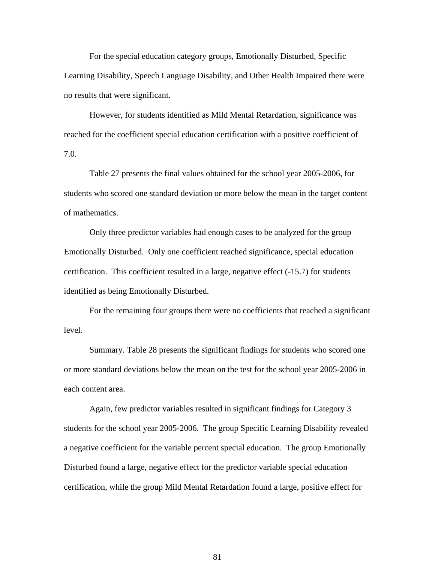For the special education category groups, Emotionally Disturbed, Specific Learning Disability, Speech Language Disability, and Other Health Impaired there were no results that were significant.

However, for students identified as Mild Mental Retardation, significance was reached for the coefficient special education certification with a positive coefficient of 7.0.

Table 27 presents the final values obtained for the school year 2005-2006, for students who scored one standard deviation or more below the mean in the target content of mathematics.

Only three predictor variables had enough cases to be analyzed for the group Emotionally Disturbed. Only one coefficient reached significance, special education certification. This coefficient resulted in a large, negative effect (-15.7) for students identified as being Emotionally Disturbed.

For the remaining four groups there were no coefficients that reached a significant level.

Summary. Table 28 presents the significant findings for students who scored one or more standard deviations below the mean on the test for the school year 2005-2006 in each content area.

Again, few predictor variables resulted in significant findings for Category 3 students for the school year 2005-2006. The group Specific Learning Disability revealed a negative coefficient for the variable percent special education. The group Emotionally Disturbed found a large, negative effect for the predictor variable special education certification, while the group Mild Mental Retardation found a large, positive effect for

81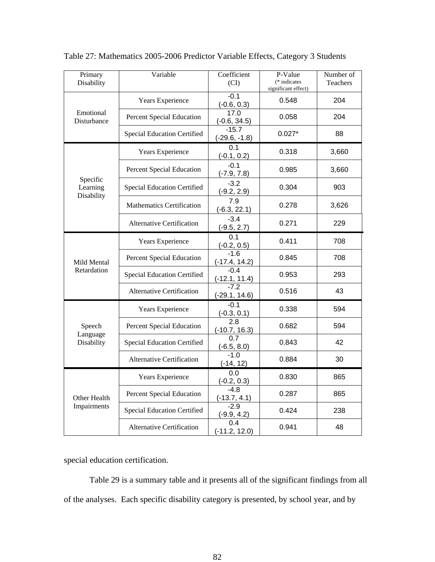| Primary<br>Disability              | Variable                           | Coefficient<br>(CI)                    | P-Value<br>(* indicates<br>significant effect) | Number of<br>Teachers |
|------------------------------------|------------------------------------|----------------------------------------|------------------------------------------------|-----------------------|
|                                    | Years Experience                   | $-0.1$<br>$(-0.6, 0.3)$                | 0.548                                          | 204                   |
| Emotional<br>Disturbance           | Percent Special Education          | 17.0<br>$(-0.6, 34.5)$                 | 0.058                                          | 204                   |
|                                    | <b>Special Education Certified</b> | $-15.7$<br>$(-29.6, -1.8)$             | $0.027*$                                       | 88                    |
|                                    | Years Experience                   | 0.1<br>$(-0.1, 0.2)$                   | 0.318                                          | 3,660                 |
|                                    | Percent Special Education          | $-0.1$<br>$(-7.9, 7.8)$                | 0.985                                          | 3,660                 |
| Specific<br>Learning<br>Disability | <b>Special Education Certified</b> | $-3.2$<br>$(-9.2, 2.9)$                | 0.304                                          | 903                   |
|                                    | <b>Mathematics Certification</b>   | 7.9<br>$(-6.3, 22.1)$                  | 0.278                                          | 3,626                 |
|                                    | Alternative Certification          | $-3.4$<br>$(-9.5, 2.7)$                | 0.271                                          | 229                   |
|                                    | Years Experience                   | 0.1<br>$(-0.2, 0.5)$                   | 0.411                                          | 708                   |
| Mild Mental                        | Percent Special Education          | $-1.6$<br>$(-17.4, 14.2)$              | 0.845                                          | 708                   |
| Retardation                        | <b>Special Education Certified</b> | $-0.4$<br>$\frac{(-12.1, 11.4)}{-7.2}$ | 0.953                                          | 293                   |
|                                    | <b>Alternative Certification</b>   | $(-29.1, 14.6)$                        | 0.516                                          | 43                    |
|                                    | Years Experience                   | $-0.1$<br>$(-0.3, 0.1)$                | 0.338                                          | 594                   |
| Speech<br>Language                 | Percent Special Education          | $\overline{2.8}$<br>$(-10.7, 16.3)$    | 0.682                                          | 594                   |
| Disability                         | <b>Special Education Certified</b> | 0.7<br>$(-6.5, 8.0)$                   | 0.843                                          | 42                    |
|                                    | Alternative Certification          | $-1.0$<br>$(-14, 12)$                  | 0.884                                          | 30                    |
|                                    | Years Experience                   | 0.0<br>$(-0.2, 0.3)$                   | 0.830                                          | 865                   |
| Other Health                       | Percent Special Education          | $-4.8$<br>$\frac{(-13.7, 4.1)}{-2.9}$  | 0.287                                          | 865                   |
| Impairments                        | <b>Special Education Certified</b> | $(-9.9, 4.2)$                          | 0.424                                          | 238                   |
|                                    | <b>Alternative Certification</b>   | 0.4<br>$(-11.2, 12.0)$                 | 0.941                                          | 48                    |

Table 27: Mathematics 2005-2006 Predictor Variable Effects, Category 3 Students

special education certification.

Table 29 is a summary table and it presents all of the significant findings from all of the analyses. Each specific disability category is presented, by school year, and by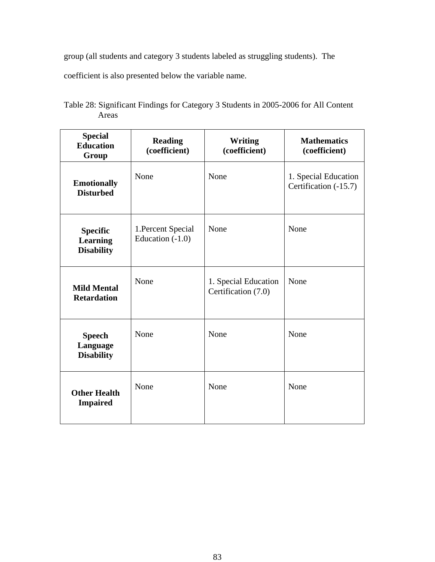group (all students and category 3 students labeled as struggling students). The

coefficient is also presented below the variable name.

| <b>Special</b><br><b>Education</b><br>Group             | <b>Reading</b><br>(coefficient)          | <b>Writing</b><br>(coefficient)             | <b>Mathematics</b><br>(coefficient)           |
|---------------------------------------------------------|------------------------------------------|---------------------------------------------|-----------------------------------------------|
| <b>Emotionally</b><br><b>Disturbed</b>                  | None                                     | None                                        | 1. Special Education<br>Certification (-15.7) |
| <b>Specific</b><br><b>Learning</b><br><b>Disability</b> | 1. Percent Special<br>Education $(-1.0)$ | None                                        | None                                          |
| <b>Mild Mental</b><br><b>Retardation</b>                | None                                     | 1. Special Education<br>Certification (7.0) | None                                          |
| <b>Speech</b><br>Language<br><b>Disability</b>          | None                                     | None                                        | None                                          |
| <b>Other Health</b><br><b>Impaired</b>                  | None                                     | None                                        | None                                          |

Table 28: Significant Findings for Category 3 Students in 2005-2006 for All Content Areas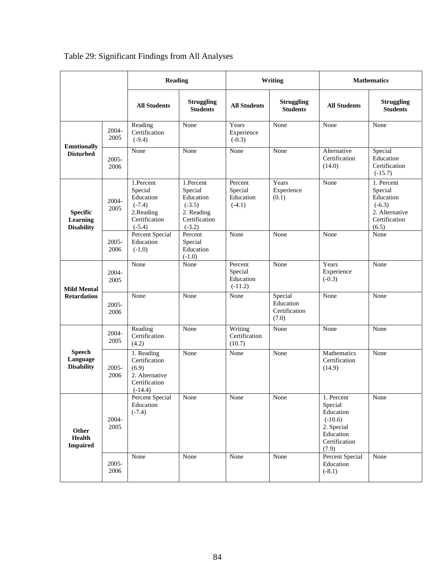|                                                  |               | <b>Reading</b>                                                                          |                                                                                          | Writing                                      |                                                | <b>Mathematics</b>                                                                                                 |                                                                                            |
|--------------------------------------------------|---------------|-----------------------------------------------------------------------------------------|------------------------------------------------------------------------------------------|----------------------------------------------|------------------------------------------------|--------------------------------------------------------------------------------------------------------------------|--------------------------------------------------------------------------------------------|
|                                                  |               | <b>All Students</b>                                                                     | <b>Struggling</b><br><b>Students</b>                                                     | <b>All Students</b>                          | <b>Struggling</b><br><b>Students</b>           | <b>All Students</b>                                                                                                | <b>Struggling</b><br><b>Students</b>                                                       |
| <b>Emotionally</b><br><b>Disturbed</b>           | 2004-<br>2005 | Reading<br>Certification<br>$(-9.4)$                                                    | None                                                                                     | Years<br>Experience<br>$(-0.3)$              | None                                           | None                                                                                                               | None                                                                                       |
|                                                  | 2005-<br>2006 | None                                                                                    | None                                                                                     | None                                         | None                                           | Alternative<br>Certification<br>(14.0)                                                                             | Special<br>Education<br>Certification<br>$(-15.7)$                                         |
| <b>Specific</b><br>Learning<br><b>Disability</b> | 2004-<br>2005 | 1.Percent<br>Special<br>Education<br>$(-7.4)$<br>2.Reading<br>Certification<br>$(-5.4)$ | 1.Percent<br>Special<br>Education<br>$(-3.5)$<br>2. Reading<br>Certification<br>$(-3.2)$ | Percent<br>Special<br>Education<br>$(-4.1)$  | Years<br>Experience<br>(0.1)                   | None                                                                                                               | 1. Percent<br>Special<br>Education<br>$(-6.3)$<br>2. Alternative<br>Certification<br>(6.5) |
|                                                  | 2005-<br>2006 | <b>Percent Special</b><br>Education<br>$(-1.0)$                                         | Percent<br>Special<br>Education<br>$(-1.0)$                                              | None                                         | None                                           | None                                                                                                               | None                                                                                       |
| <b>Mild Mental</b><br><b>Retardation</b>         | 2004-<br>2005 | None                                                                                    | None                                                                                     | Percent<br>Special<br>Education<br>$(-11.2)$ | None                                           | Years<br>Experience<br>$(-0.3)$                                                                                    | None                                                                                       |
|                                                  | 2005-<br>2006 | None                                                                                    | None                                                                                     | None                                         | Special<br>Education<br>Certification<br>(7.0) | None                                                                                                               | None                                                                                       |
| <b>Speech</b><br>Language<br><b>Disability</b>   | 2004-<br>2005 | Reading<br>Certification<br>(4.2)                                                       | None                                                                                     | Writing<br>Certification<br>(10.7)           | None                                           | None                                                                                                               | None                                                                                       |
|                                                  | 2005-<br>2006 | 1. Reading<br>Certification<br>(6.9)<br>2. Alternative<br>Certification<br>$(-14.4)$    | None                                                                                     | None                                         | None                                           | Mathematics<br>Certification<br>(14.9)                                                                             | None                                                                                       |
| Other<br><b>Health</b><br><b>Impaired</b>        | 2004-<br>2005 | Percent Special<br>Education<br>$(-7.4)$                                                | None                                                                                     | None                                         | None                                           | $\overline{1}$ . Percent<br>Special<br>Education<br>$(-10.6)$<br>2. Special<br>Education<br>Certification<br>(7.9) | None                                                                                       |
|                                                  | 2005-<br>2006 | None                                                                                    | None                                                                                     | None                                         | None                                           | <b>Percent Special</b><br>Education<br>$(-8.1)$                                                                    | None                                                                                       |

# Table 29: Significant Findings from All Analyses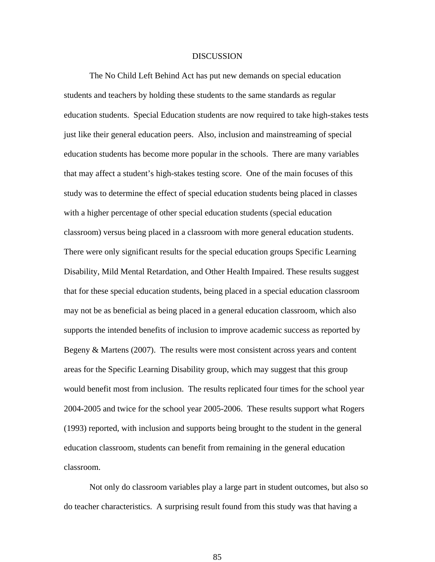#### DISCUSSION

 The No Child Left Behind Act has put new demands on special education students and teachers by holding these students to the same standards as regular education students. Special Education students are now required to take high-stakes tests just like their general education peers. Also, inclusion and mainstreaming of special education students has become more popular in the schools. There are many variables that may affect a student's high-stakes testing score. One of the main focuses of this study was to determine the effect of special education students being placed in classes with a higher percentage of other special education students (special education classroom) versus being placed in a classroom with more general education students. There were only significant results for the special education groups Specific Learning Disability, Mild Mental Retardation, and Other Health Impaired. These results suggest that for these special education students, being placed in a special education classroom may not be as beneficial as being placed in a general education classroom, which also supports the intended benefits of inclusion to improve academic success as reported by Begeny & Martens (2007). The results were most consistent across years and content areas for the Specific Learning Disability group, which may suggest that this group would benefit most from inclusion. The results replicated four times for the school year 2004-2005 and twice for the school year 2005-2006. These results support what Rogers (1993) reported, with inclusion and supports being brought to the student in the general education classroom, students can benefit from remaining in the general education classroom.

Not only do classroom variables play a large part in student outcomes, but also so do teacher characteristics. A surprising result found from this study was that having a

<u>85 and 2012</u>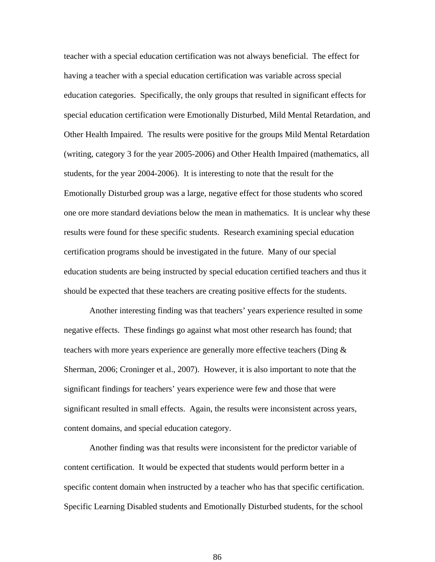teacher with a special education certification was not always beneficial. The effect for having a teacher with a special education certification was variable across special education categories. Specifically, the only groups that resulted in significant effects for special education certification were Emotionally Disturbed, Mild Mental Retardation, and Other Health Impaired. The results were positive for the groups Mild Mental Retardation (writing, category 3 for the year 2005-2006) and Other Health Impaired (mathematics, all students, for the year 2004-2006). It is interesting to note that the result for the Emotionally Disturbed group was a large, negative effect for those students who scored one ore more standard deviations below the mean in mathematics. It is unclear why these results were found for these specific students. Research examining special education certification programs should be investigated in the future. Many of our special education students are being instructed by special education certified teachers and thus it should be expected that these teachers are creating positive effects for the students.

Another interesting finding was that teachers' years experience resulted in some negative effects. These findings go against what most other research has found; that teachers with more years experience are generally more effective teachers (Ding  $\&$ Sherman, 2006; Croninger et al., 2007). However, it is also important to note that the significant findings for teachers' years experience were few and those that were significant resulted in small effects. Again, the results were inconsistent across years, content domains, and special education category.

 Another finding was that results were inconsistent for the predictor variable of content certification. It would be expected that students would perform better in a specific content domain when instructed by a teacher who has that specific certification. Specific Learning Disabled students and Emotionally Disturbed students, for the school

<u>86 and 200 and 200 and 200 and 200 and 200 and 200 and 200 and 200 and 200 and 200 and 200 and 200 and 200 and 200 and 200 and 200 and 200 and 200 and 200 and 200 and 200 and 200 and 200 and 200 and 200 and 200 and 200 an</u>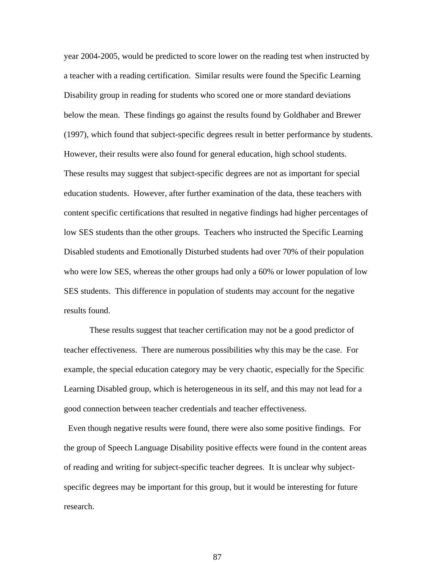year 2004-2005, would be predicted to score lower on the reading test when instructed by a teacher with a reading certification. Similar results were found the Specific Learning Disability group in reading for students who scored one or more standard deviations below the mean. These findings go against the results found by Goldhaber and Brewer (1997), which found that subject-specific degrees result in better performance by students. However, their results were also found for general education, high school students. These results may suggest that subject-specific degrees are not as important for special education students. However, after further examination of the data, these teachers with content specific certifications that resulted in negative findings had higher percentages of low SES students than the other groups. Teachers who instructed the Specific Learning Disabled students and Emotionally Disturbed students had over 70% of their population who were low SES, whereas the other groups had only a 60% or lower population of low SES students. This difference in population of students may account for the negative results found.

 These results suggest that teacher certification may not be a good predictor of teacher effectiveness. There are numerous possibilities why this may be the case. For example, the special education category may be very chaotic, especially for the Specific Learning Disabled group, which is heterogeneous in its self, and this may not lead for a good connection between teacher credentials and teacher effectiveness.

 Even though negative results were found, there were also some positive findings. For the group of Speech Language Disability positive effects were found in the content areas of reading and writing for subject-specific teacher degrees. It is unclear why subjectspecific degrees may be important for this group, but it would be interesting for future research.

87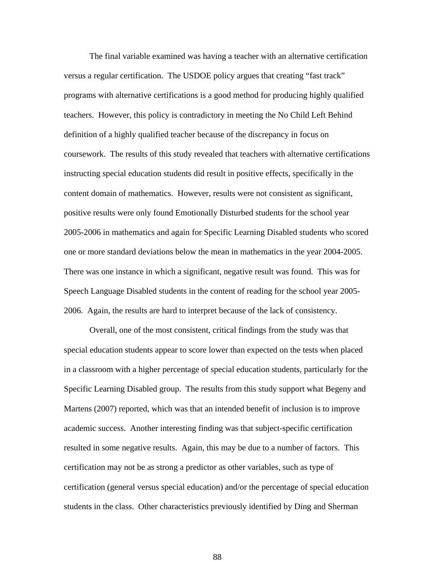The final variable examined was having a teacher with an alternative certification versus a regular certification. The USDOE policy argues that creating "fast track" programs with alternative certifications is a good method for producing highly qualified teachers. However, this policy is contradictory in meeting the No Child Left Behind definition of a highly qualified teacher because of the discrepancy in focus on coursework. The results of this study revealed that teachers with alternative certifications instructing special education students did result in positive effects, specifically in the content domain of mathematics. However, results were not consistent as significant, positive results were only found Emotionally Disturbed students for the school year 2005-2006 in mathematics and again for Specific Learning Disabled students who scored one or more standard deviations below the mean in mathematics in the year 2004-2005. There was one instance in which a significant, negative result was found. This was for Speech Language Disabled students in the content of reading for the school year 2005- 2006. Again, the results are hard to interpret because of the lack of consistency.

 Overall, one of the most consistent, critical findings from the study was that special education students appear to score lower than expected on the tests when placed in a classroom with a higher percentage of special education students, particularly for the Specific Learning Disabled group. The results from this study support what Begeny and Martens (2007) reported, which was that an intended benefit of inclusion is to improve academic success. Another interesting finding was that subject-specific certification resulted in some negative results. Again, this may be due to a number of factors. This certification may not be as strong a predictor as other variables, such as type of certification (general versus special education) and/or the percentage of special education students in the class. Other characteristics previously identified by Ding and Sherman

<u>88 and 200 and 200 and 200 and 200 and 200 and 200 and 200 and 200 and 200 and 200 and 200 and 200 and 200 and 200 and 200 and 200 and 200 and 200 and 200 and 200 and 200 and 200 and 200 and 200 and 200 and 200 and 200 an</u>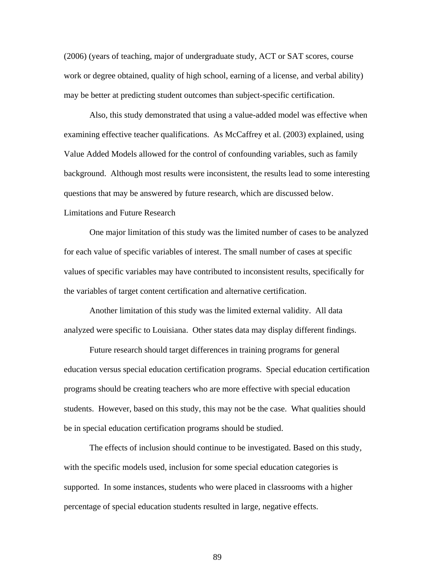(2006) (years of teaching, major of undergraduate study, ACT or SAT scores, course work or degree obtained, quality of high school, earning of a license, and verbal ability) may be better at predicting student outcomes than subject-specific certification.

 Also, this study demonstrated that using a value-added model was effective when examining effective teacher qualifications. As McCaffrey et al. (2003) explained, using Value Added Models allowed for the control of confounding variables, such as family background. Although most results were inconsistent, the results lead to some interesting questions that may be answered by future research, which are discussed below. Limitations and Future Research

 One major limitation of this study was the limited number of cases to be analyzed for each value of specific variables of interest. The small number of cases at specific values of specific variables may have contributed to inconsistent results, specifically for the variables of target content certification and alternative certification.

 Another limitation of this study was the limited external validity. All data analyzed were specific to Louisiana. Other states data may display different findings.

 Future research should target differences in training programs for general education versus special education certification programs. Special education certification programs should be creating teachers who are more effective with special education students. However, based on this study, this may not be the case. What qualities should be in special education certification programs should be studied.

 The effects of inclusion should continue to be investigated. Based on this study, with the specific models used, inclusion for some special education categories is supported. In some instances, students who were placed in classrooms with a higher percentage of special education students resulted in large, negative effects.

<u>89 and 2012</u>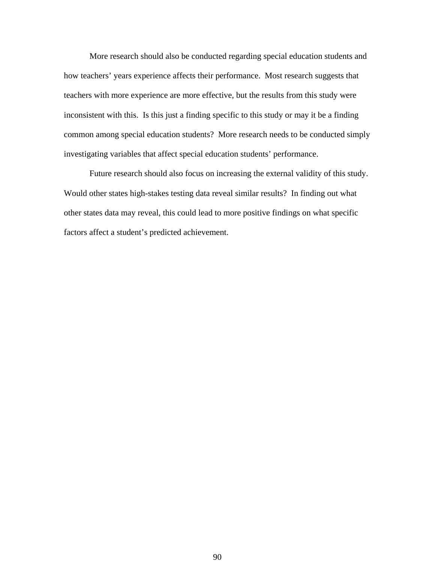More research should also be conducted regarding special education students and how teachers' years experience affects their performance. Most research suggests that teachers with more experience are more effective, but the results from this study were inconsistent with this. Is this just a finding specific to this study or may it be a finding common among special education students? More research needs to be conducted simply investigating variables that affect special education students' performance.

 Future research should also focus on increasing the external validity of this study. Would other states high-stakes testing data reveal similar results? In finding out what other states data may reveal, this could lead to more positive findings on what specific factors affect a student's predicted achievement.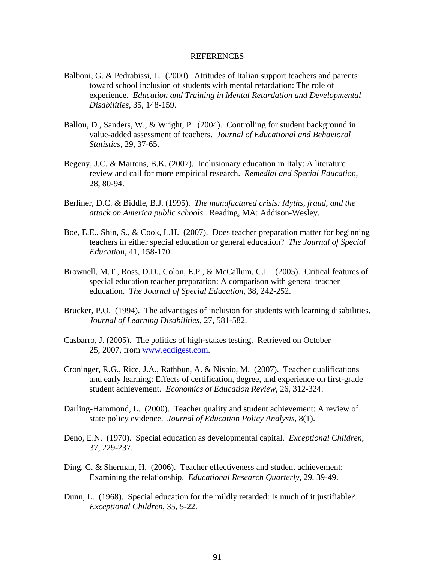#### REFERENCES

- Balboni, G. & Pedrabissi, L. (2000). Attitudes of Italian support teachers and parents toward school inclusion of students with mental retardation: The role of experience. *Education and Training in Mental Retardation and Developmental Disabilities*, 35, 148-159.
- Ballou, D., Sanders, W., & Wright, P. (2004). Controlling for student background in value-added assessment of teachers. *Journal of Educational and Behavioral Statistics*, 29, 37-65.
- Begeny, J.C. & Martens, B.K. (2007). Inclusionary education in Italy: A literature review and call for more empirical research. *Remedial and Special Education*, 28, 80-94.
- Berliner, D.C. & Biddle, B.J. (1995). *The manufactured crisis: Myths, fraud, and the attack on America public schools.* Reading, MA: Addison-Wesley.
- Boe, E.E., Shin, S., & Cook, L.H. (2007). Does teacher preparation matter for beginning teachers in either special education or general education? *The Journal of Special Education*, 41, 158-170.
- Brownell, M.T., Ross, D.D., Colon, E.P., & McCallum, C.L. (2005). Critical features of special education teacher preparation: A comparison with general teacher education. *The Journal of Special Education*, 38, 242-252.
- Brucker, P.O. (1994). The advantages of inclusion for students with learning disabilities. *Journal of Learning Disabilities*, 27, 581-582.
- Casbarro, J. (2005). The politics of high-stakes testing. Retrieved on October 25, 2007, from [www.eddigest.com.](http://www.eddigest.com/)
- Croninger, R.G., Rice, J.A., Rathbun, A. & Nishio, M. (2007). Teacher qualifications and early learning: Effects of certification, degree, and experience on first-grade student achievement. *Economics of Education Review*, 26, 312-324.
- Darling-Hammond, L. (2000). Teacher quality and student achievement: A review of state policy evidence. *Journal of Education Policy Analysis*, 8(1).
- Deno, E.N. (1970). Special education as developmental capital. *Exceptional Children*, 37, 229-237.
- Ding, C. & Sherman, H. (2006). Teacher effectiveness and student achievement: Examining the relationship. *Educational Research Quarterly*, 29, 39-49.
- Dunn, L. (1968). Special education for the mildly retarded: Is much of it justifiable? *Exceptional Children*, 35, 5-22.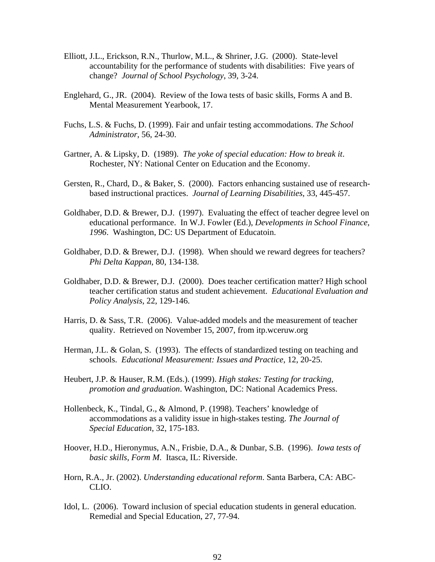- Elliott, J.L., Erickson, R.N., Thurlow, M.L., & Shriner, J.G. (2000). State-level accountability for the performance of students with disabilities: Five years of change? *Journal of School Psychology*, 39, 3-24.
- Englehard, G., JR. (2004). Review of the Iowa tests of basic skills, Forms A and B. Mental Measurement Yearbook, 17.
- Fuchs, L.S. & Fuchs, D. (1999). Fair and unfair testing accommodations. *The School Administrator*, 56, 24-30.
- Gartner, A. & Lipsky, D. (1989). *The yoke of special education: How to break it*. Rochester, NY: National Center on Education and the Economy.
- Gersten, R., Chard, D., & Baker, S. (2000). Factors enhancing sustained use of research based instructional practices. *Journal of Learning Disabilities*, 33, 445-457.
- Goldhaber, D.D. & Brewer, D.J. (1997). Evaluating the effect of teacher degree level on educational performance. In W.J. Fowler (Ed.), *Developments in School Finance, 1996*. Washington, DC: US Department of Educatoin.
- Goldhaber, D.D. & Brewer, D.J. (1998). When should we reward degrees for teachers? *Phi Delta Kappan*, 80, 134-138.
- Goldhaber, D.D. & Brewer, D.J. (2000). Does teacher certification matter? High school teacher certification status and student achievement. *Educational Evaluation and Policy Analysis*, 22, 129-146.
- Harris, D. & Sass, T.R. (2006). Value-added models and the measurement of teacher quality. Retrieved on November 15, 2007, from itp.wceruw.org
- Herman, J.L. & Golan, S. (1993). The effects of standardized testing on teaching and schools. *Educational Measurement: Issues and Practice*, 12, 20-25.
- Heubert, J.P. & Hauser, R.M. (Eds.). (1999). *High stakes: Testing for tracking, promotion and graduation*. Washington, DC: National Academics Press.
- Hollenbeck, K., Tindal, G., & Almond, P. (1998). Teachers' knowledge of accommodations as a validity issue in high-stakes testing. *The Journal of Special Education*, 32, 175-183.
- Hoover, H.D., Hieronymus, A.N., Frisbie, D.A., & Dunbar, S.B. (1996). *Iowa tests of basic skills, Form M*. Itasca, IL: Riverside.
- Horn, R.A., Jr. (2002). *Understanding educational reform*. Santa Barbera, CA: ABC- CLIO.
- Idol, L. (2006). Toward inclusion of special education students in general education. Remedial and Special Education, 27, 77-94.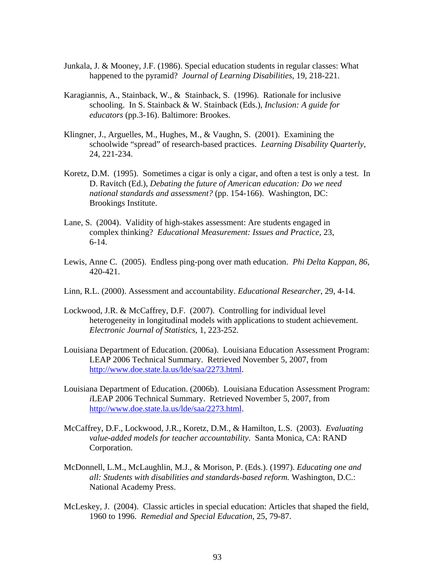- Junkala, J. & Mooney, J.F. (1986). Special education students in regular classes: What happened to the pyramid? *Journal of Learning Disabilities*, 19, 218-221.
- Karagiannis, A., Stainback, W., & Stainback, S. (1996). Rationale for inclusive schooling. In S. Stainback & W. Stainback (Eds.), *Inclusion: A guide for educators* (pp.3-16). Baltimore: Brookes.
- Klingner, J., Arguelles, M., Hughes, M., & Vaughn, S. (2001). Examining the schoolwide "spread" of research-based practices. *Learning Disability Quarterly*, 24, 221-234.
- Koretz, D.M. (1995). Sometimes a cigar is only a cigar, and often a test is only a test. In D. Ravitch (Ed.), *Debating the future of American education: Do we need national standards and assessment?* (pp. 154-166). Washington, DC: Brookings Institute.
- Lane, S. (2004). Validity of high-stakes assessment: Are students engaged in complex thinking? *Educational Measurement: Issues and Practice*, 23, 6-14.
- Lewis, Anne C. (2005). Endless ping-pong over math education. *Phi Delta Kappan*, *86*, 420-421.
- Linn, R.L. (2000). Assessment and accountability. *Educational Researcher*, 29, 4-14.
- Lockwood, J.R. & McCaffrey, D.F. (2007). Controlling for individual level heterogeneity in longitudinal models with applications to student achievement. *Electronic Journal of Statistics*, 1, 223-252.
- Louisiana Department of Education. (2006a). Louisiana Education Assessment Program: LEAP 2006 Technical Summary. Retrieved November 5, 2007, from <http://www.doe.state.la.us/lde/saa/2273.html>.
- Louisiana Department of Education. (2006b). Louisiana Education Assessment Program: *i*LEAP 2006 Technical Summary. Retrieved November 5, 2007, from <http://www.doe.state.la.us/lde/saa/2273.html>.
- McCaffrey, D.F., Lockwood, J.R., Koretz, D.M., & Hamilton, L.S. (2003). *Evaluating value-added models for teacher accountability*. Santa Monica, CA: RAND Corporation.
- McDonnell, L.M., McLaughlin, M.J., & Morison, P. (Eds.). (1997). *Educating one and all: Students with disabilities and standards-based reform.* Washington, D.C.: National Academy Press.
- McLeskey, J. (2004). Classic articles in special education: Articles that shaped the field, 1960 to 1996. *Remedial and Special Education*, 25, 79-87.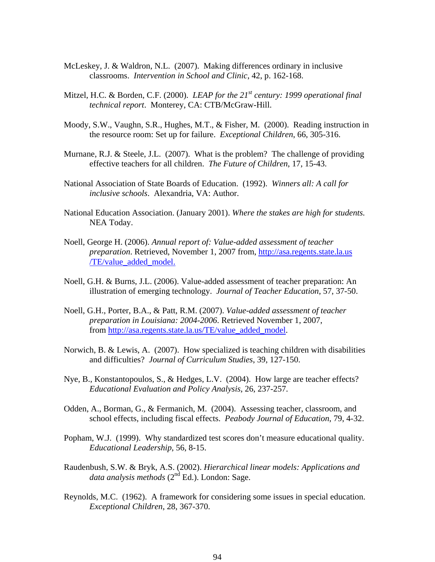- McLeskey, J. & Waldron, N.L. (2007). Making differences ordinary in inclusive classrooms. *Intervention in School and Clinic*, 42, p. 162-168.
- Mitzel, H.C. & Borden, C.F. (2000). *LEAP for the 21<sup>st</sup> century: 1999 operational final technical report*. Monterey, CA: CTB/McGraw-Hill.
- Moody, S.W., Vaughn, S.R., Hughes, M.T., & Fisher, M. (2000). Reading instruction in the resource room: Set up for failure. *Exceptional Children*, 66, 305-316.
- Murnane, R.J. & Steele, J.L. (2007). What is the problem? The challenge of providing effective teachers for all children. *The Future of Children*, 17, 15-43.
- National Association of State Boards of Education. (1992). *Winners all: A call for inclusive schools*. Alexandria, VA: Author.
- National Education Association. (January 2001). *Where the stakes are high for students.* NEA Today.
- Noell, George H. (2006). *Annual report of: Value-added assessment of teacher preparation*. Retrieved, November 1, 2007 from, [http://asa.regents.state.la.us](http://asa.regents.state.la.us/) /TE/value\_added\_model.
- Noell, G.H. & Burns, J.L. (2006). Value-added assessment of teacher preparation: An illustration of emerging technology. *Journal of Teacher Education*, 57, 37-50.
- Noell, G.H., Porter, B.A., & Patt, R.M. (2007). *Value-added assessment of teacher preparation in Louisiana: 2004-2006*. Retrieved November 1, 2007, from [http://asa.regents.state.la.us/TE/value\\_added\\_model](http://asa.regents.state.la.us/TE/value_added_model).
- Norwich, B. & Lewis, A. (2007). How specialized is teaching children with disabilities and difficulties? *Journal of Curriculum Studies*, 39, 127-150.
- Nye, B., Konstantopoulos, S., & Hedges, L.V. (2004). How large are teacher effects? *Educational Evaluation and Policy Analysis*, 26, 237-257.
- Odden, A., Borman, G., & Fermanich, M. (2004). Assessing teacher, classroom, and school effects, including fiscal effects. *Peabody Journal of Education*, 79, 4-32.
- Popham, W.J. (1999). Why standardized test scores don't measure educational quality. *Educational Leadership*, 56, 8-15.
- Raudenbush, S.W. & Bryk, A.S. (2002). *Hierarchical linear models: Applications and data analysis methods* (2nd Ed.). London: Sage.
- Reynolds, M.C. (1962). A framework for considering some issues in special education. *Exceptional Children*, 28, 367-370.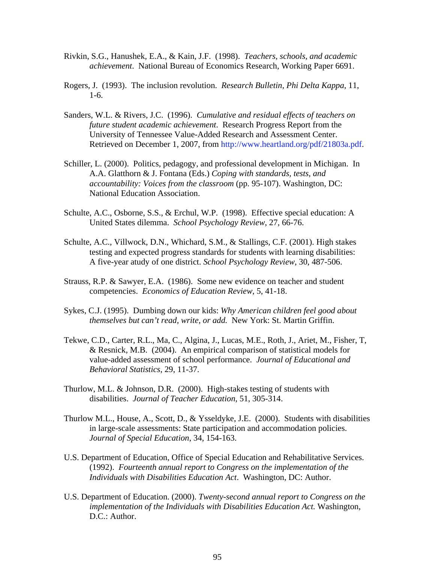- Rivkin, S.G., Hanushek, E.A., & Kain, J.F. (1998). *Teachers, schools, and academic achievement*. National Bureau of Economics Research, Working Paper 6691.
- Rogers, J. (1993). The inclusion revolution. *Research Bulletin, Phi Delta Kappa*, 11, 1-6.
- Sanders, W.L. & Rivers, J.C. (1996). *Cumulative and residual effects of teachers on future student academic achievement*. Research Progress Report from the University of Tennessee Value-Added Research and Assessment Center. Retrieved on December 1, 2007, from<http://www.heartland.org/pdf/21803a.pdf>.
- Schiller, L. (2000). Politics, pedagogy, and professional development in Michigan. In A.A. Glatthorn & J. Fontana (Eds.) *Coping with standards, tests, and accountability: Voices from the classroom* (pp. 95-107). Washington, DC: National Education Association.
- Schulte, A.C., Osborne, S.S., & Erchul, W.P. (1998). Effective special education: A United States dilemma. *School Psychology Review*, 27, 66-76.
- Schulte, A.C., Villwock, D.N., Whichard, S.M., & Stallings, C.F. (2001). High stakes testing and expected progress standards for students with learning disabilities: A five-year atudy of one district. *School Psychology Review*, 30, 487-506.
- Strauss, R.P. & Sawyer, E.A. (1986). Some new evidence on teacher and student competencies. *Economics of Education Review*, 5, 41-18.
- Sykes, C.J. (1995). Dumbing down our kids: *Why American children feel good about themselves but can't read, write, or add.* New York: St. Martin Griffin.
- Tekwe, C.D., Carter, R.L., Ma, C., Algina, J., Lucas, M.E., Roth, J., Ariet, M., Fisher, T, & Resnick, M.B. (2004). An empirical comparison of statistical models for value-added assessment of school performance. *Journal of Educational and Behavioral Statistics*, 29, 11-37.
- Thurlow, M.L. & Johnson, D.R. (2000). High-stakes testing of students with disabilities. *Journal of Teacher Education*, 51, 305-314.
- Thurlow M.L., House, A., Scott, D., & Ysseldyke, J.E. (2000). Students with disabilities in large-scale assessments: State participation and accommodation policies. *Journal of Special Education*, 34, 154-163.
- U.S. Department of Education, Office of Special Education and Rehabilitative Services. (1992). *Fourteenth annual report to Congress on the implementation of the Individuals with Disabilities Education Act*. Washington, DC: Author.
- U.S. Department of Education. (2000). *Twenty-second annual report to Congress on the implementation of the Individuals with Disabilities Education Act.* Washington, D.C.: Author.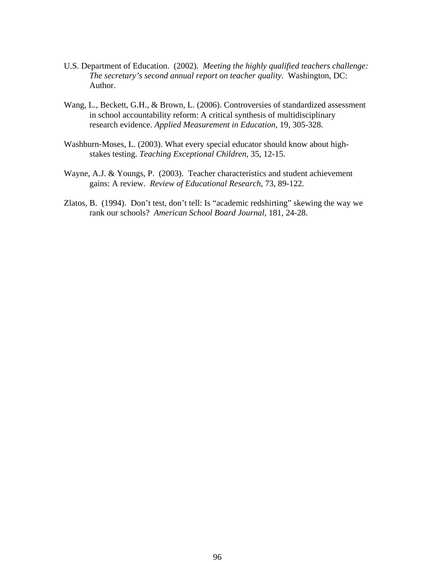- U.S. Department of Education. (2002). *Meeting the highly qualified teachers challenge: The secretary's second annual report on teacher quality*. Washington, DC: Author.
- Wang, L., Beckett, G.H., & Brown, L. (2006). Controversies of standardized assessment in school accountability reform: A critical synthesis of multidisciplinary research evidence. *Applied Measurement in Education*, 19, 305-328.
- Washburn-Moses, L. (2003). What every special educator should know about high stakes testing. *Teaching Exceptional Children*, 35, 12-15.
- Wayne, A.J. & Youngs, P. (2003). Teacher characteristics and student achievement gains: A review. *Review of Educational Research*, 73, 89-122.
- Zlatos, B. (1994). Don't test, don't tell: Is "academic redshirting" skewing the way we rank our schools? *American School Board Journal*, 181, 24-28.